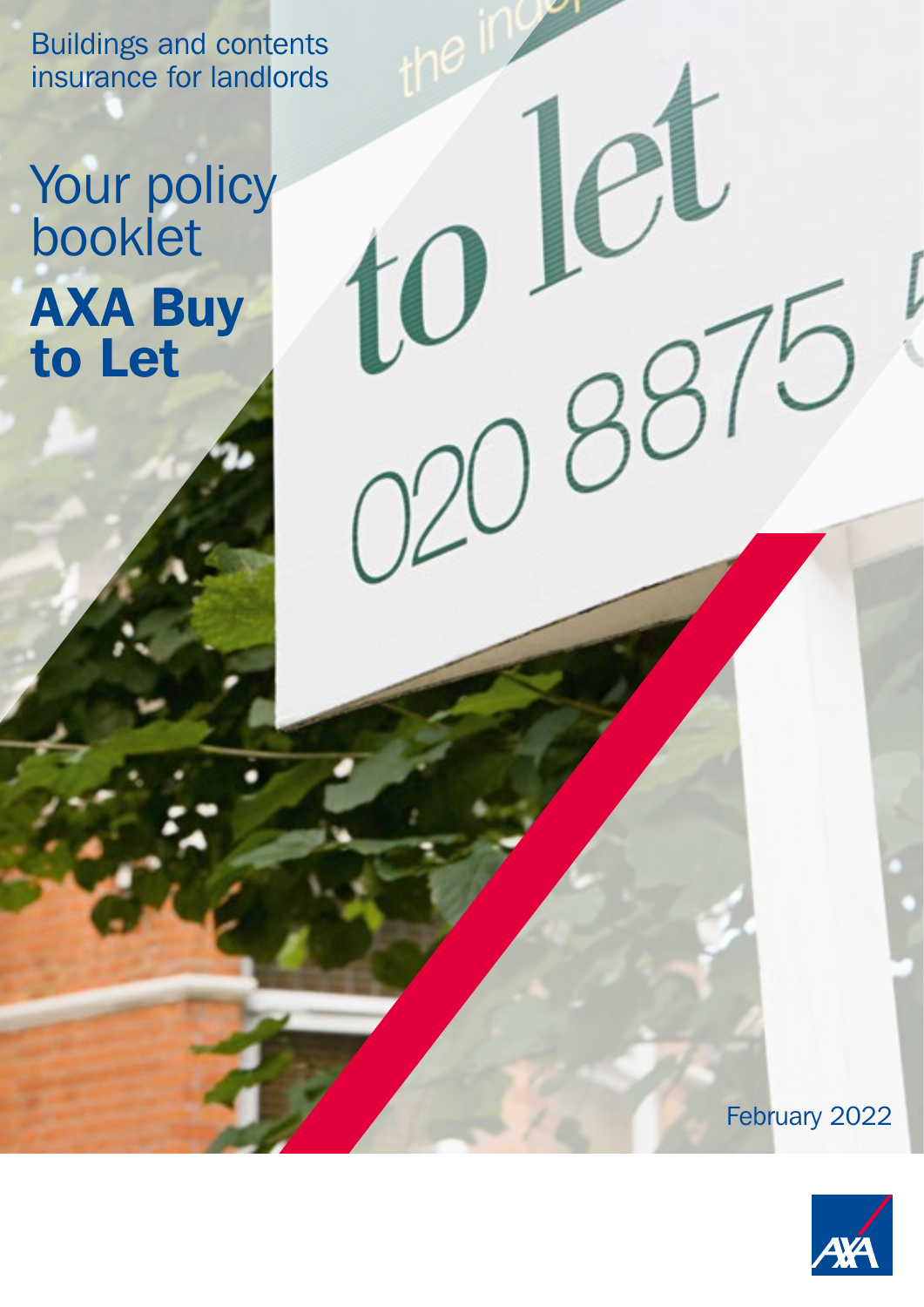Buildings and contents insurance for landlords

# Your policy booklet AXA Buy to Let

1

February 2022

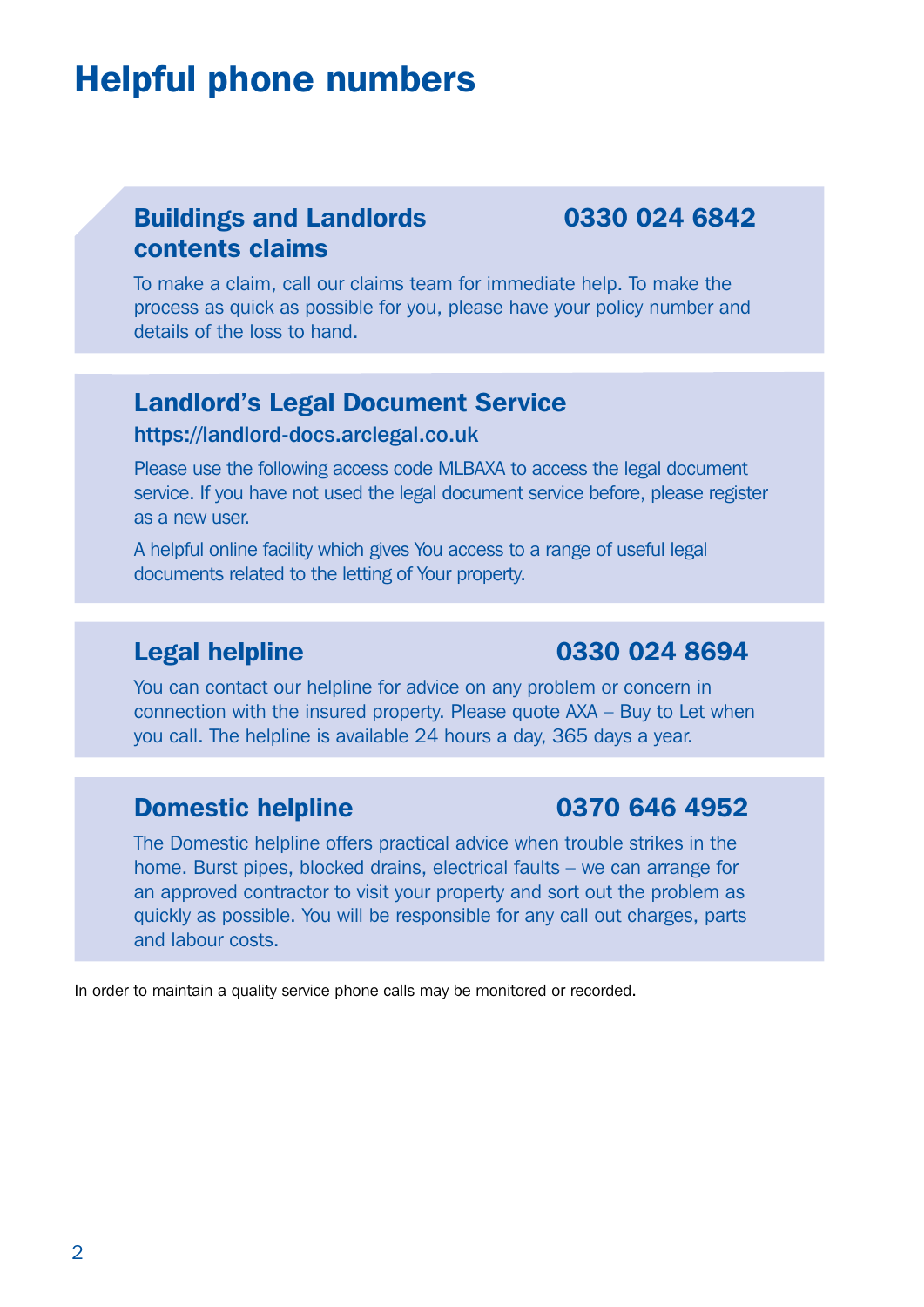## <span id="page-1-0"></span>Helpful phone numbers

#### Buildings and Landlords 0330 024 6842 contents claims

To make a claim, call our claims team for immediate help. To make the process as quick as possible for you, please have your policy number and details of the loss to hand.

#### Landlord's Legal Document Service

#### <https://landlord-docs.arclegal.co.uk>

Please use the following access code MLBAXA to access the legal document service. If you have not used the legal document service before, please register as a new user.

A helpful online facility which gives You access to a range of useful legal documents related to the letting of Your property.

#### Legal helpline **0330 024 8694**

You can contact our helpline for advice on any problem or concern in connection with the insured property. Please quote AXA – Buy to Let when you call. The helpline is available 24 hours a day, 365 days a year.

#### **Domestic helpline 0370 646 4952**

The Domestic helpline offers practical advice when trouble strikes in the home. Burst pipes, blocked drains, electrical faults – we can arrange for an approved contractor to visit your property and sort out the problem as quickly as possible. You will be responsible for any call out charges, parts and labour costs.

In order to maintain a quality service phone calls may be monitored or recorded.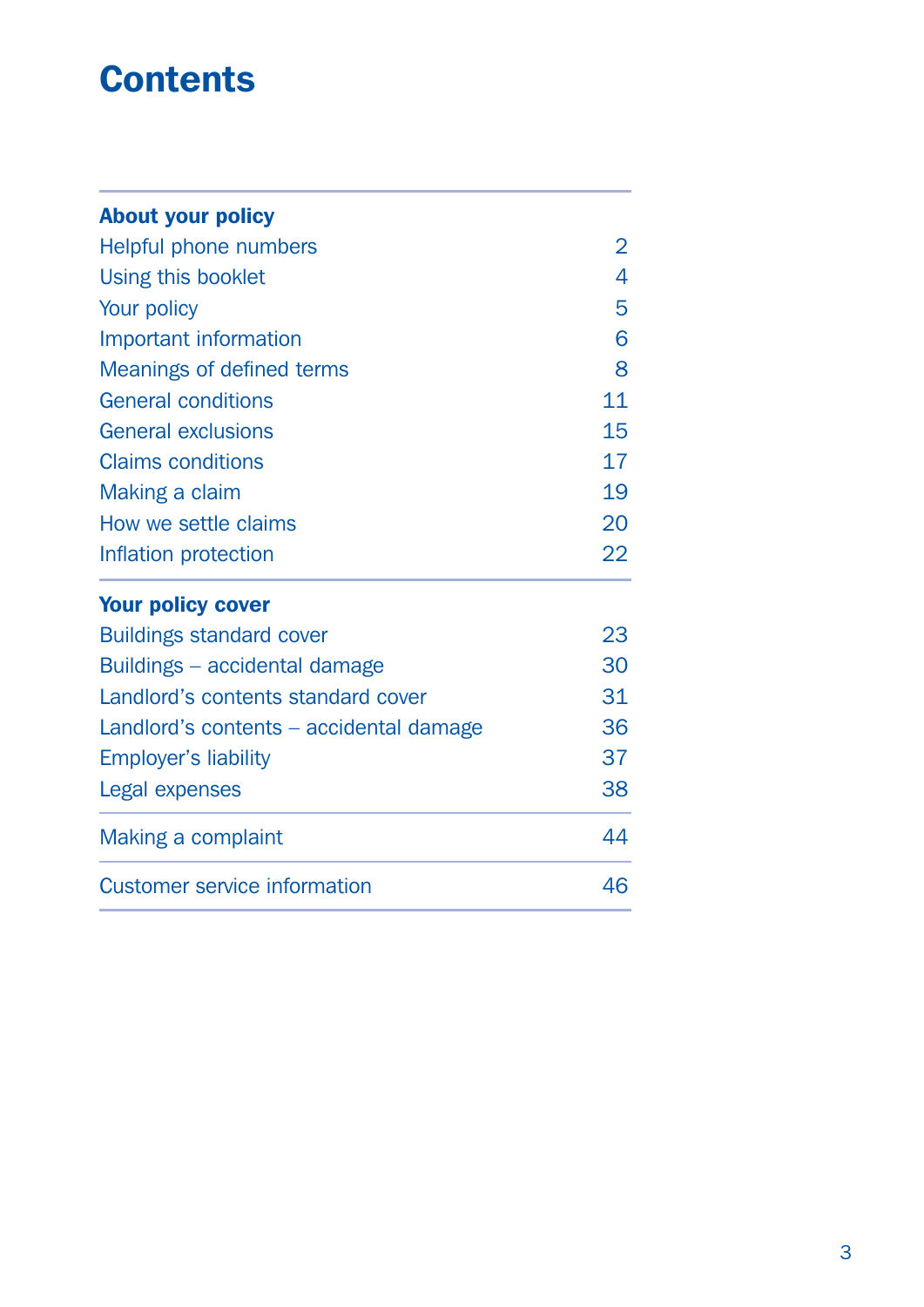## **Contents**

| <b>Your policy cover</b>  |    |
|---------------------------|----|
| Inflation protection      | 22 |
| How we settle claims      | 20 |
| Making a claim            | 19 |
| <b>Claims conditions</b>  | 17 |
| <b>General exclusions</b> | 15 |
| <b>General conditions</b> | 11 |
| Meanings of defined terms | 8  |
| Important information     | 6  |
| Your policy               | 5  |
| Using this booklet        | 4  |
| Helpful phone numbers     | 2  |
| <b>About your policy</b>  |    |

## [Buildings standard cover](#page-22-0) 23 B[uildings – accidental damage](#page-29-0) 30 Landlord's contents standard cover 31 Landlord's contents – accidental damage 36 Employer's liability 37 [Legal expenses](#page-37-0) 38 [Making a complaint](#page-43-0) 44 [Customer service information](#page-45-0) 46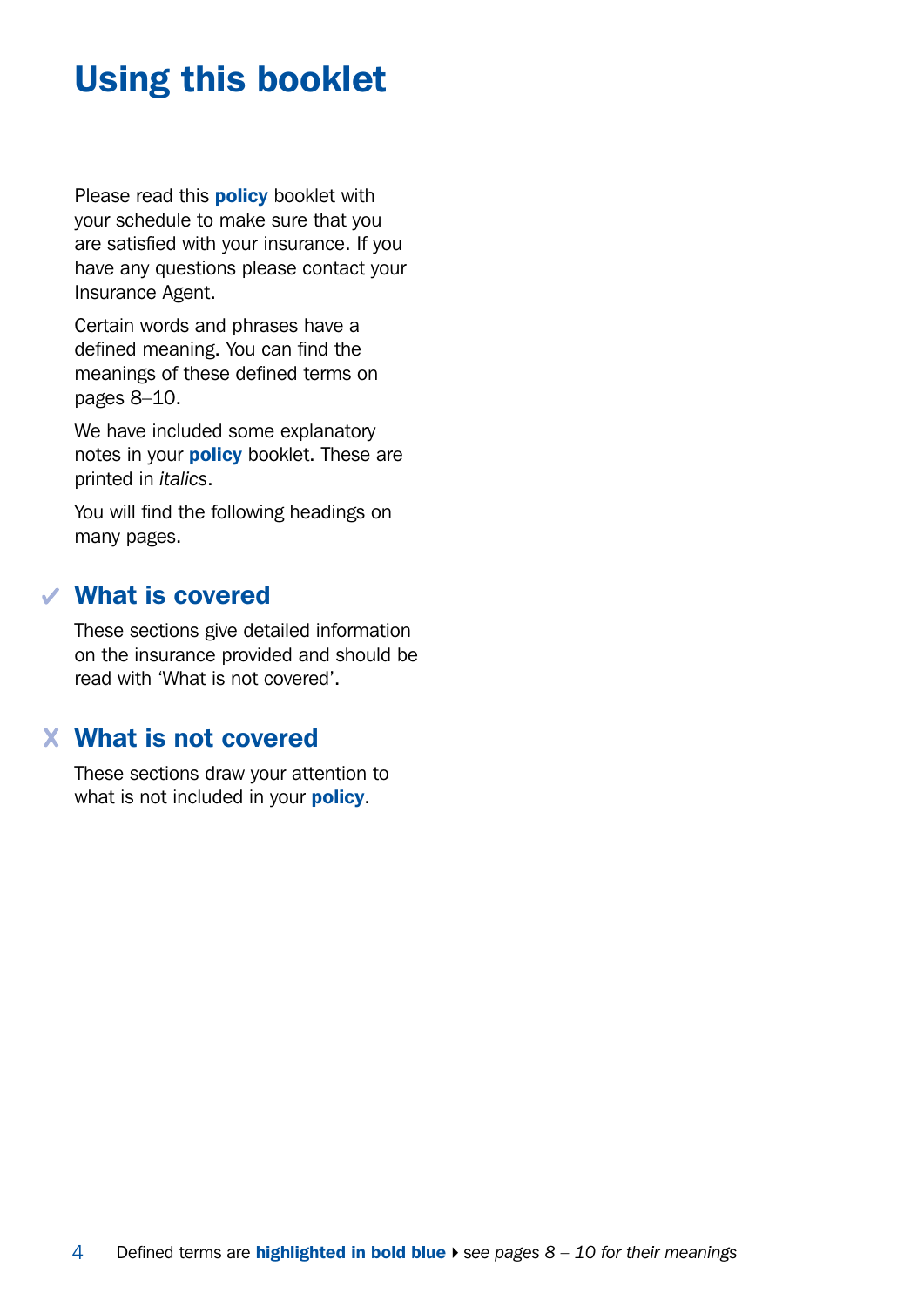# <span id="page-3-0"></span>Using this booklet

Please read this **policy** booklet with your schedule to make sure that you are satisfied with your insurance. If you have any questions please contact your Insurance Agent.

Certain words and phrases have a defined meaning. You can find the meanings of these defined terms on pages 8–10.

We have included some explanatory notes in your **policy** booklet. These are printed in *italics*.

You will find the following headings on many pages.

#### What is covered

These sections give detailed information on the insurance provided and should be read with 'What is not covered'.

#### What is not covered

These sections draw your attention to what is not included in your **policy**.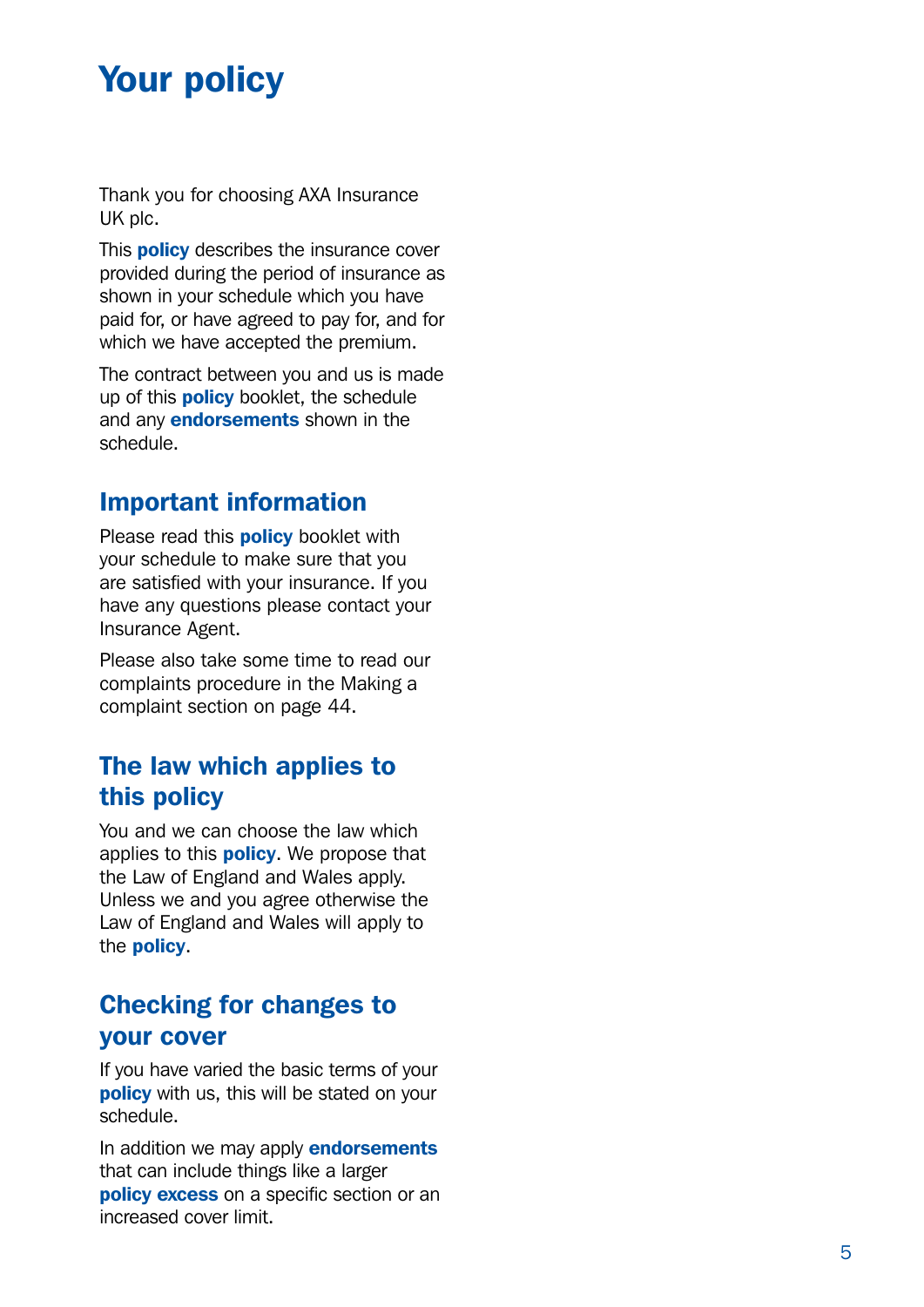## <span id="page-4-0"></span>Your policy

Thank you for choosing AXA Insurance UK plc.

This **policy** describes the insurance cover provided during the period of insurance as shown in your schedule which you have paid for, or have agreed to pay for, and for which we have accepted the premium.

The contract between you and us is made up of this **policy** booklet, the schedule and any **endorsements** shown in the schedule.

#### Important information

Please read this **policy** booklet with your schedule to make sure that you are satisfied with your insurance. If you have any questions please contact your Insurance Agent.

Please also take some time to read our complaints procedure in the Making a complaint section on page 44.

#### The law which applies to this policy

You and we can choose the law which applies to this **policy**. We propose that the Law of England and Wales apply. Unless we and you agree otherwise the Law of England and Wales will apply to the **policy**.

### Checking for changes to your cover

If you have varied the basic terms of your **policy** with us, this will be stated on your schedule.

In addition we may apply **endorsements** that can include things like a larger policy excess on a specific section or an increased cover limit.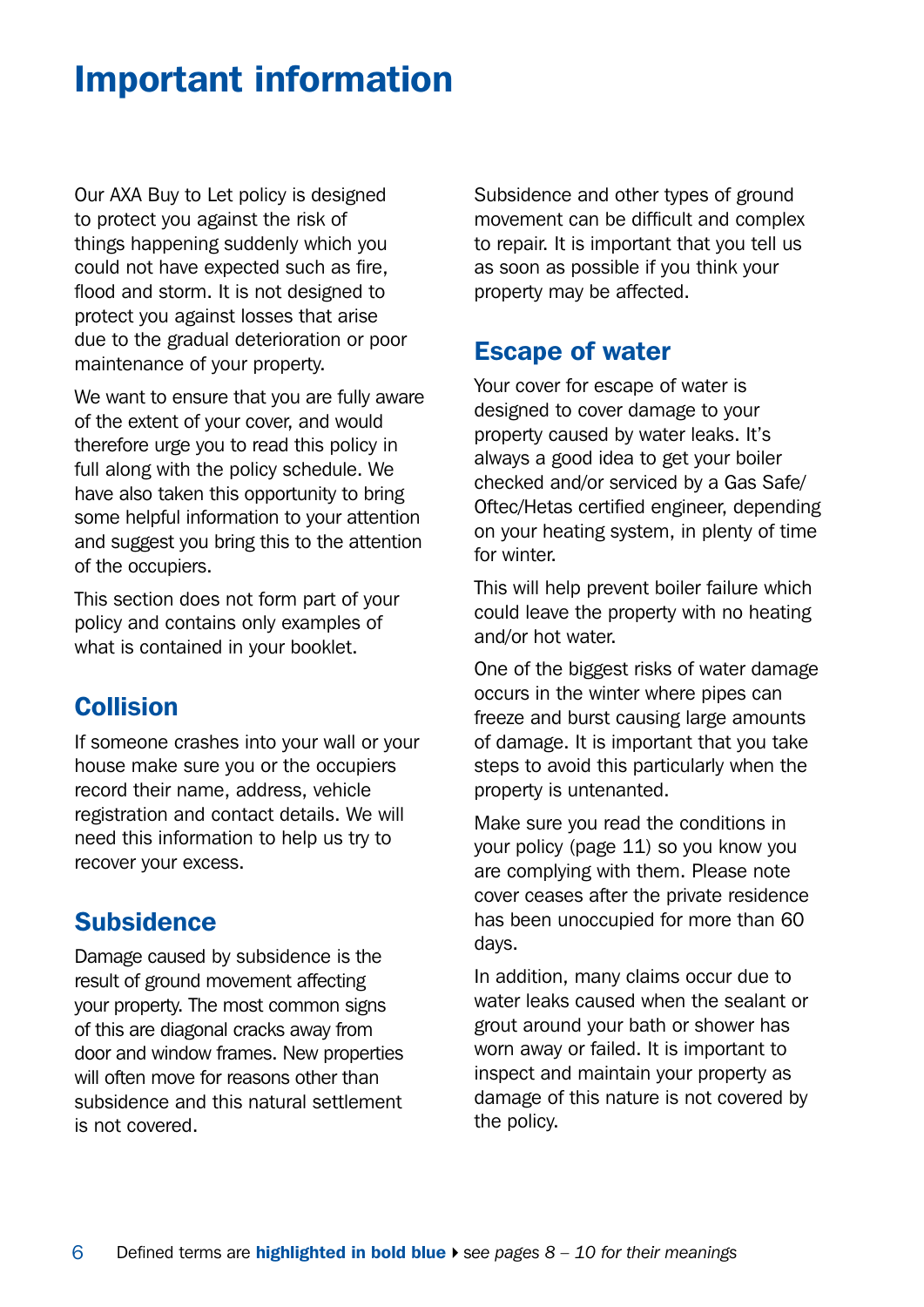## <span id="page-5-0"></span>Important information

Our AXA Buy to Let policy is designed to protect you against the risk of things happening suddenly which you could not have expected such as fire, flood and storm. It is not designed to protect you against losses that arise due to the gradual deterioration or poor maintenance of your property.

We want to ensure that you are fully aware of the extent of your cover, and would therefore urge you to read this policy in full along with the policy schedule. We have also taken this opportunity to bring some helpful information to your attention and suggest you bring this to the attention of the occupiers.

This section does not form part of your policy and contains only examples of what is contained in your booklet.

### **Collision**

If someone crashes into your wall or your house make sure you or the occupiers record their name, address, vehicle registration and contact details. We will need this information to help us try to recover your excess.

### **Subsidence**

Damage caused by subsidence is the result of ground movement affecting your property. The most common signs of this are diagonal cracks away from door and window frames. New properties will often move for reasons other than subsidence and this natural settlement is not covered.

Subsidence and other types of ground movement can be difficult and complex to repair. It is important that you tell us as soon as possible if you think your property may be affected.

#### Escape of water

Your cover for escape of water is designed to cover damage to your property caused by water leaks. It's always a good idea to get your boiler checked and/or serviced by a Gas Safe/ Oftec/Hetas certified engineer, depending on your heating system, in plenty of time for winter.

This will help prevent boiler failure which could leave the property with no heating and/or hot water.

One of the biggest risks of water damage occurs in the winter where pipes can freeze and burst causing large amounts of damage. It is important that you take steps to avoid this particularly when the property is untenanted.

Make sure you read the conditions in your policy (page 11) so you know you are complying with them. Please note cover ceases after the private residence has been unoccupied for more than 60 days.

In addition, many claims occur due to water leaks caused when the sealant or grout around your bath or shower has worn away or failed. It is important to inspect and maintain your property as damage of this nature is not covered by the policy.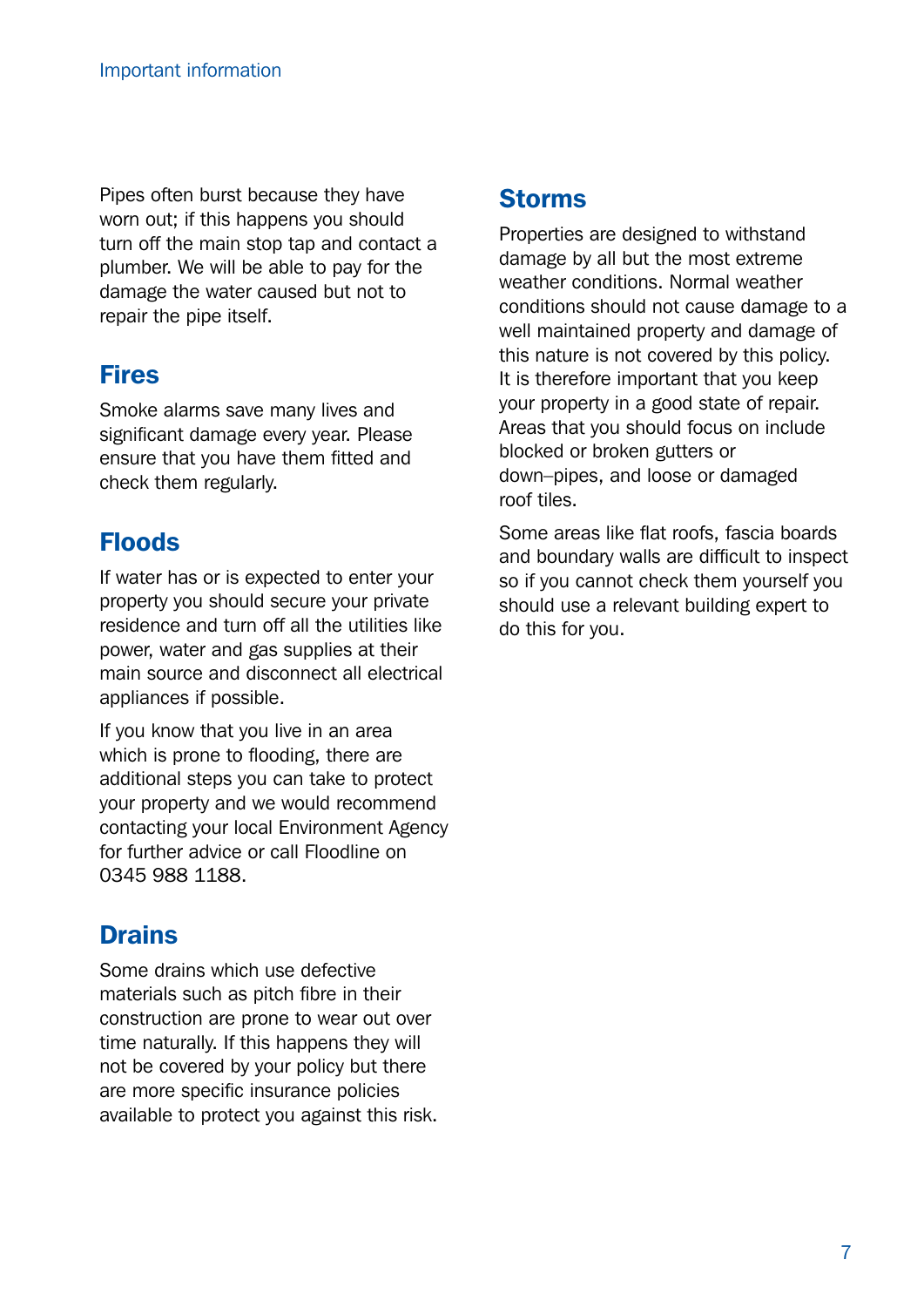Pipes often burst because they have worn out; if this happens you should turn off the main stop tap and contact a plumber. We will be able to pay for the damage the water caused but not to repair the pipe itself.

## Fires

Smoke alarms save many lives and significant damage every year. Please ensure that you have them fitted and check them regularly.

### Floods

If water has or is expected to enter your property you should secure your private residence and turn off all the utilities like power, water and gas supplies at their main source and disconnect all electrical appliances if possible.

If you know that you live in an area which is prone to flooding, there are additional steps you can take to protect your property and we would recommend contacting your local Environment Agency for further advice or call Floodline on 0345 988 1188.

### **Drains**

Some drains which use defective materials such as pitch fibre in their construction are prone to wear out over time naturally. If this happens they will not be covered by your policy but there are more specific insurance policies available to protect you against this risk.

### Storms

Properties are designed to withstand damage by all but the most extreme weather conditions. Normal weather conditions should not cause damage to a well maintained property and damage of this nature is not covered by this policy. It is therefore important that you keep your property in a good state of repair. Areas that you should focus on include blocked or broken gutters or down–pipes, and loose or damaged roof tiles.

Some areas like flat roofs, fascia boards and boundary walls are difficult to inspect so if you cannot check them yourself you should use a relevant building expert to do this for you.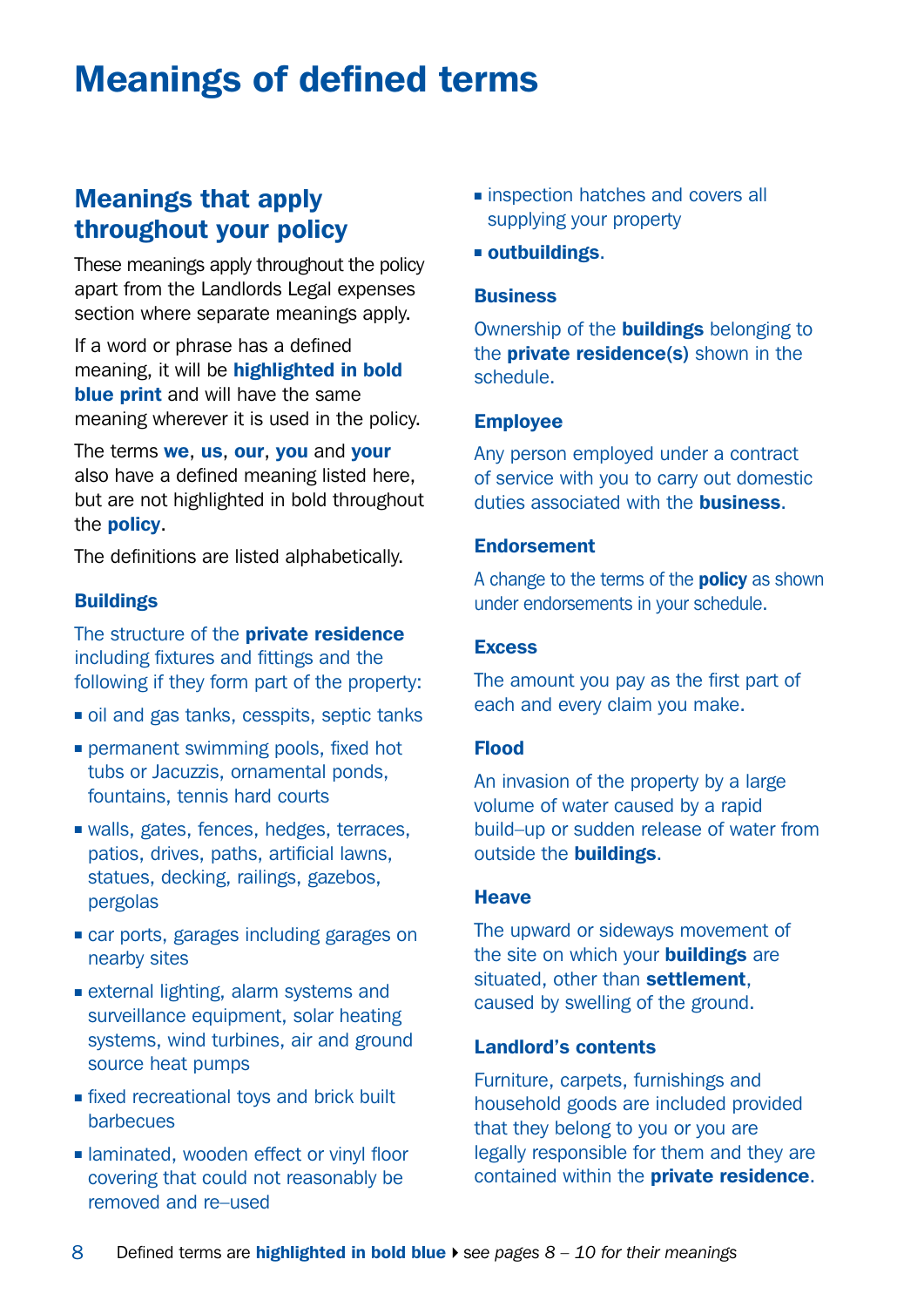## <span id="page-7-0"></span>Meanings of defined terms

### Meanings that apply throughout your policy

These meanings apply throughout the policy apart from the Landlords Legal expenses section where separate meanings apply.

If a word or phrase has a defined meaning, it will be highlighted in bold **blue print** and will have the same meaning wherever it is used in the policy.

The terms we, us, our, you and your also have a defined meaning listed here, but are not highlighted in bold throughout the policy.

The definitions are listed alphabetically.

#### **Buildings**

The structure of the **private residence** including fixtures and fittings and the following if they form part of the property:

- oil and gas tanks, cesspits, septic tanks
- **permanent swimming pools, fixed hot** tubs or Jacuzzis, ornamental ponds, fountains, tennis hard courts
- walls, gates, fences, hedges, terraces, patios, drives, paths, artificial lawns, statues, decking, railings, gazebos, pergolas
- <sup>n</sup> car ports, garages including garages on nearby sites
- $\blacksquare$  external lighting, alarm systems and surveillance equipment, solar heating systems, wind turbines, air and ground source heat pumps
- $\blacksquare$  fixed recreational toys and brick built barbecues
- **n** laminated, wooden effect or vinyl floor covering that could not reasonably be removed and re–used
- **n** inspection hatches and covers all supplying your property
- $square$  outbuildings.

#### **Business**

Ownership of the **buildings** belonging to the **private residence(s)** shown in the schedule.

#### Employee

Any person employed under a contract of service with you to carry out domestic duties associated with the business.

#### Endorsement

A change to the terms of the **policy** as shown under endorsements in your schedule.

#### **Excess**

The amount you pay as the first part of each and every claim you make.

#### Flood

An invasion of the property by a large volume of water caused by a rapid build–up or sudden release of water from outside the **buildings**.

#### Heave

The upward or sideways movement of the site on which your **buildings** are situated, other than settlement. caused by swelling of the ground.

#### Landlord's contents

Furniture, carpets, furnishings and household goods are included provided that they belong to you or you are legally responsible for them and they are contained within the **private residence**.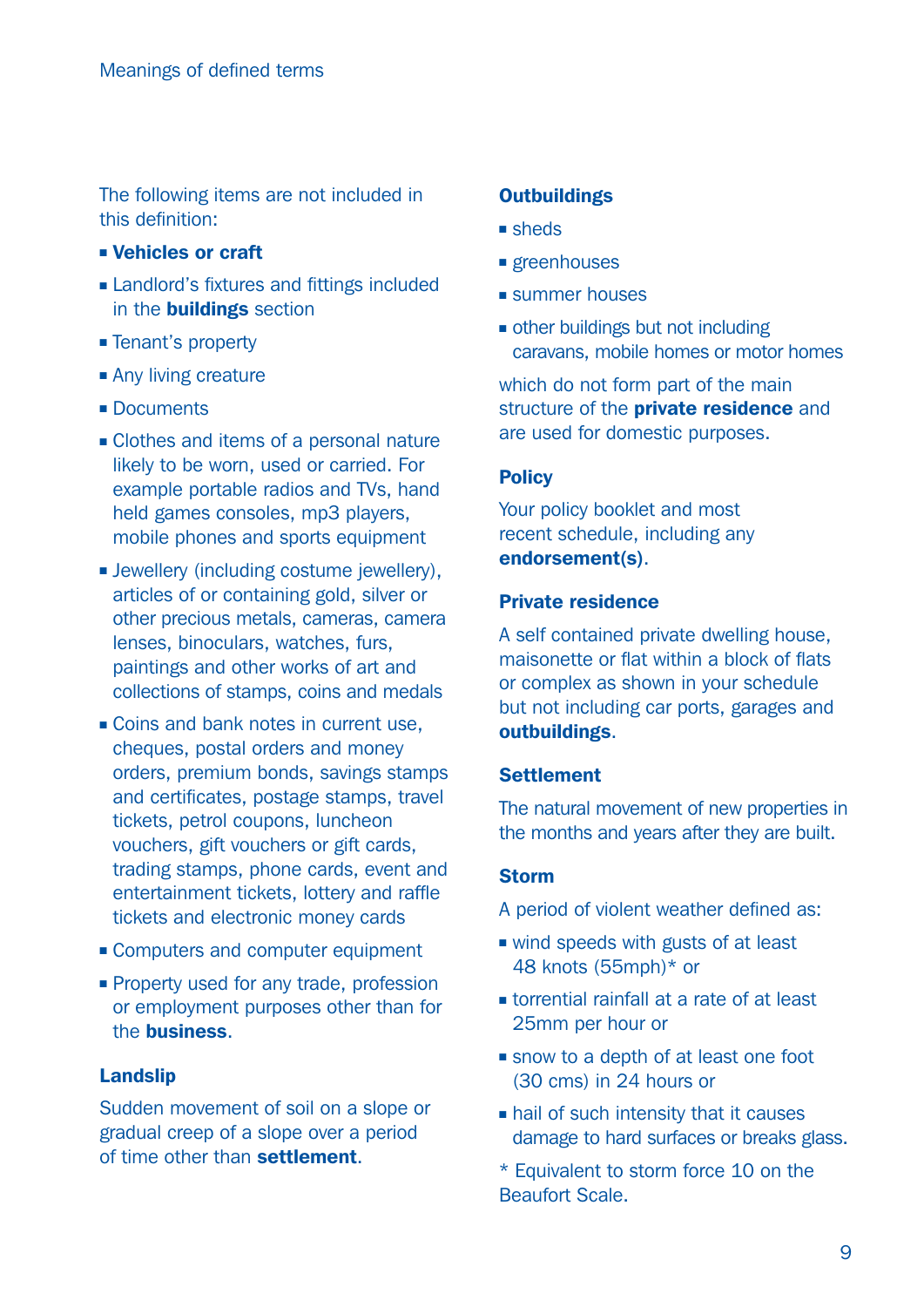The following items are not included in this definition:

- <sup>n</sup> Vehicles or craft
- **Example 1** Landlord's fixtures and fittings included in the buildings section
- **Example Tenant's property**
- Any living creature
- Documents
- Clothes and items of a personal nature likely to be worn, used or carried. For example portable radios and TVs, hand held games consoles, mp3 players, mobile phones and sports equipment
- **E** Jewellery (including costume jewellery), articles of or containing gold, silver or other precious metals, cameras, camera lenses, binoculars, watches, furs, paintings and other works of art and collections of stamps, coins and medals
- $\blacksquare$  Coins and bank notes in current use, cheques, postal orders and money orders, premium bonds, savings stamps and certificates, postage stamps, travel tickets, petrol coupons, luncheon vouchers, gift vouchers or gift cards, trading stamps, phone cards, event and entertainment tickets, lottery and raffle tickets and electronic money cards
- Computers and computer equipment
- **Property used for any trade, profession** or employment purposes other than for the business.

#### Landslip

Sudden movement of soil on a slope or gradual creep of a slope over a period of time other than settlement.

#### **Outbuildings**

- <sup>n</sup> sheds
- **n** greenhouses
- $\blacksquare$  summer houses
- $\blacksquare$  other buildings but not including caravans, mobile homes or motor homes

which do not form part of the main structure of the **private residence** and are used for domestic purposes.

#### **Policy**

Your policy booklet and most recent schedule, including any endorsement(s).

#### Private residence

A self contained private dwelling house, maisonette or flat within a block of flats or complex as shown in your schedule but not including car ports, garages and outbuildings.

#### **Settlement**

The natural movement of new properties in the months and years after they are built.

#### Storm

A period of violent weather defined as:

- $\blacksquare$  wind speeds with gusts of at least 48 knots (55mph)\* or
- $\blacksquare$  torrential rainfall at a rate of at least 25mm per hour or
- snow to a depth of at least one foot (30 cms) in 24 hours or
- $\blacksquare$  hail of such intensity that it causes damage to hard surfaces or breaks glass.
- \* Equivalent to storm force 10 on the Beaufort Scale.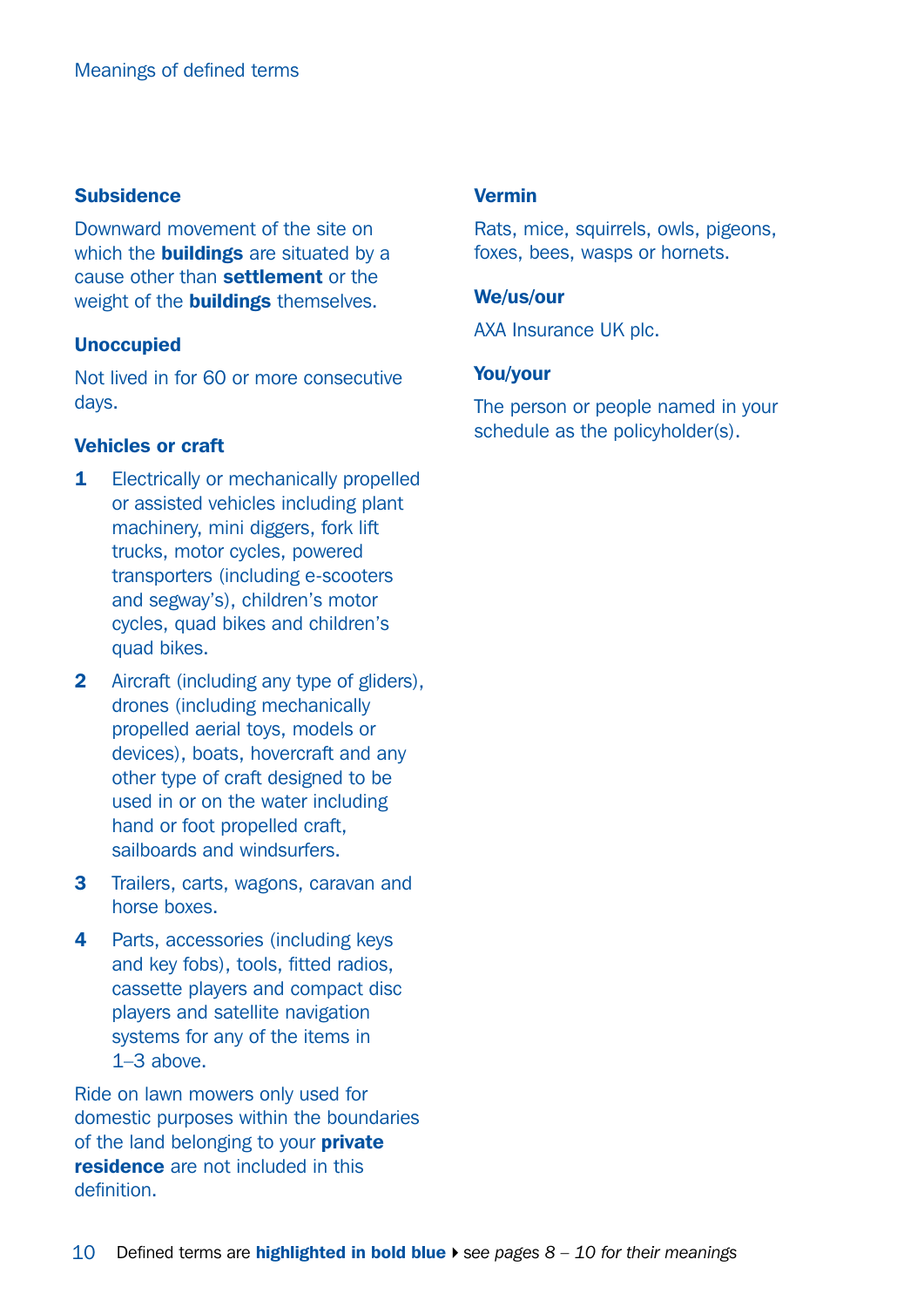#### Subsidence

Downward movement of the site on which the **buildings** are situated by a cause other than settlement or the weight of the **buildings** themselves.

#### Unoccupied

Not lived in for 60 or more consecutive days.

#### Vehicles or craft

- 1 Electrically or mechanically propelled or assisted vehicles including plant machinery, mini diggers, fork lift trucks, motor cycles, powered transporters (including e-scooters and segway's), children's motor cycles, quad bikes and children's quad bikes.
- 2 Aircraft (including any type of gliders), drones (including mechanically propelled aerial toys, models or devices), boats, hovercraft and any other type of craft designed to be used in or on the water including hand or foot propelled craft, sailboards and windsurfers.
- 3 Trailers, carts, wagons, caravan and horse boxes.
- 4 Parts, accessories (including keys and key fobs), tools, fitted radios, cassette players and compact disc players and satellite navigation systems for any of the items in 1–3 above.

Ride on lawn mowers only used for domestic purposes within the boundaries of the land belonging to your **private** residence are not included in this definition.

#### Vermin

Rats, mice, squirrels, owls, pigeons, foxes, bees, wasps or hornets.

#### We/us/our

AXA Insurance UK plc.

#### You/your

The person or people named in your schedule as the policyholder(s).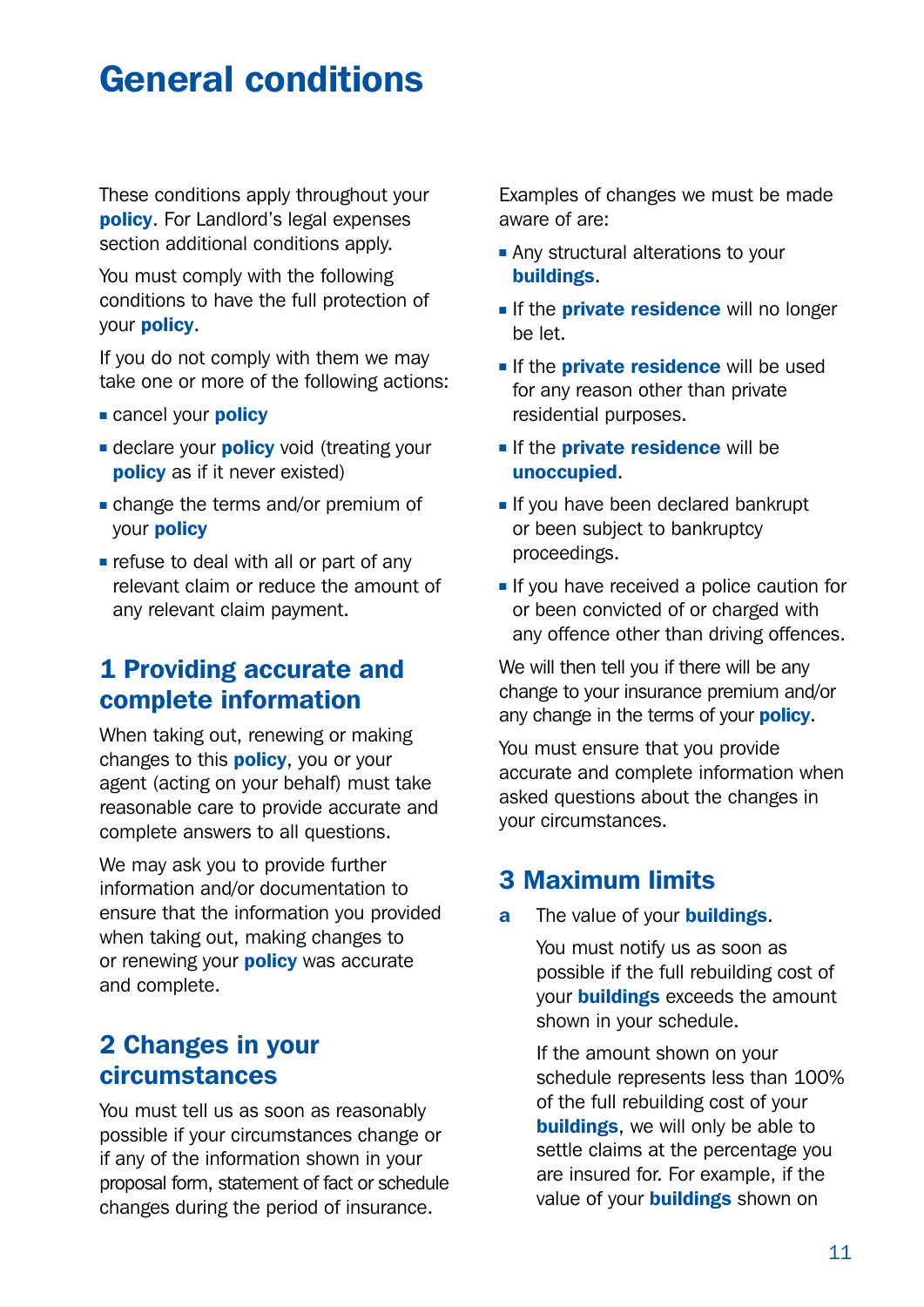## <span id="page-10-0"></span>General conditions

These conditions apply throughout your policy. For Landlord's legal expenses section additional conditions apply.

You must comply with the following conditions to have the full protection of your policy.

If you do not comply with them we may take one or more of the following actions:

- **Exercel your policy**
- **E** declare your **policy** void (treating your policy as if it never existed)
- $\blacksquare$  change the terms and/or premium of your policy
- $\blacksquare$  refuse to deal with all or part of any relevant claim or reduce the amount of any relevant claim payment.

### 1 Providing accurate and complete information

When taking out, renewing or making changes to this **policy**, you or your agent (acting on your behalf) must take reasonable care to provide accurate and complete answers to all questions.

We may ask you to provide further information and/or documentation to ensure that the information you provided when taking out, making changes to or renewing your **policy** was accurate and complete.

### 2 Changes in your circumstances

You must tell us as soon as reasonably possible if your circumstances change or if any of the information shown in your proposal form, statement of fact or schedule changes during the period of insurance.

Examples of changes we must be made aware of are:

- **Any structural alterations to your** buildings.
- If the **private residence** will no longer be let.
- **F** If the **private residence** will be used for any reason other than private residential purposes.
- **Fig. 1** If the **private residence** will be unoccupied.
- If you have been declared bankrupt or been subject to bankruptcy proceedings.
- **n** If you have received a police caution for or been convicted of or charged with any offence other than driving offences.

We will then tell you if there will be any change to your insurance premium and/or any change in the terms of your **policy**.

You must ensure that you provide accurate and complete information when asked questions about the changes in your circumstances.

### 3 Maximum limits

a The value of your **buildings**.

You must notify us as soon as possible if the full rebuilding cost of your **buildings** exceeds the amount shown in your schedule.

If the amount shown on your schedule represents less than 100% of the full rebuilding cost of your **buildings**, we will only be able to settle claims at the percentage you are insured for. For example, if the value of your **buildings** shown on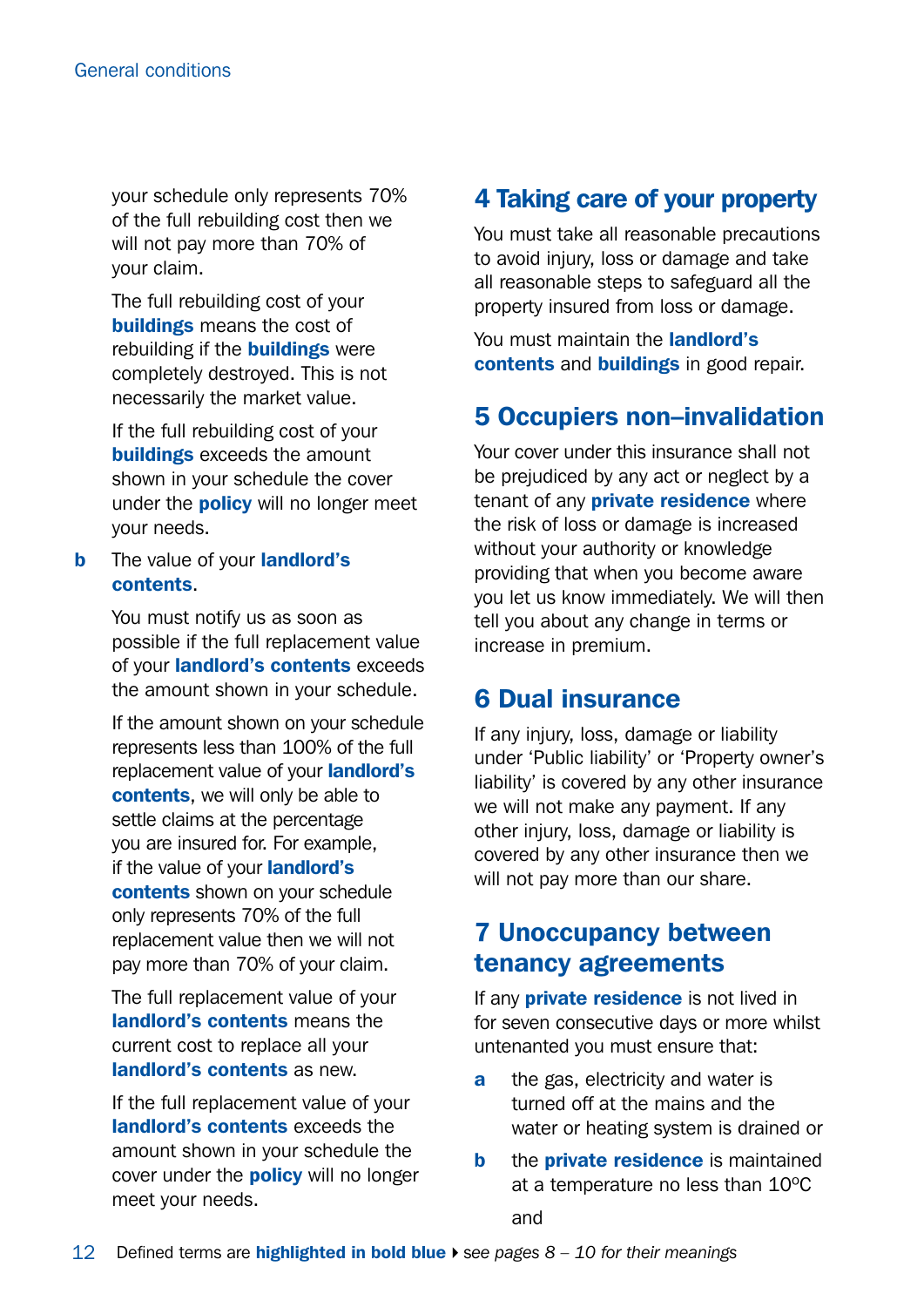your schedule only represents 70% of the full rebuilding cost then we will not pay more than 70% of your claim.

The full rebuilding cost of your buildings means the cost of rebuilding if the **buildings** were completely destroyed. This is not necessarily the market value.

If the full rebuilding cost of your **buildings** exceeds the amount shown in your schedule the cover under the **policy** will no longer meet your needs.

**b** The value of your **landlord's** contents.

> You must notify us as soon as possible if the full replacement value of your landlord's contents exceeds the amount shown in your schedule.

> If the amount shown on your schedule represents less than 100% of the full replacement value of your **landlord's** contents, we will only be able to settle claims at the percentage you are insured for. For example, if the value of your **landlord's** contents shown on your schedule only represents 70% of the full replacement value then we will not pay more than 70% of your claim.

The full replacement value of your landlord's contents means the current cost to replace all your landlord's contents as new.

If the full replacement value of your landlord's contents exceeds the amount shown in your schedule the cover under the **policy** will no longer meet your needs.

### 4 Taking care of your property

You must take all reasonable precautions to avoid injury, loss or damage and take all reasonable steps to safeguard all the property insured from loss or damage.

You must maintain the **landlord's** contents and buildings in good repair.

### 5 Occupiers non–invalidation

Your cover under this insurance shall not be prejudiced by any act or neglect by a tenant of any **private residence** where the risk of loss or damage is increased without your authority or knowledge providing that when you become aware you let us know immediately. We will then tell you about any change in terms or increase in premium.

### 6 Dual insurance

If any injury, loss, damage or liability under 'Public liability' or 'Property owner's liability' is covered by any other insurance we will not make any payment. If any other injury, loss, damage or liability is covered by any other insurance then we will not pay more than our share.

#### 7 Unoccupancy between tenancy agreements

If any **private residence** is not lived in for seven consecutive days or more whilst untenanted you must ensure that:

- **a** the gas, electricity and water is turned off at the mains and the water or heating system is drained or
- **b** the **private residence** is maintained at a temperature no less than 10ºC and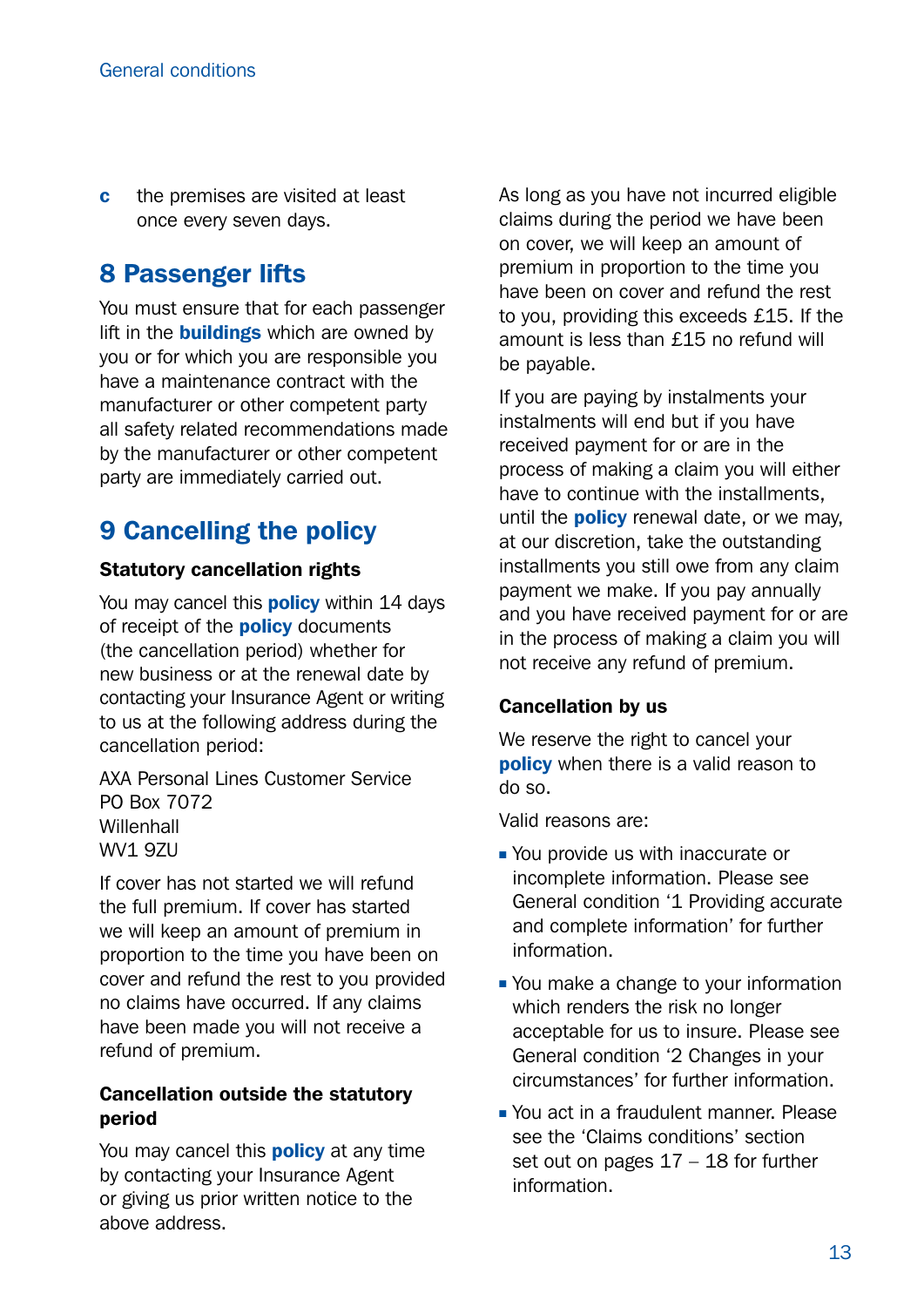**c** the premises are visited at least once every seven days.

### 8 Passenger lifts

You must ensure that for each passenger lift in the **buildings** which are owned by you or for which you are responsible you have a maintenance contract with the manufacturer or other competent party all safety related recommendations made by the manufacturer or other competent party are immediately carried out.

### 9 Cancelling the policy

#### Statutory cancellation rights

You may cancel this **policy** within 14 days of receipt of the **policy** documents (the cancellation period) whether for new business or at the renewal date by contacting your Insurance Agent or writing to us at the following address during the cancellation period:

AXA Personal Lines Customer Service PO Box 7072 **Willenhall** WV1 9ZU

If cover has not started we will refund the full premium. If cover has started we will keep an amount of premium in proportion to the time you have been on cover and refund the rest to you provided no claims have occurred. If any claims have been made you will not receive a refund of premium.

#### Cancellation outside the statutory period

You may cancel this **policy** at any time by contacting your Insurance Agent or giving us prior written notice to the above address.

As long as you have not incurred eligible claims during the period we have been on cover, we will keep an amount of premium in proportion to the time you have been on cover and refund the rest to you, providing this exceeds £15. If the amount is less than £15 no refund will be payable.

If you are paying by instalments your instalments will end but if you have received payment for or are in the process of making a claim you will either have to continue with the installments, until the **policy** renewal date, or we may, at our discretion, take the outstanding installments you still owe from any claim payment we make. If you pay annually and you have received payment for or are in the process of making a claim you will not receive any refund of premium.

#### Cancellation by us

We reserve the right to cancel your **policy** when there is a valid reason to do so.

Valid reasons are:

- **You provide us with inaccurate or** incomplete information. Please see General condition '1 Providing accurate and complete information' for further information.
- You make a change to your information which renders the risk no longer acceptable for us to insure. Please see General condition '2 Changes in your circumstances' for further information.
- <sup>n</sup> You act in a fraudulent manner. Please see the 'Claims conditions' section set out on pages 17 – 18 for further information.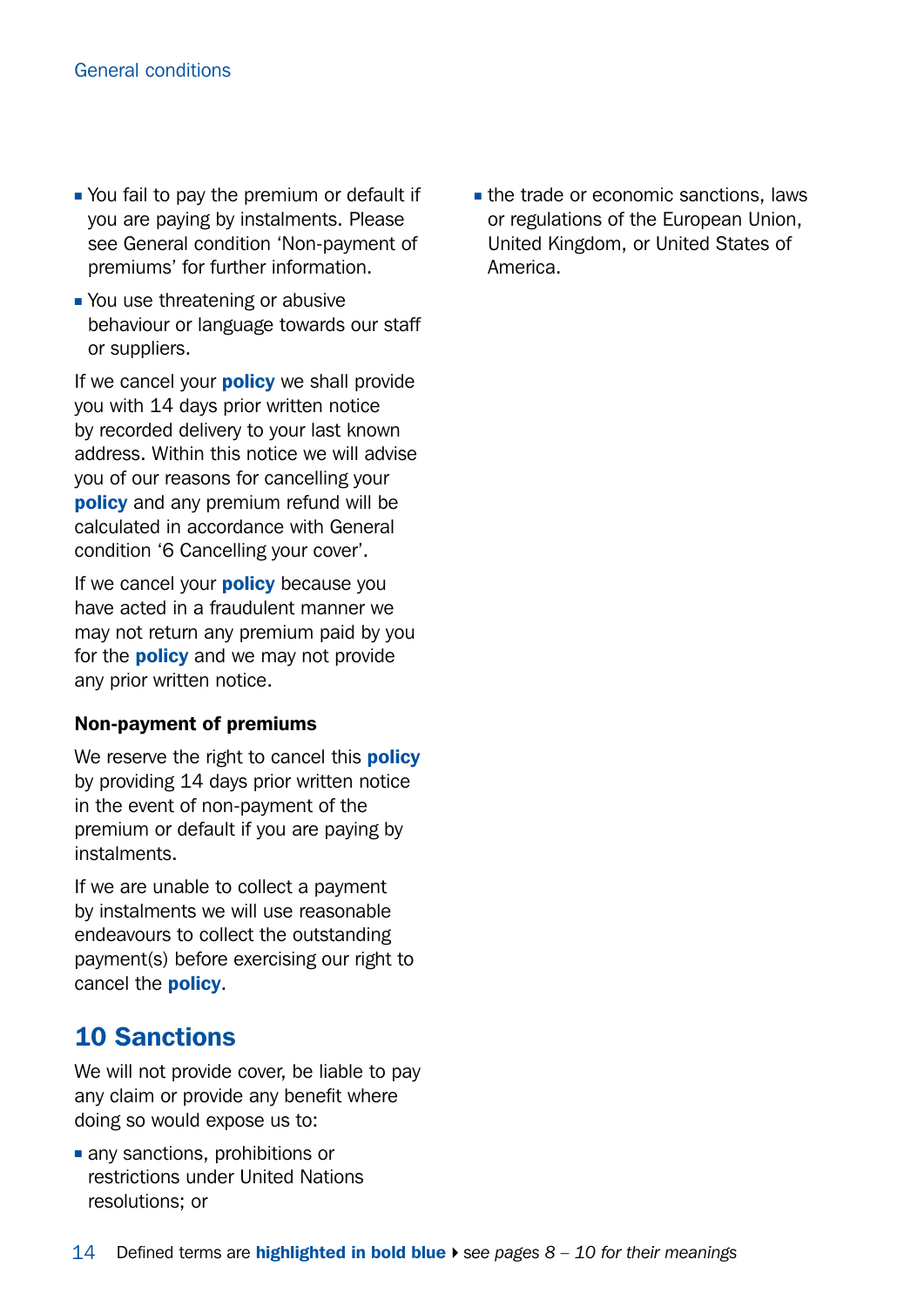- You fail to pay the premium or default if you are paying by instalments. Please see General condition 'Non-payment of premiums' for further information.
- You use threatening or abusive behaviour or language towards our staff or suppliers.

If we cancel your **policy** we shall provide you with 14 days prior written notice by recorded delivery to your last known address. Within this notice we will advise you of our reasons for cancelling your **policy** and any premium refund will be calculated in accordance with General condition '6 Cancelling your cover'.

If we cancel your **policy** because you have acted in a fraudulent manner we may not return any premium paid by you for the **policy** and we may not provide any prior written notice.

#### Non-payment of premiums

We reserve the right to cancel this **policy** by providing 14 days prior written notice in the event of non-payment of the premium or default if you are paying by instalments.

If we are unable to collect a payment by instalments we will use reasonable endeavours to collect the outstanding payment(s) before exercising our right to cancel the policy.

### 10 Sanctions

We will not provide cover, be liable to pay any claim or provide any benefit where doing so would expose us to:

 $\blacksquare$  any sanctions, prohibitions or restrictions under United Nations resolutions; or

 $\blacksquare$  the trade or economic sanctions, laws or regulations of the European Union, United Kingdom, or United States of America.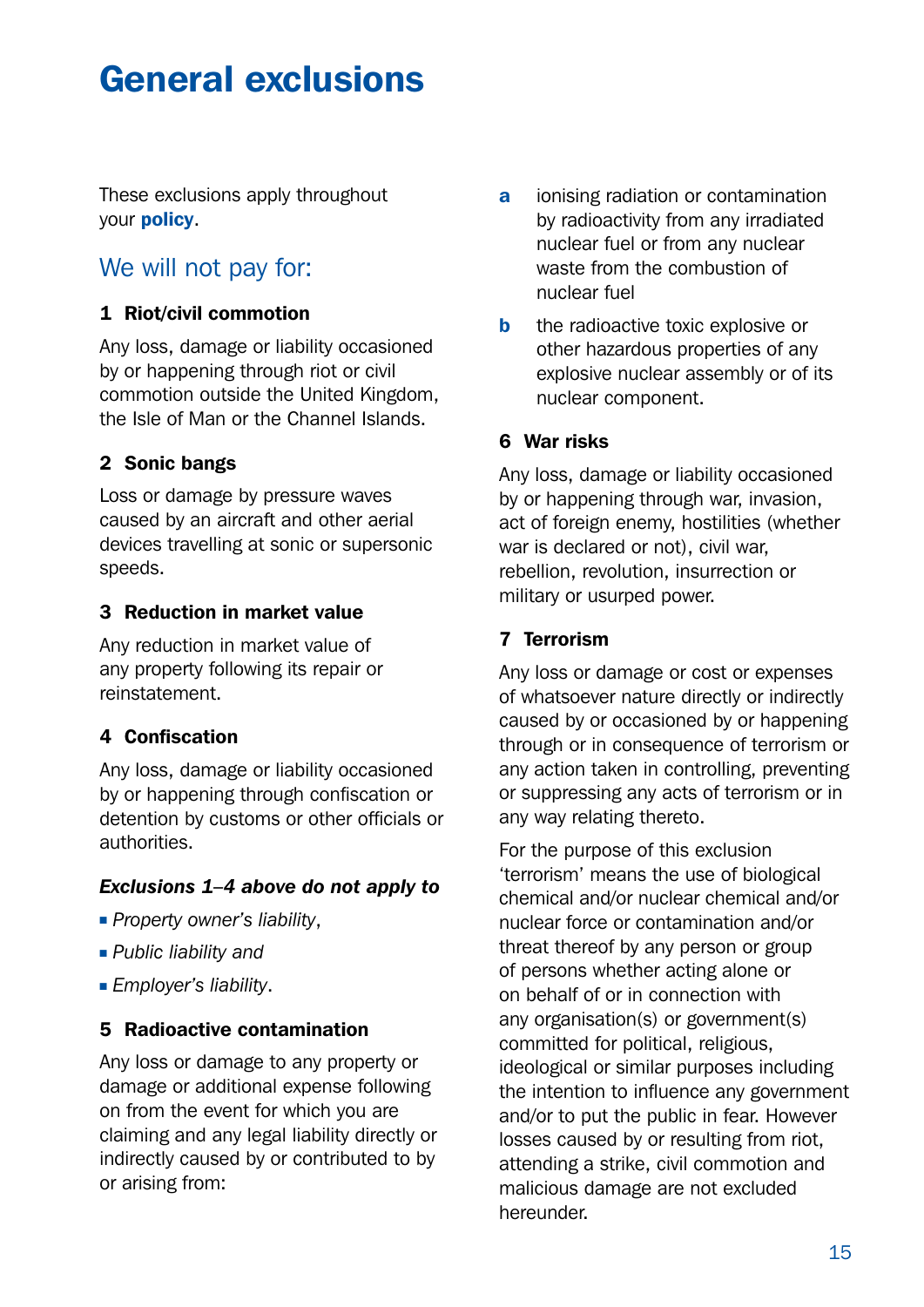## <span id="page-14-0"></span>General exclusions

These exclusions apply throughout your policy.

#### We will not pay for:

#### 1 Riot/civil commotion

Any loss, damage or liability occasioned by or happening through riot or civil commotion outside the United Kingdom, the Isle of Man or the Channel Islands.

#### 2 Sonic bangs

Loss or damage by pressure waves caused by an aircraft and other aerial devices travelling at sonic or supersonic speeds.

#### 3 Reduction in market value

Any reduction in market value of any property following its repair or reinstatement.

#### 4 Confiscation

Any loss, damage or liability occasioned by or happening through confiscation or detention by customs or other officials or authorities.

#### *Exclusions 1–4 above do not apply to*

- **Property owner's liability,**
- **Public liability and**
- **Employer's liability.**

#### 5 Radioactive contamination

Any loss or damage to any property or damage or additional expense following on from the event for which you are claiming and any legal liability directly or indirectly caused by or contributed to by or arising from:

- a ionising radiation or contamination by radioactivity from any irradiated nuclear fuel or from any nuclear waste from the combustion of nuclear fuel
- **b** the radioactive toxic explosive or other hazardous properties of any explosive nuclear assembly or of its nuclear component.

#### 6 War risks

Any loss, damage or liability occasioned by or happening through war, invasion, act of foreign enemy, hostilities (whether war is declared or not), civil war, rebellion, revolution, insurrection or military or usurped power.

#### 7 Terrorism

Any loss or damage or cost or expenses of whatsoever nature directly or indirectly caused by or occasioned by or happening through or in consequence of terrorism or any action taken in controlling, preventing or suppressing any acts of terrorism or in any way relating thereto.

For the purpose of this exclusion 'terrorism' means the use of biological chemical and/or nuclear chemical and/or nuclear force or contamination and/or threat thereof by any person or group of persons whether acting alone or on behalf of or in connection with any organisation(s) or government(s) committed for political, religious, ideological or similar purposes including the intention to influence any government and/or to put the public in fear. However losses caused by or resulting from riot, attending a strike, civil commotion and malicious damage are not excluded hereunder.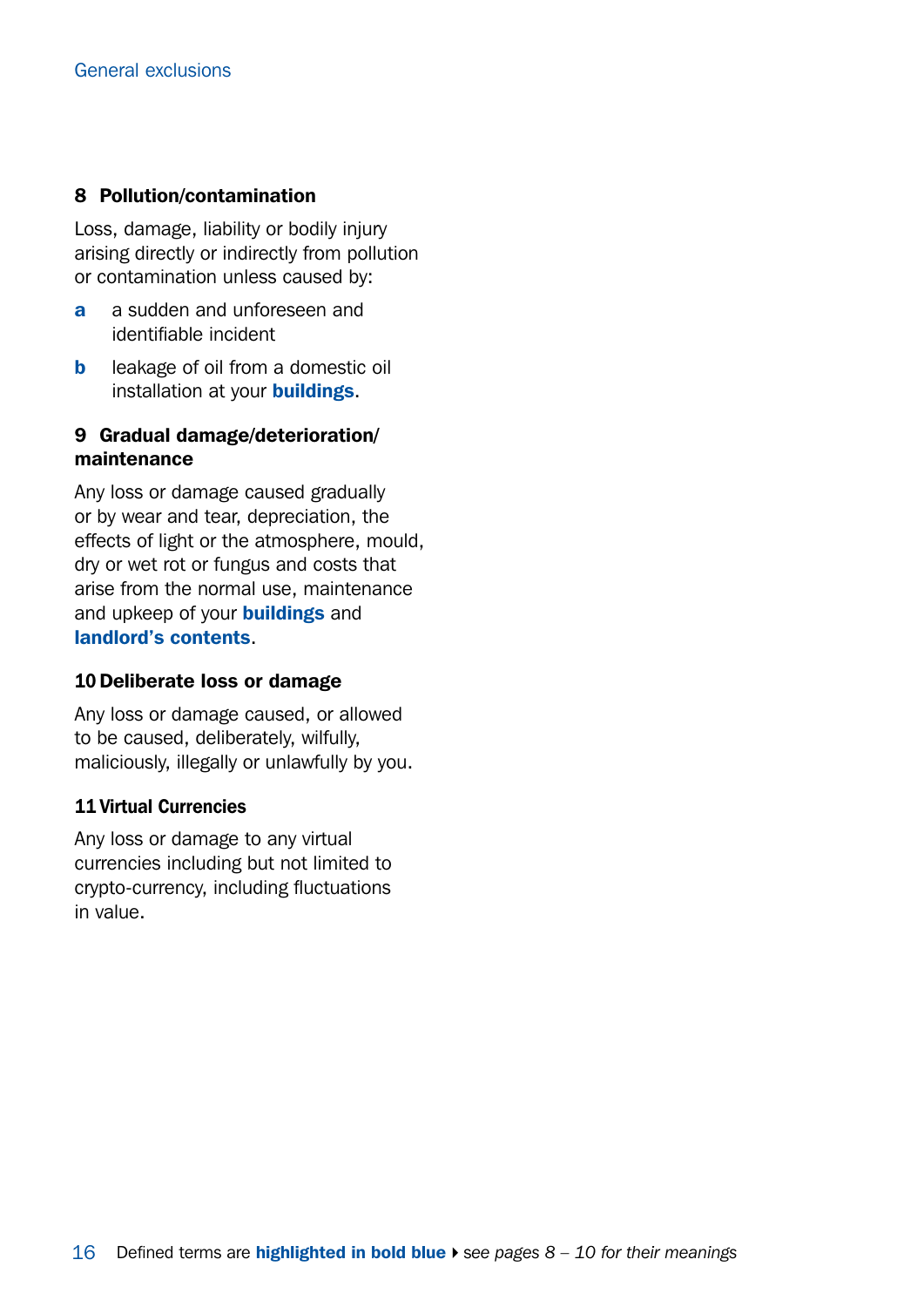#### 8 Pollution/contamination

Loss, damage, liability or bodily injury arising directly or indirectly from pollution or contamination unless caused by:

- a a sudden and unforeseen and identifiable incident
- **b** leakage of oil from a domestic oil installation at your **buildings**.

#### 9 Gradual damage/deterioration/ maintenance

Any loss or damage caused gradually or by wear and tear, depreciation, the effects of light or the atmosphere, mould, dry or wet rot or fungus and costs that arise from the normal use, maintenance and upkeep of your **buildings** and landlord's contents.

#### 10 Deliberate loss or damage

Any loss or damage caused, or allowed to be caused, deliberately, wilfully, maliciously, illegally or unlawfully by you.

#### 11 Virtual Currencies

Any loss or damage to any virtual currencies including but not limited to crypto-currency, including fluctuations in value.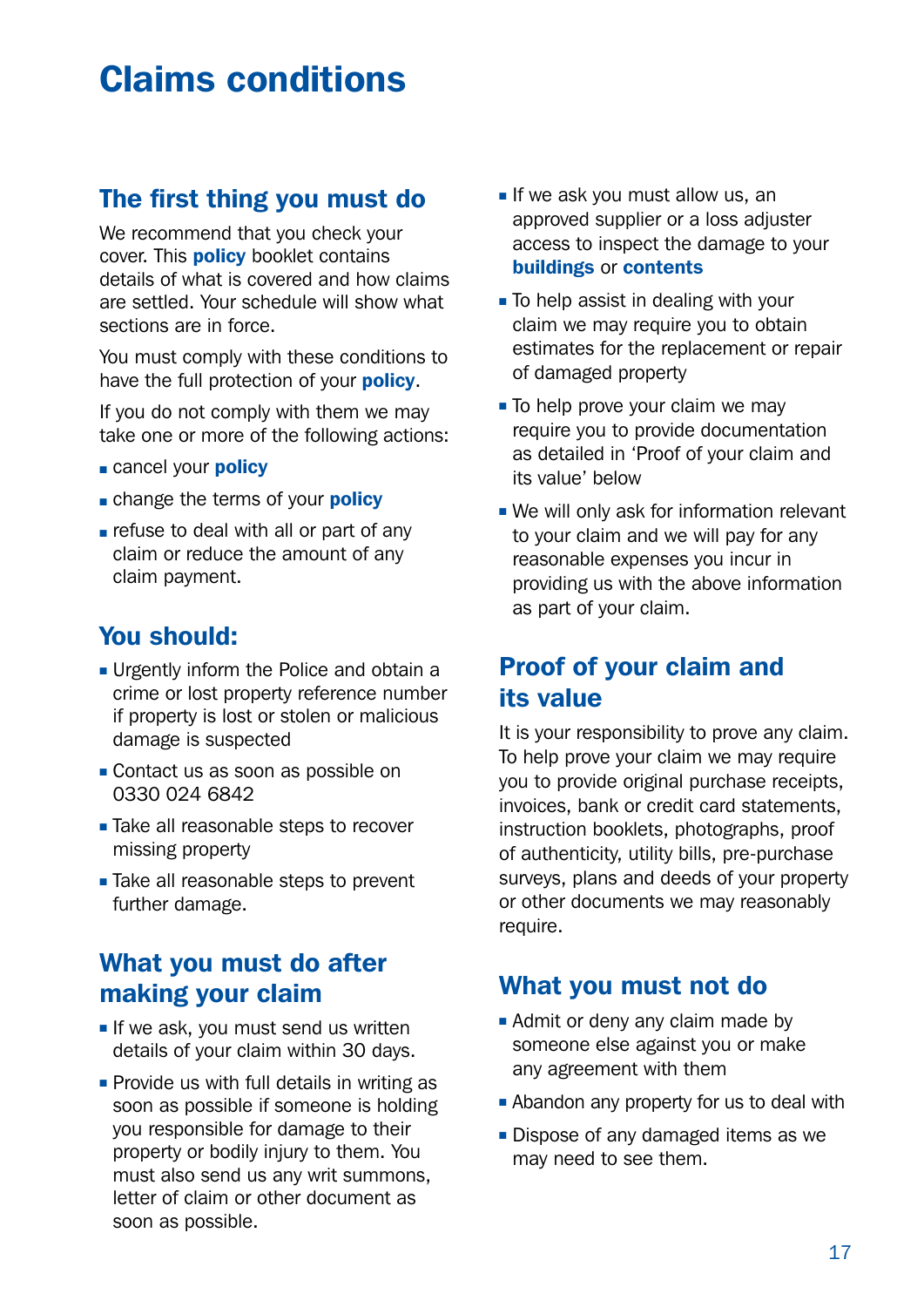## <span id="page-16-0"></span>Claims conditions

### The first thing you must do

We recommend that you check your cover. This **policy** booklet contains details of what is covered and how claims are settled. Your schedule will show what sections are in force.

You must comply with these conditions to have the full protection of your **policy**.

If you do not comply with them we may take one or more of the following actions:

- cancel your **policy**
- change the terms of your **policy**
- refuse to deal with all or part of any claim or reduce the amount of any claim payment.

## You should:

- **u** Urgently inform the Police and obtain a crime or lost property reference number if property is lost or stolen or malicious damage is suspected
- **Contact us as soon as possible on** 0330 024 6842
- **Take all reasonable steps to recover** missing property
- **n** Take all reasonable steps to prevent further damage.

## What you must do after making your claim

- $\blacksquare$  If we ask, you must send us written details of your claim within 30 days.
- $\blacksquare$  Provide us with full details in writing as soon as possible if someone is holding you responsible for damage to their property or bodily injury to them. You must also send us any writ summons, letter of claim or other document as soon as possible.
- $\blacksquare$  If we ask you must allow us, an approved supplier or a loss adjuster access to inspect the damage to your buildings or contents
- $\blacksquare$  To help assist in dealing with your claim we may require you to obtain estimates for the replacement or repair of damaged property
- $\blacksquare$  To help prove your claim we may require you to provide documentation as detailed in 'Proof of your claim and its value' below
- . We will only ask for information relevant to your claim and we will pay for any reasonable expenses you incur in providing us with the above information as part of your claim.

### Proof of your claim and its value

It is your responsibility to prove any claim. To help prove your claim we may require you to provide original purchase receipts, invoices, bank or credit card statements, instruction booklets, photographs, proof of authenticity, utility bills, pre-purchase surveys, plans and deeds of your property or other documents we may reasonably require.

### What you must not do

- $\blacksquare$  Admit or deny any claim made by someone else against you or make any agreement with them
- **Abandon any property for us to deal with**
- $\blacksquare$  Dispose of any damaged items as we may need to see them.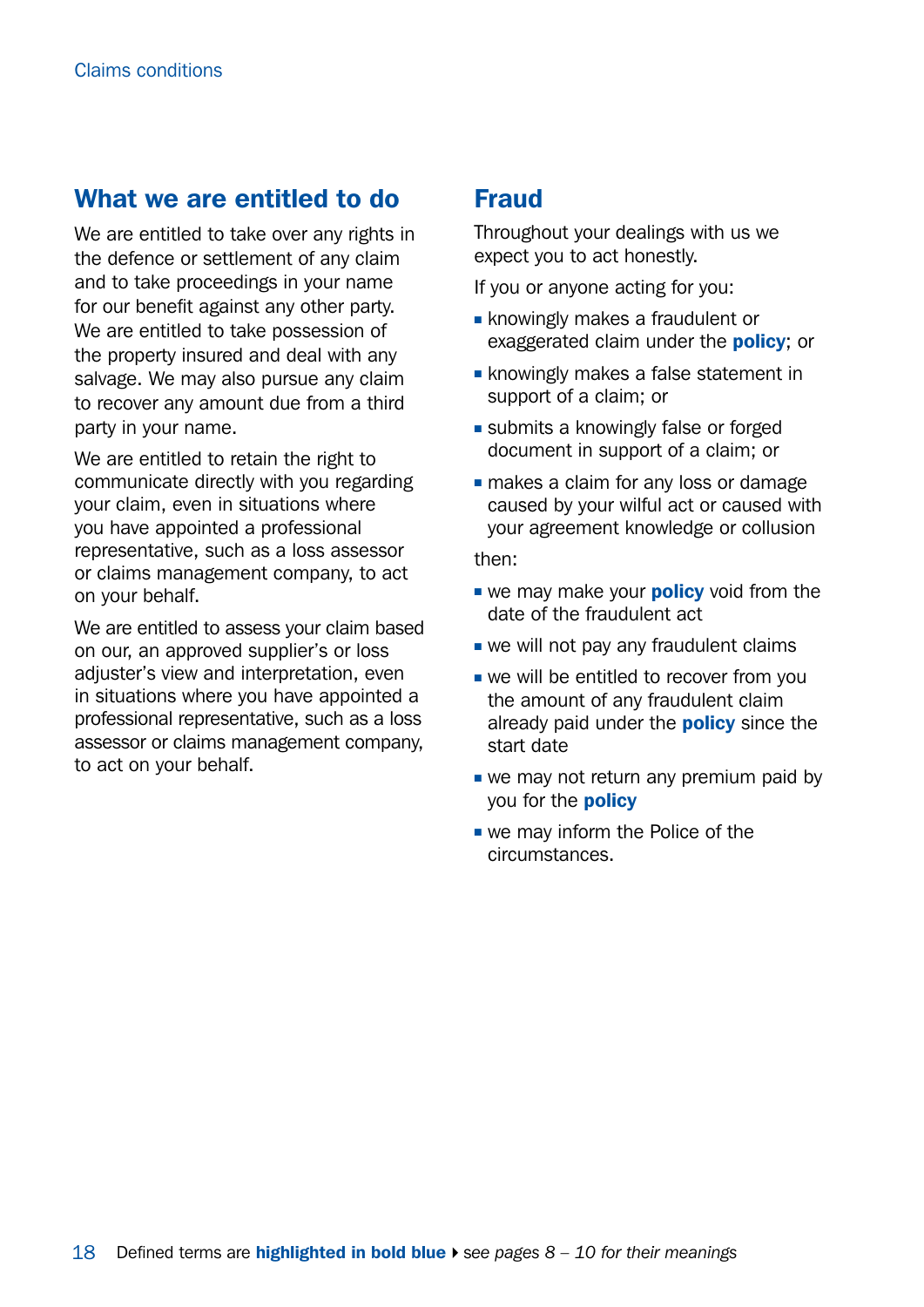#### What we are entitled to do

We are entitled to take over any rights in the defence or settlement of any claim and to take proceedings in your name for our benefit against any other party. We are entitled to take possession of the property insured and deal with any salvage. We may also pursue any claim to recover any amount due from a third party in your name.

We are entitled to retain the right to communicate directly with you regarding your claim, even in situations where you have appointed a professional representative, such as a loss assessor or claims management company, to act on your behalf.

We are entitled to assess your claim based on our, an approved supplier's or loss adjuster's view and interpretation, even in situations where you have appointed a professional representative, such as a loss assessor or claims management company, to act on your behalf.

### Fraud

Throughout your dealings with us we expect you to act honestly.

If you or anyone acting for you:

- **Exercise is knowingly makes a fraudulent or** exaggerated claim under the **policy**; or
- **Exercise in knowingly makes a false statement in** support of a claim; or
- **Example 3** submits a knowingly false or forged document in support of a claim; or
- makes a claim for any loss or damage caused by your wilful act or caused with your agreement knowledge or collusion

then:

- we may make your **policy** void from the date of the fraudulent act
- $\blacksquare$  we will not pay any fraudulent claims
- $\blacksquare$  we will be entitled to recover from you the amount of any fraudulent claim already paid under the **policy** since the start date
- $\blacksquare$  we may not return any premium paid by you for the **policy**
- $\blacksquare$  we may inform the Police of the circumstances.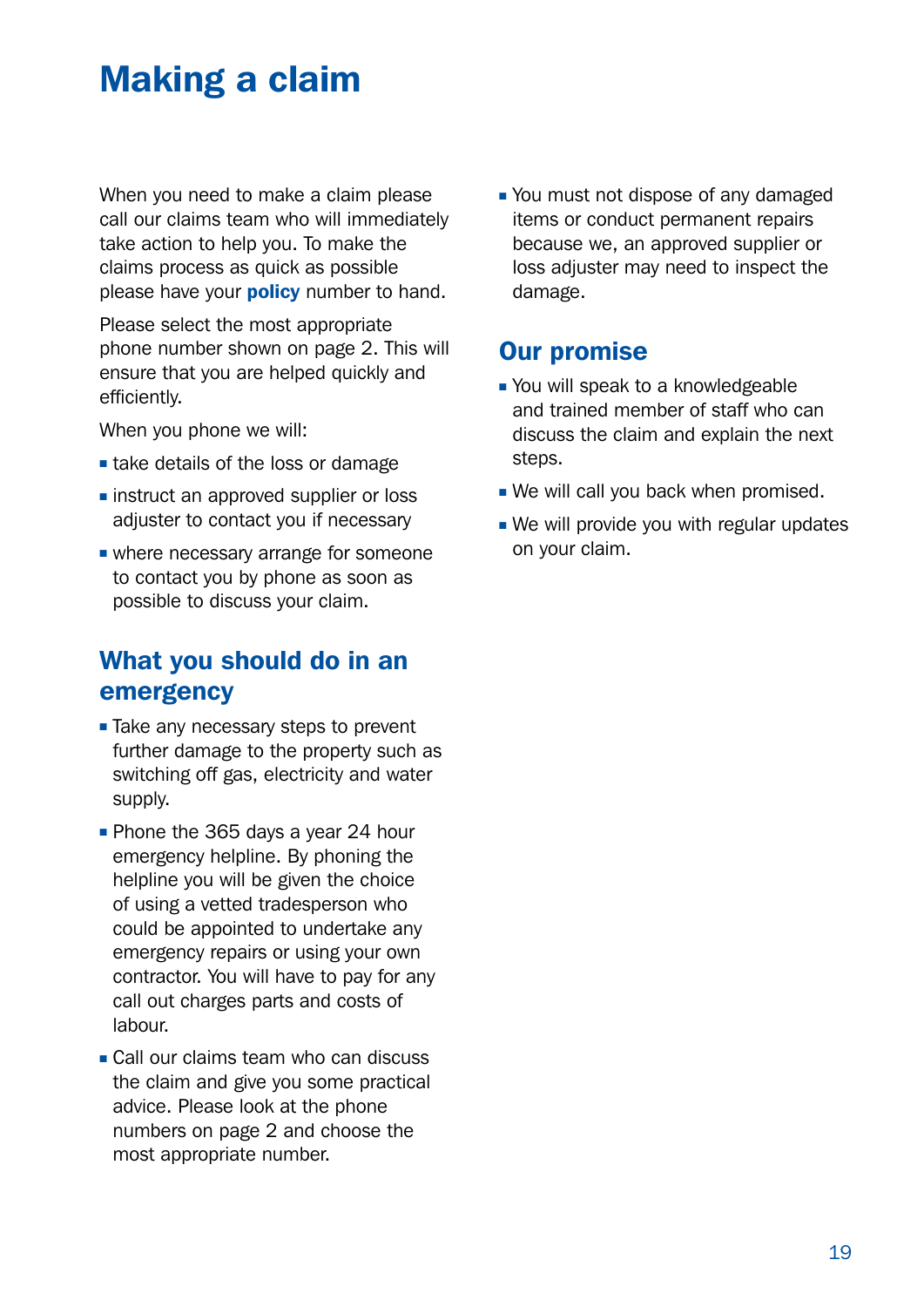## <span id="page-18-0"></span>Making a claim

When you need to make a claim please call our claims team who will immediately take action to help you. To make the claims process as quick as possible please have your **policy** number to hand.

Please select the most appropriate phone number shown on page 2. This will ensure that you are helped quickly and efficiently.

When you phone we will:

- $\blacksquare$  take details of the loss or damage
- **n** instruct an approved supplier or loss adjuster to contact you if necessary
- $\blacksquare$  where necessary arrange for someone to contact you by phone as soon as possible to discuss your claim.

### What you should do in an emergency

- **E** Take any necessary steps to prevent further damage to the property such as switching off gas, electricity and water supply.
- Phone the 365 days a year 24 hour emergency helpline. By phoning the helpline you will be given the choice of using a vetted tradesperson who could be appointed to undertake any emergency repairs or using your own contractor. You will have to pay for any call out charges parts and costs of labour.
- <sup>n</sup> Call our claims team who can discuss the claim and give you some practical advice. Please look at the phone numbers on page 2 and choose the most appropriate number.

• You must not dispose of any damaged items or conduct permanent repairs because we, an approved supplier or loss adjuster may need to inspect the damage.

#### Our promise

- You will speak to a knowledgeable and trained member of staff who can discuss the claim and explain the next steps.
- . We will call you back when promised.
- $\blacksquare$  We will provide you with regular updates on your claim.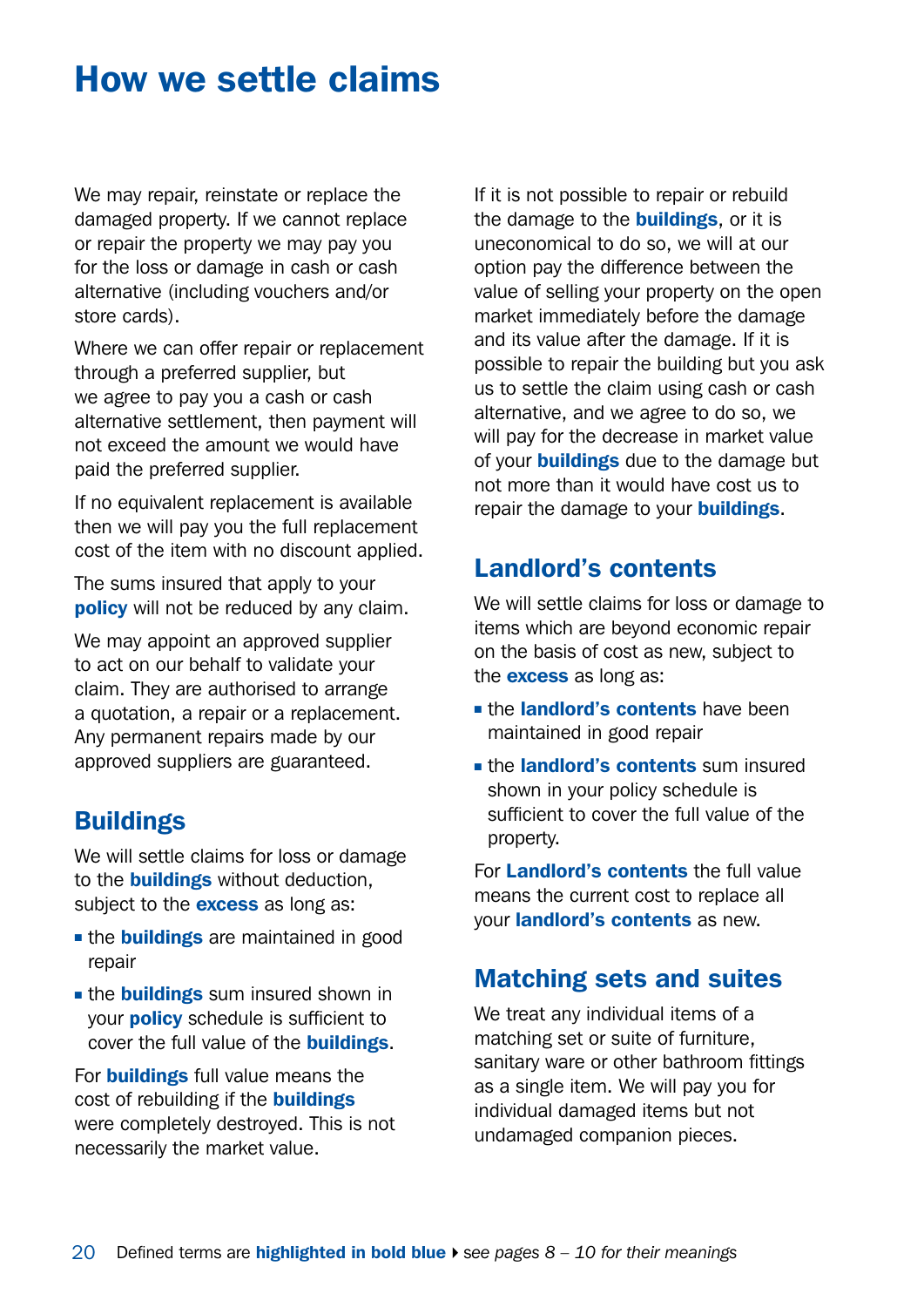## <span id="page-19-0"></span>How we settle claims

We may repair, reinstate or replace the damaged property. If we cannot replace or repair the property we may pay you for the loss or damage in cash or cash alternative (including vouchers and/or store cards).

Where we can offer repair or replacement through a preferred supplier, but we agree to pay you a cash or cash alternative settlement, then payment will not exceed the amount we would have paid the preferred supplier.

If no equivalent replacement is available then we will pay you the full replacement cost of the item with no discount applied.

The sums insured that apply to your **policy** will not be reduced by any claim.

We may appoint an approved supplier to act on our behalf to validate your claim. They are authorised to arrange a quotation, a repair or a replacement. Any permanent repairs made by our approved suppliers are guaranteed.

#### **Buildings**

We will settle claims for loss or damage to the **buildings** without deduction. subject to the **excess** as long as:

- **n** the **buildings** are maintained in good repair
- the **buildings** sum insured shown in your policy schedule is sufficient to cover the full value of the **buildings**.

For **buildings** full value means the cost of rebuilding if the **buildings** were completely destroyed. This is not necessarily the market value.

If it is not possible to repair or rebuild the damage to the **buildings**, or it is uneconomical to do so, we will at our option pay the difference between the value of selling your property on the open market immediately before the damage and its value after the damage. If it is possible to repair the building but you ask us to settle the claim using cash or cash alternative, and we agree to do so, we will pay for the decrease in market value of your **buildings** due to the damage but not more than it would have cost us to repair the damage to your **buildings**.

#### Landlord's contents

We will settle claims for loss or damage to items which are beyond economic repair on the basis of cost as new, subject to the **excess** as long as:

- **n** the landlord's contents have been maintained in good repair
- the landlord's contents sum insured shown in your policy schedule is sufficient to cover the full value of the property.

For Landlord's contents the full value means the current cost to replace all your landlord's contents as new.

#### Matching sets and suites

We treat any individual items of a matching set or suite of furniture, sanitary ware or other bathroom fittings as a single item. We will pay you for individual damaged items but not undamaged companion pieces.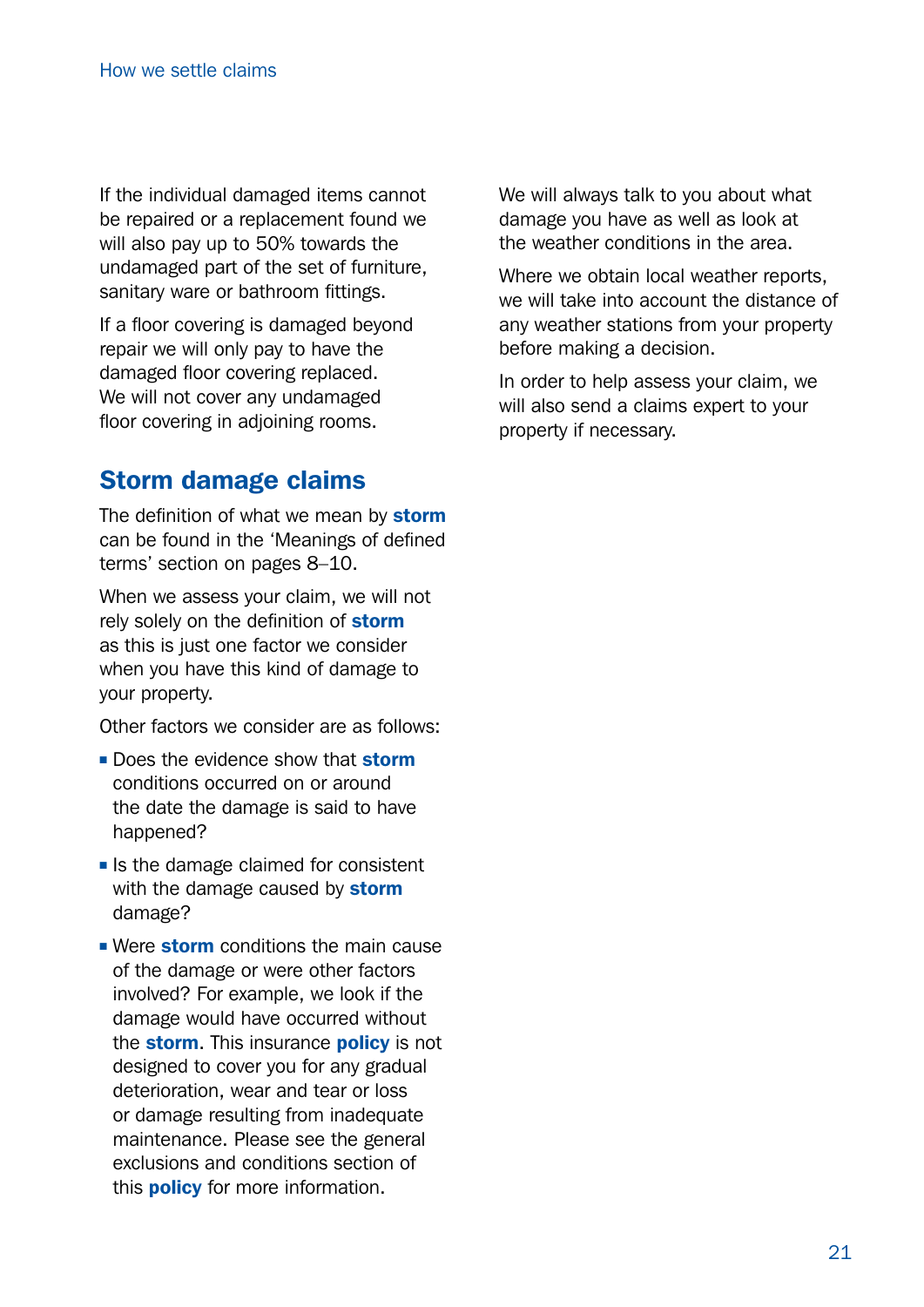If the individual damaged items cannot be repaired or a replacement found we will also pay up to 50% towards the undamaged part of the set of furniture, sanitary ware or bathroom fittings.

If a floor covering is damaged beyond repair we will only pay to have the damaged floor covering replaced. We will not cover any undamaged floor covering in adjoining rooms.

### Storm damage claims

The definition of what we mean by storm can be found in the 'Meanings of defined terms' section on pages 8–10.

When we assess your claim, we will not rely solely on the definition of storm as this is just one factor we consider when you have this kind of damage to your property.

Other factors we consider are as follows:

- n Does the evidence show that storm conditions occurred on or around the date the damage is said to have happened?
- $\blacksquare$  Is the damage claimed for consistent with the damage caused by storm damage?
- **Nere storm** conditions the main cause of the damage or were other factors involved? For example, we look if the damage would have occurred without the **storm**. This insurance **policy** is not designed to cover you for any gradual deterioration, wear and tear or loss or damage resulting from inadequate maintenance. Please see the general exclusions and conditions section of this **policy** for more information.

We will always talk to you about what damage you have as well as look at the weather conditions in the area.

Where we obtain local weather reports, we will take into account the distance of any weather stations from your property before making a decision.

In order to help assess your claim, we will also send a claims expert to your property if necessary.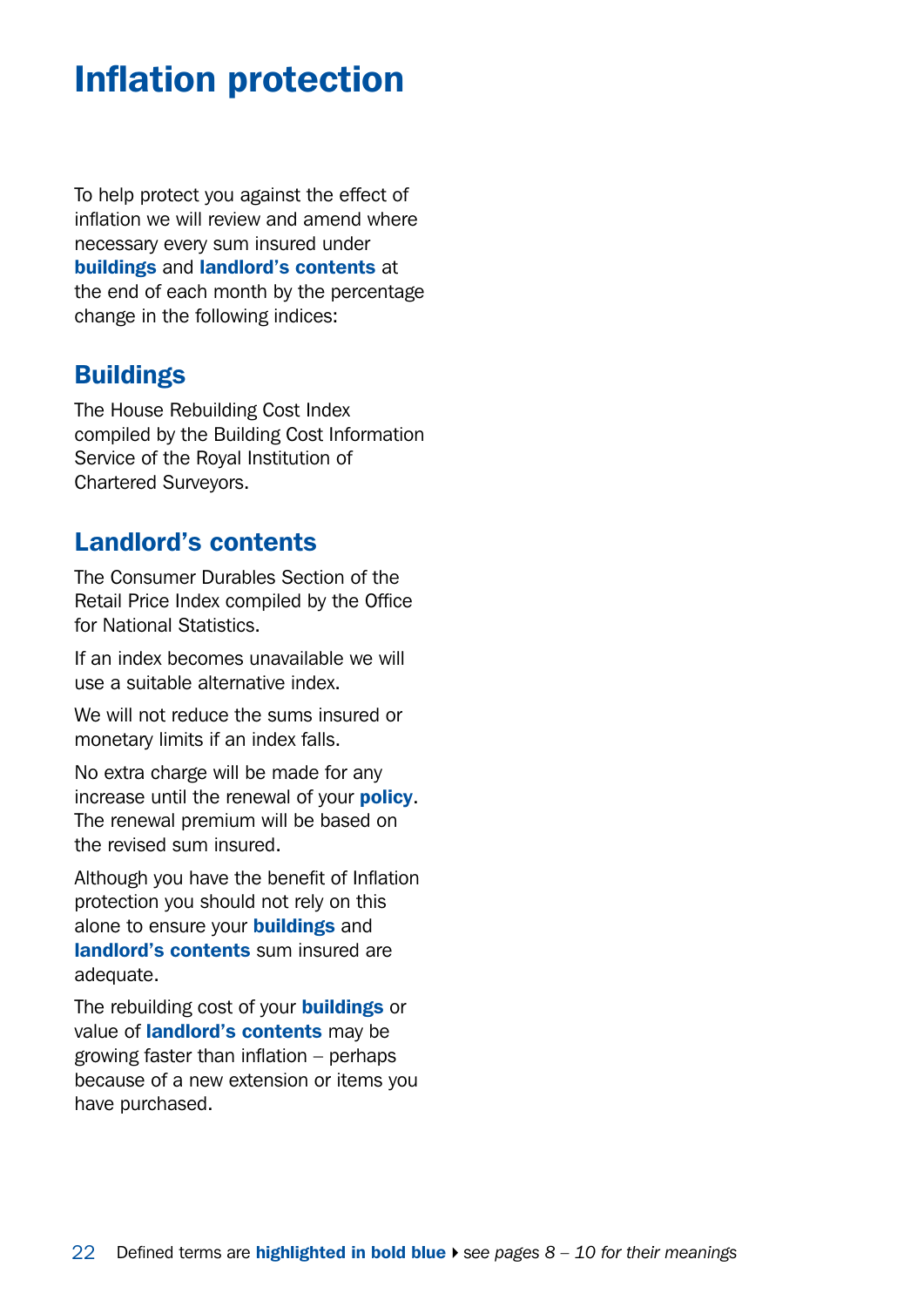## <span id="page-21-0"></span>Inflation protection

To help protect you against the effect of inflation we will review and amend where necessary every sum insured under buildings and landlord's contents at the end of each month by the percentage change in the following indices:

#### **Buildings**

The House Rebuilding Cost Index compiled by the Building Cost Information Service of the Royal Institution of Chartered Surveyors.

### Landlord's contents

The Consumer Durables Section of the Retail Price Index compiled by the Office for National Statistics.

If an index becomes unavailable we will use a suitable alternative index.

We will not reduce the sums insured or monetary limits if an index falls.

No extra charge will be made for any increase until the renewal of your policy. The renewal premium will be based on the revised sum insured.

Although you have the benefit of Inflation protection you should not rely on this alone to ensure your **buildings** and landlord's contents sum insured are adequate.

The rebuilding cost of your **buildings** or value of **landlord's contents** may be growing faster than inflation – perhaps because of a new extension or items you have purchased.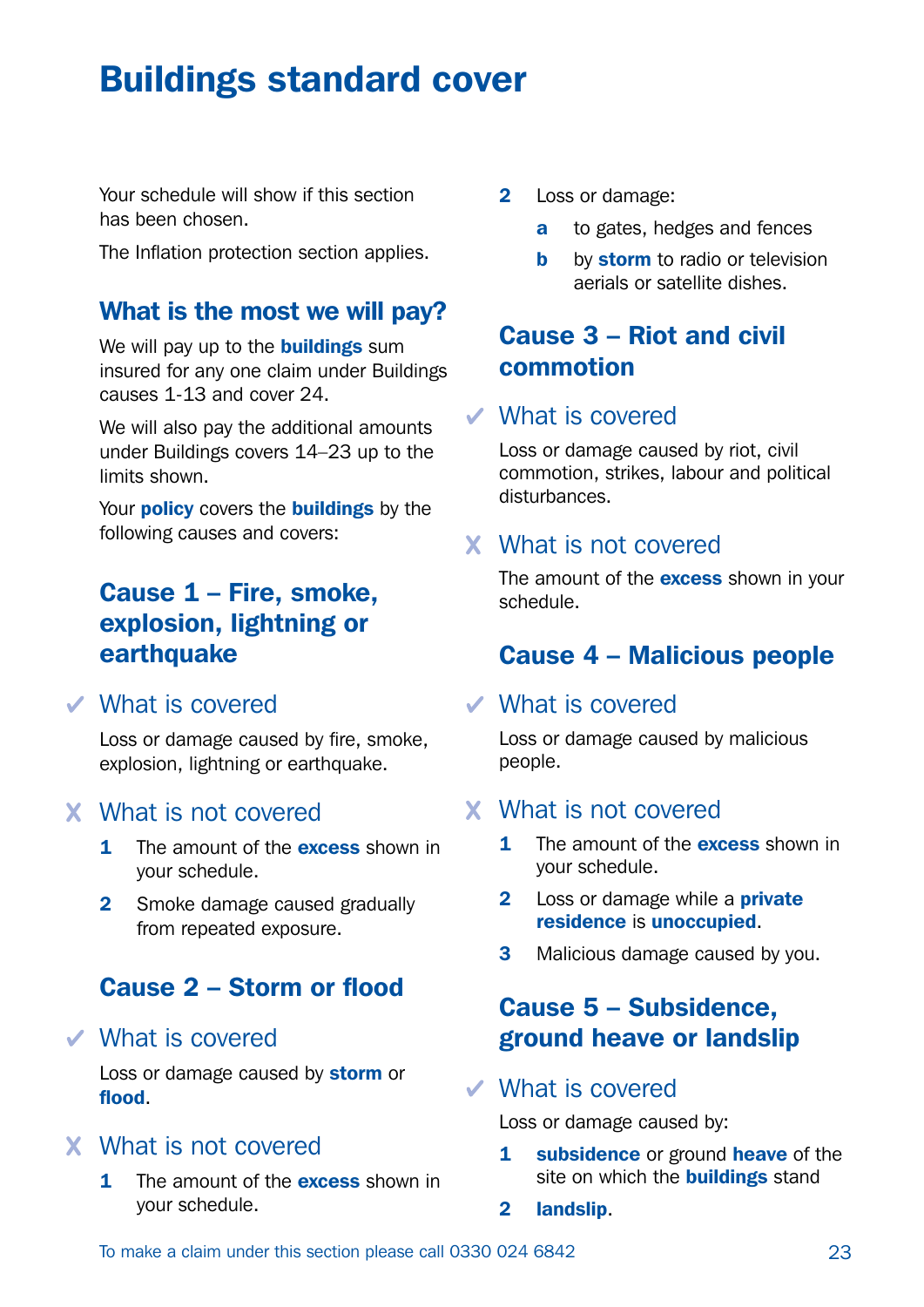## <span id="page-22-0"></span>Buildings standard cover

Your schedule will show if this section has been chosen.

The Inflation protection section applies.

#### What is the most we will pay?

We will pay up to the **buildings** sum insured for any one claim under Buildings causes 1-13 and cover 24.

We will also pay the additional amounts under Buildings covers 14–23 up to the limits shown.

Your **policy** covers the **buildings** by the following causes and covers:

### Cause 1 – Fire, smoke, explosion, lightning or earthquake

#### What is covered

Loss or damage caused by fire, smoke, explosion, lightning or earthquake.

#### What is not covered

- 1 The amount of the **excess** shown in your schedule.
- 2 Smoke damage caused gradually from repeated exposure.

### Cause 2 – Storm or flood

What is covered

Loss or damage caused by **storm** or flood.

#### What is not covered

1 The amount of the **excess** shown in your schedule.

- 2 Loss or damage:
	- a to gates, hedges and fences
	- **b** by storm to radio or television aerials or satellite dishes.

### Cause 3 – Riot and civil commotion

#### What is covered

Loss or damage caused by riot, civil commotion, strikes, labour and political disturbances.

#### What is not covered

The amount of the **excess** shown in your schedule.

#### Cause 4 – Malicious people

#### What is covered

Loss or damage caused by malicious people.

#### What is not covered

- 1 The amount of the **excess** shown in your schedule.
- 2 Loss or damage while a **private** residence is unoccupied.
- **3** Malicious damage caused by you.

### Cause 5 – Subsidence, ground heave or landslip

#### What is covered

Loss or damage caused by:

- 1 subsidence or ground heave of the site on which the **buildings** stand
- 2 landslip.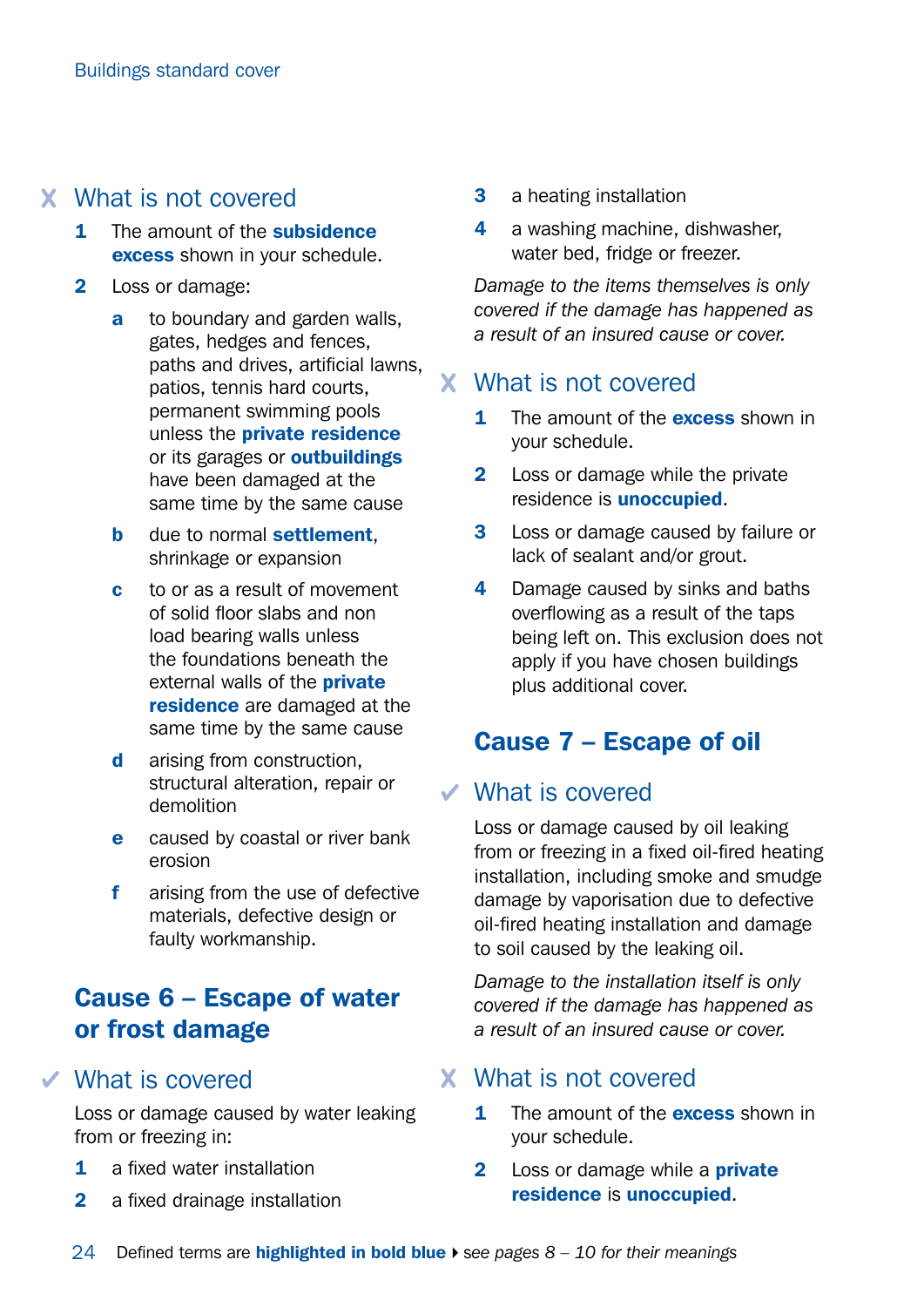### What is not covered

- 1 The amount of the subsidence excess shown in your schedule.
- 2 Loss or damage:
	- a to boundary and garden walls, gates, hedges and fences, paths and drives, artificial lawns, patios, tennis hard courts, permanent swimming pools unless the private residence or its garages or **outbuildings** have been damaged at the same time by the same cause
	- **b** due to normal **settlement**. shrinkage or expansion
	- c to or as a result of movement of solid floor slabs and non load bearing walls unless the foundations beneath the external walls of the **private** residence are damaged at the same time by the same cause
	- d arising from construction, structural alteration, repair or demolition
	- e caused by coastal or river bank erosion
	- f arising from the use of defective materials, defective design or faulty workmanship.

### Cause 6 – Escape of water or frost damage

#### What is covered

Loss or damage caused by water leaking from or freezing in:

- 1 a fixed water installation
- 2 a fixed drainage installation
- **3** a heating installation
- 4 a washing machine, dishwasher, water bed, fridge or freezer.

*Damage to the items themselves is only covered if the damage has happened as a result of an insured cause or cover.*

#### What is not covered

- **1** The amount of the **excess** shown in your schedule.
- 2 Loss or damage while the private residence is unoccupied.
- **3** Loss or damage caused by failure or lack of sealant and/or grout.
- 4 Damage caused by sinks and baths overflowing as a result of the taps being left on. This exclusion does not apply if you have chosen buildings plus additional cover.

### Cause 7 – Escape of oil

#### What is covered

Loss or damage caused by oil leaking from or freezing in a fixed oil-fired heating installation, including smoke and smudge damage by vaporisation due to defective oil-fired heating installation and damage to soil caused by the leaking oil.

*Damage to the installation itself is only covered if the damage has happened as a result of an insured cause or cover.*

#### What is not covered

- 1 The amount of the **excess** shown in your schedule.
- 2 Loss or damage while a **private** residence is unoccupied.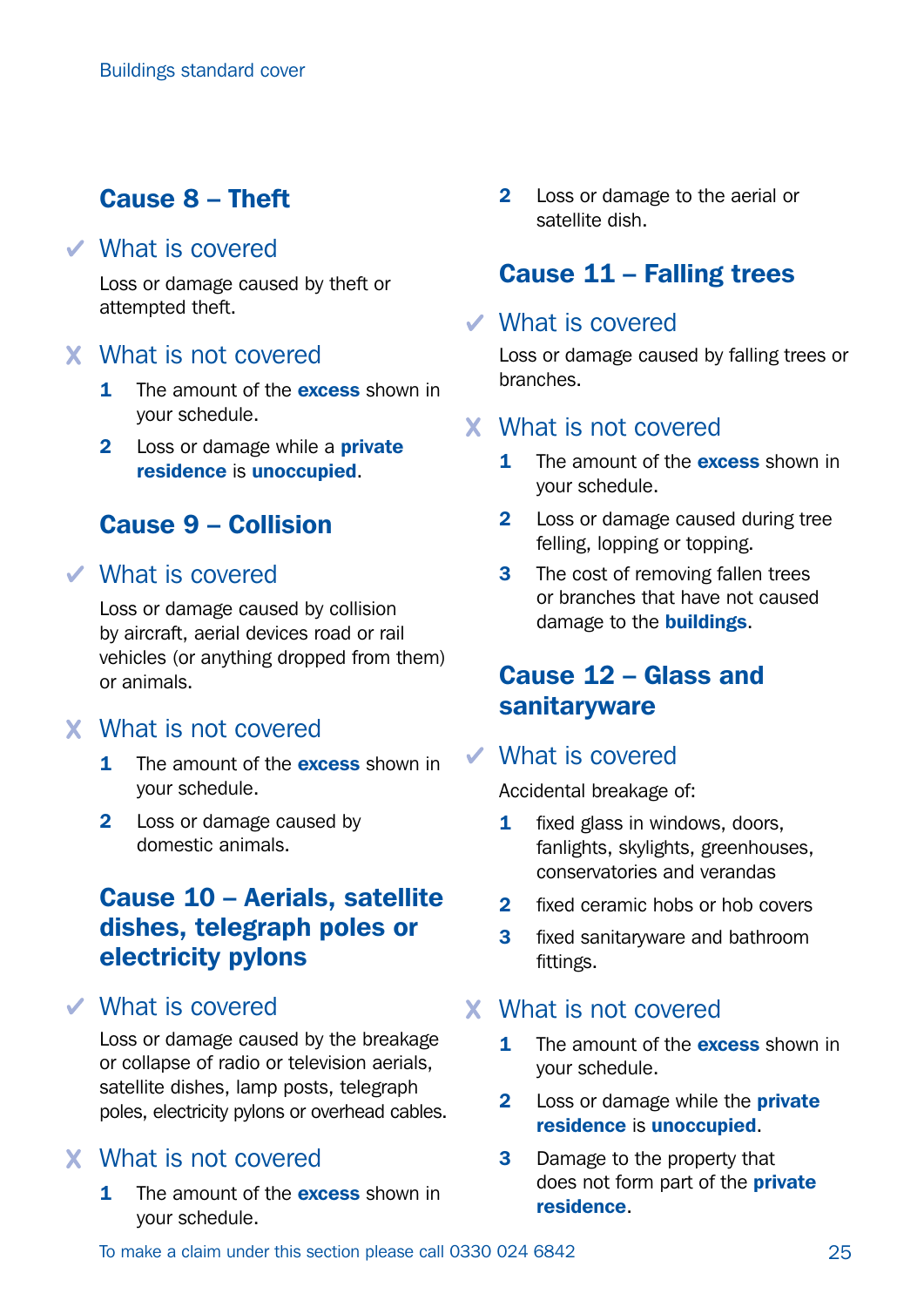### Cause 8 – Theft

#### What is covered

Loss or damage caused by theft or attempted theft.

#### What is not covered

- 1 The amount of the **excess** shown in your schedule.
- 2 Loss or damage while a **private** residence is unoccupied.

### Cause 9 – Collision

#### What is covered

Loss or damage caused by collision by aircraft, aerial devices road or rail vehicles (or anything dropped from them) or animals.

#### What is not covered

- 1 The amount of the **excess** shown in your schedule.
- 2 Loss or damage caused by domestic animals.

### Cause 10 – Aerials, satellite dishes, telegraph poles or electricity pylons

#### What is covered

Loss or damage caused by the breakage or collapse of radio or television aerials, satellite dishes, lamp posts, telegraph poles, electricity pylons or overhead cables.

#### What is not covered

1 The amount of the **excess** shown in your schedule.

2 Loss or damage to the aerial or satellite dish.

### Cause 11 – Falling trees

#### What is covered

Loss or damage caused by falling trees or branches.

#### What is not covered

- 1 The amount of the **excess** shown in your schedule.
- 2 Loss or damage caused during tree felling, lopping or topping.
- **3** The cost of removing fallen trees or branches that have not caused damage to the **buildings**.

### Cause 12 – Glass and **sanitaryware**

#### What is covered

Accidental breakage of:

- 1 fixed glass in windows, doors, fanlights, skylights, greenhouses, conservatories and verandas
- 2 fixed ceramic hobs or hob covers
- **3** fixed sanitaryware and bathroom fittings.

#### What is not covered

- 1 The amount of the **excess** shown in your schedule.
- 2 Loss or damage while the **private** residence is unoccupied.
- **3** Damage to the property that does not form part of the **private** residence.

To make a claim under this section please call 0330 024 6842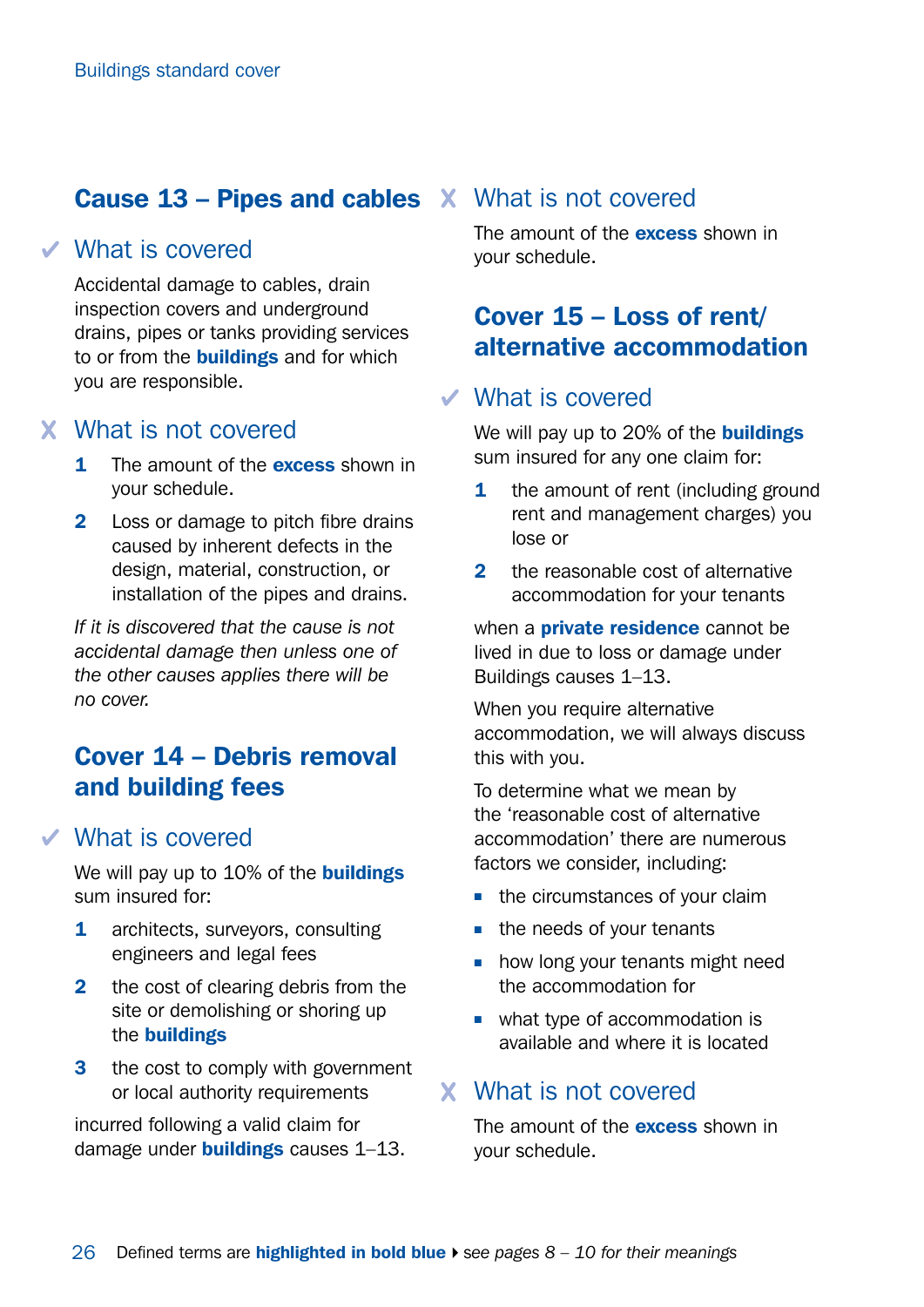### **Cause 13 - Pipes and cables X What is not covered**

#### What is covered

Accidental damage to cables, drain inspection covers and underground drains, pipes or tanks providing services to or from the **buildings** and for which you are responsible.

#### What is not covered

- 1 The amount of the **excess** shown in your schedule.
- 2 Loss or damage to pitch fibre drains caused by inherent defects in the design, material, construction, or installation of the pipes and drains.

*If it is discovered that the cause is not accidental damage then unless one of the other causes applies there will be no cover.*

### Cover 14 – Debris removal and building fees

#### What is covered

We will pay up to 10% of the **buildings** sum insured for:

- 1 architects, surveyors, consulting engineers and legal fees
- 2 the cost of clearing debris from the site or demolishing or shoring up the buildings
- **3** the cost to comply with government or local authority requirements

incurred following a valid claim for damage under **buildings** causes 1-13.

The amount of the **excess** shown in your schedule.

### Cover 15 – Loss of rent/ alternative accommodation

#### What is covered

We will pay up to 20% of the **buildings** sum insured for any one claim for:

- **1** the amount of rent (including ground rent and management charges) you lose or
- 2 the reasonable cost of alternative accommodation for your tenants

when a **private residence** cannot be lived in due to loss or damage under Buildings causes 1–13.

When you require alternative accommodation, we will always discuss this with you.

To determine what we mean by the 'reasonable cost of alternative accommodation' there are numerous factors we consider, including:

- $\blacksquare$  the circumstances of your claim
- $\blacksquare$  the needs of your tenants
- $\blacksquare$  how long your tenants might need the accommodation for
- $\blacksquare$  what type of accommodation is available and where it is located

#### What is not covered

The amount of the **excess** shown in your schedule.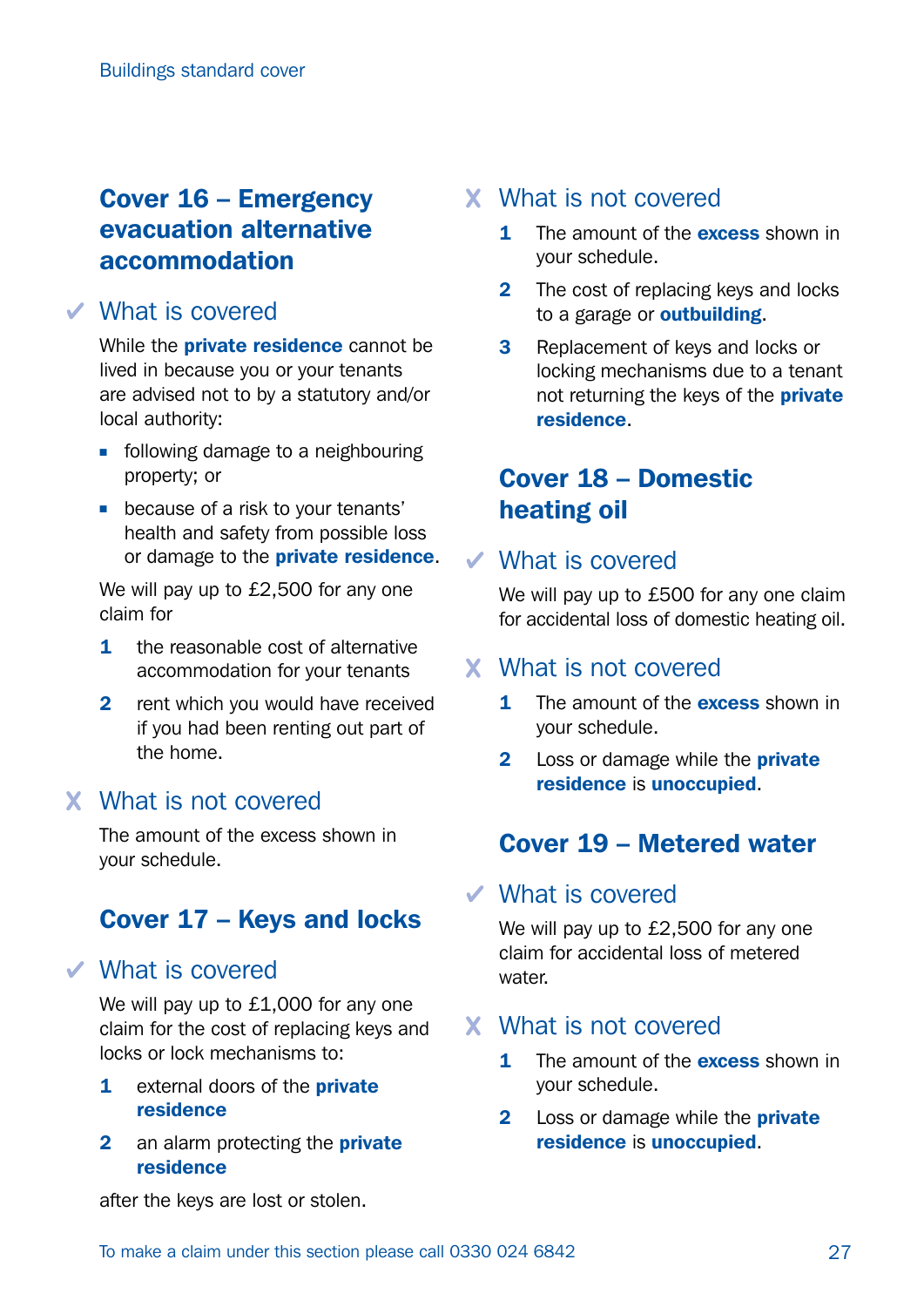## Cover 16 – Emergency evacuation alternative accommodation

#### What is covered

While the **private residence** cannot be lived in because you or your tenants are advised not to by a statutory and/or local authority:

- $\blacksquare$  following damage to a neighbouring property; or
- **n** because of a risk to your tenants' health and safety from possible loss or damage to the private residence.

We will pay up to £2,500 for any one claim for

- 1 the reasonable cost of alternative accommodation for your tenants
- 2 rent which you would have received if you had been renting out part of the home.

#### What is not covered

The amount of the excess shown in your schedule.

## Cover 17 – Keys and locks

#### What is covered

We will pay up to £1,000 for any one claim for the cost of replacing keys and locks or lock mechanisms to:

- 1 external doors of the **private** residence
- 2 an alarm protecting the **private** residence

#### What is not covered

- **1** The amount of the **excess** shown in your schedule.
- 2 The cost of replacing keys and locks to a garage or **outbuilding**.
- **3** Replacement of keys and locks or locking mechanisms due to a tenant not returning the keys of the **private** residence.

### Cover 18 – Domestic heating oil

#### What is covered

We will pay up to £500 for any one claim for accidental loss of domestic heating oil.

#### What is not covered

- 1 The amount of the **excess** shown in your schedule.
- 2 Loss or damage while the **private** residence is unoccupied.

### Cover 19 – Metered water

#### What is covered

We will pay up to £2,500 for any one claim for accidental loss of metered water.

#### What is not covered

- 1 The amount of the **excess** shown in your schedule.
- 2 Loss or damage while the **private** residence is unoccupied.

after the keys are lost or stolen.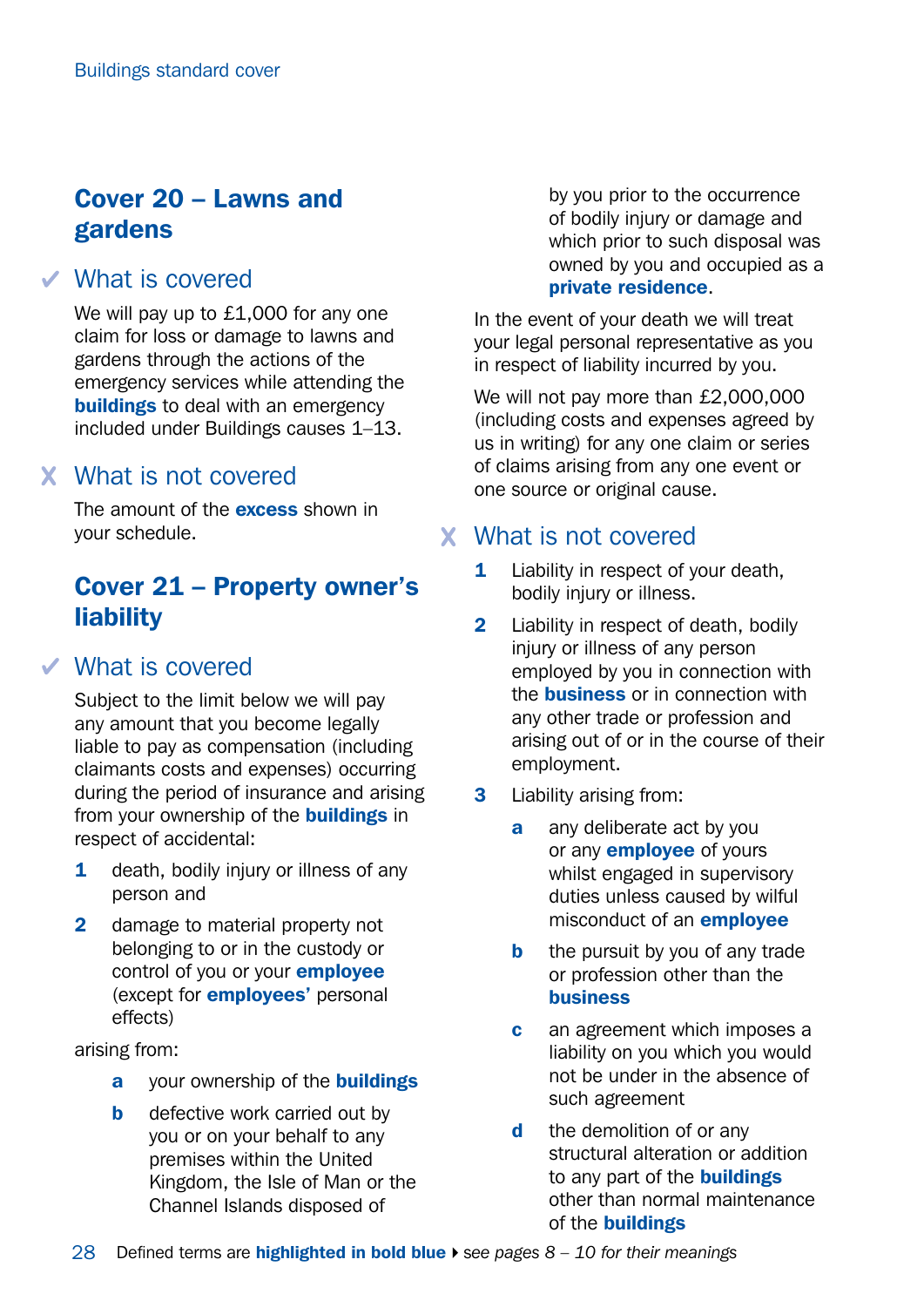## Cover 20 – Lawns and gardens

#### What is covered

We will pay up to £1,000 for any one claim for loss or damage to lawns and gardens through the actions of the emergency services while attending the **buildings** to deal with an emergency included under Buildings causes 1–13.

### What is not covered

The amount of the **excess** shown in your schedule.

### Cover 21 – Property owner's liability

#### What is covered

Subject to the limit below we will pay any amount that you become legally liable to pay as compensation (including claimants costs and expenses) occurring during the period of insurance and arising from your ownership of the **buildings** in respect of accidental:

- 1 death, bodily injury or illness of any person and
- 2 damage to material property not belonging to or in the custody or control of you or your **employee** (except for employees' personal effects)

arising from:

- a your ownership of the **buildings**
- **b** defective work carried out by you or on your behalf to any premises within the United Kingdom, the Isle of Man or the Channel Islands disposed of

by you prior to the occurrence of bodily injury or damage and which prior to such disposal was owned by you and occupied as a private residence.

In the event of your death we will treat your legal personal representative as you in respect of liability incurred by you.

We will not pay more than £2,000,000 (including costs and expenses agreed by us in writing) for any one claim or series of claims arising from any one event or one source or original cause.

#### What is not covered

- **1** Liability in respect of your death, bodily injury or illness.
- **2** Liability in respect of death, bodily injury or illness of any person employed by you in connection with the **business** or in connection with any other trade or profession and arising out of or in the course of their employment.
- 3 Liability arising from:
	- **a** any deliberate act by you or any **employee** of yours whilst engaged in supervisory duties unless caused by wilful misconduct of an employee
	- **b** the pursuit by you of any trade or profession other than the business
	- **c** an agreement which imposes a liability on you which you would not be under in the absence of such agreement
	- d the demolition of or any structural alteration or addition to any part of the **buildings** other than normal maintenance of the buildings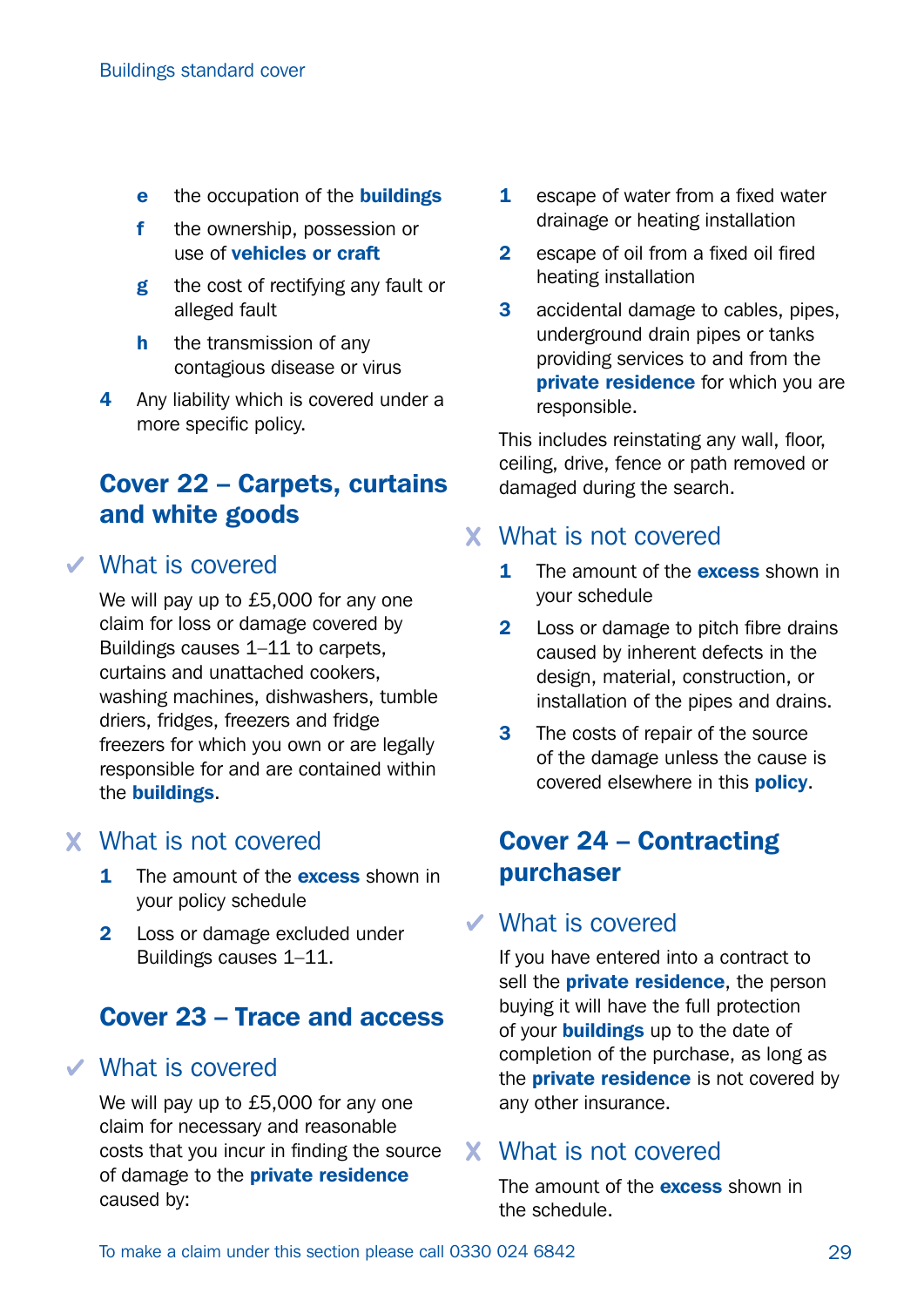- e the occupation of the **buildings**
- f the ownership, possession or use of vehicles or craft
- g the cost of rectifying any fault or alleged fault
- **h** the transmission of any contagious disease or virus
- 4 Any liability which is covered under a more specific policy.

## Cover 22 – Carpets, curtains and white goods

#### What is covered

We will pay up to £5,000 for any one claim for loss or damage covered by Buildings causes 1–11 to carpets, curtains and unattached cookers, washing machines, dishwashers, tumble driers, fridges, freezers and fridge freezers for which you own or are legally responsible for and are contained within the buildings.

#### What is not covered

- **1** The amount of the **excess** shown in your policy schedule
- 2 Loss or damage excluded under Buildings causes 1–11.

### Cover 23 – Trace and access

#### What is covered

We will pay up to £5,000 for any one claim for necessary and reasonable costs that you incur in finding the source of damage to the **private residence** caused by:

- **1** escape of water from a fixed water drainage or heating installation
- 2 escape of oil from a fixed oil fired heating installation
- **3** accidental damage to cables, pipes, underground drain pipes or tanks providing services to and from the private residence for which you are responsible.

This includes reinstating any wall, floor, ceiling, drive, fence or path removed or damaged during the search.

#### What is not covered

- 1 The amount of the **excess** shown in your schedule
- 2 Loss or damage to pitch fibre drains caused by inherent defects in the design, material, construction, or installation of the pipes and drains.
- **3** The costs of repair of the source of the damage unless the cause is covered elsewhere in this **policy**.

#### Cover 24 – Contracting purchaser

#### $\checkmark$  What is covered

If you have entered into a contract to sell the **private residence**, the person buying it will have the full protection of your **buildings** up to the date of completion of the purchase, as long as the **private residence** is not covered by any other insurance.

#### What is not covered

The amount of the **excess** shown in the schedule.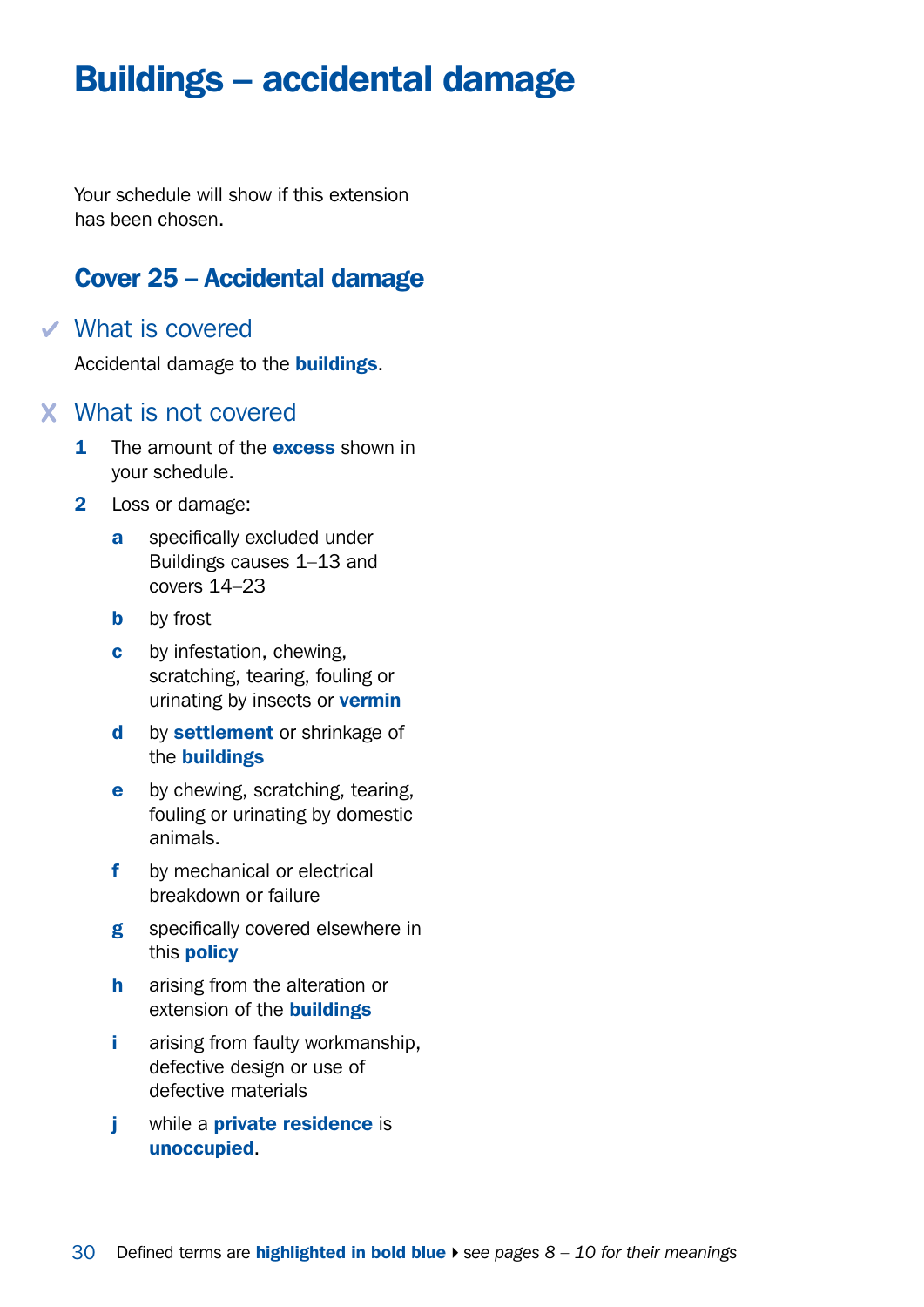## <span id="page-29-0"></span>Buildings – accidental damage

Your schedule will show if this extension has been chosen.

#### Cover 25 – Accidental damage

#### What is covered

Accidental damage to the **buildings**.

#### What is not covered

- 1 The amount of the **excess** shown in your schedule.
- 2 Loss or damage:
	- a specifically excluded under Buildings causes 1–13 and covers 14–23
	- **b** by frost
	- c by infestation, chewing, scratching, tearing, fouling or urinating by insects or **vermin**
	- d by settlement or shrinkage of the buildings
	- **e** by chewing, scratching, tearing, fouling or urinating by domestic animals.
	- f by mechanical or electrical breakdown or failure
	- g specifically covered elsewhere in this policy
	- h arising from the alteration or extension of the **buildings**
	- i arising from faulty workmanship. defective design or use of defective materials
	- j while a **private residence** is unoccupied.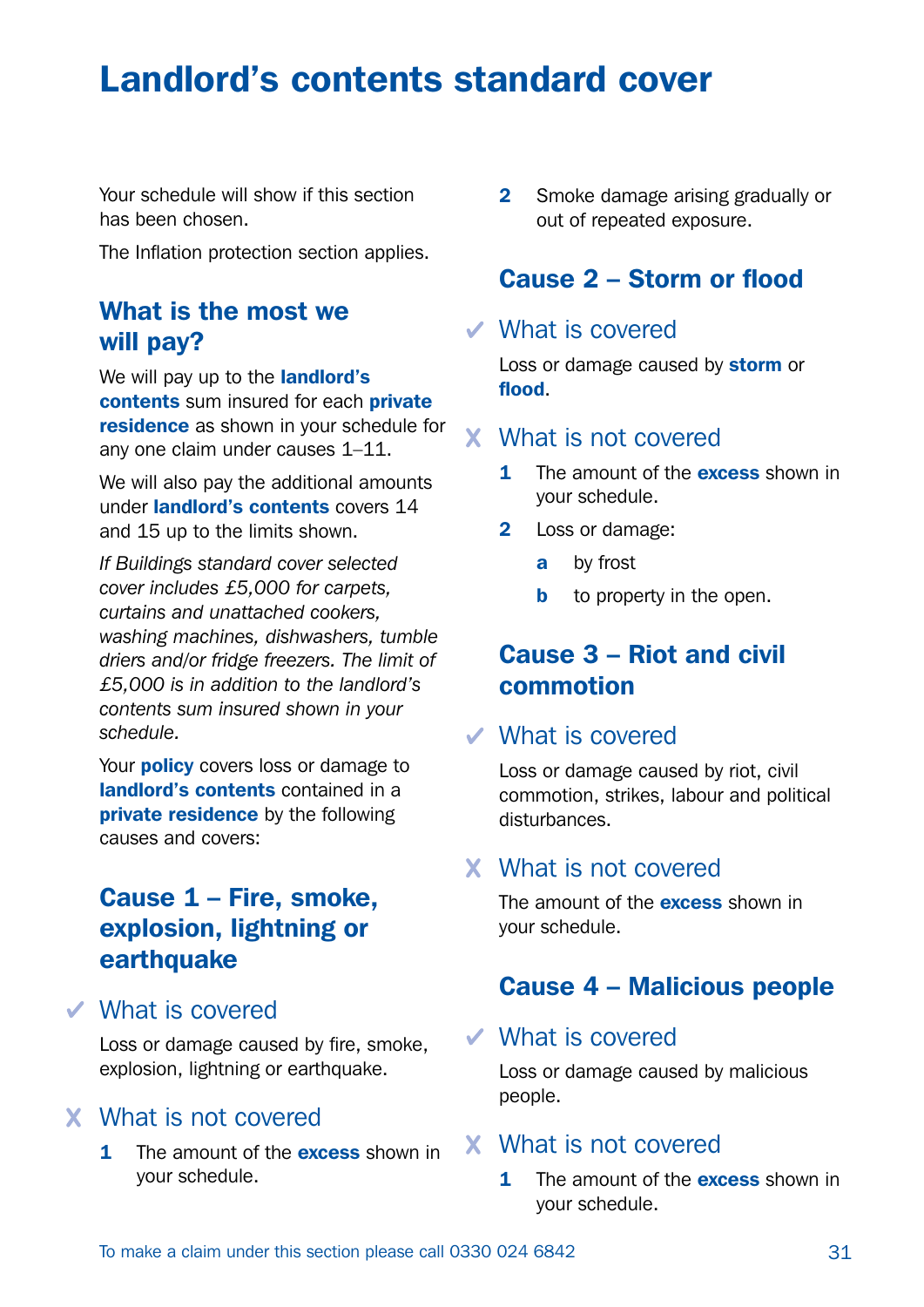## Landlord's contents standard cover

Your schedule will show if this section has been chosen.

The Inflation protection section applies.

#### What is the most we will pay?

We will pay up to the **landlord's** contents sum insured for each private residence as shown in your schedule for any one claim under causes 1–11.

We will also pay the additional amounts under landlord's contents covers 14 and 15 up to the limits shown.

*If Buildings standard cover selected cover includes £5,000 for carpets, curtains and unattached cookers, washing machines, dishwashers, tumble driers and/or fridge freezers. The limit of £5,000 is in addition to the landlord's contents sum insured shown in your schedule.*

Your **policy** covers loss or damage to landlord's contents contained in a **private residence** by the following causes and covers:

### Cause 1 – Fire, smoke, explosion, lightning or earthquake

What is covered

Loss or damage caused by fire, smoke, explosion, lightning or earthquake.

#### What is not covered

1 The amount of the **excess** shown in your schedule.

2 Smoke damage arising gradually or out of repeated exposure.

#### Cause 2 – Storm or flood

#### What is covered

Loss or damage caused by storm or flood.

#### What is not covered

- **1** The amount of the **excess** shown in your schedule.
- 2 Loss or damage:
	- **a** by frost
	- **b** to property in the open.

#### Cause 3 – Riot and civil commotion

#### What is covered

Loss or damage caused by riot, civil commotion, strikes, labour and political disturbances.

#### What is not covered

The amount of the **excess** shown in your schedule.

#### Cause 4 – Malicious people

#### What is covered

Loss or damage caused by malicious people.

#### What is not covered

**1** The amount of the **excess** shown in your schedule.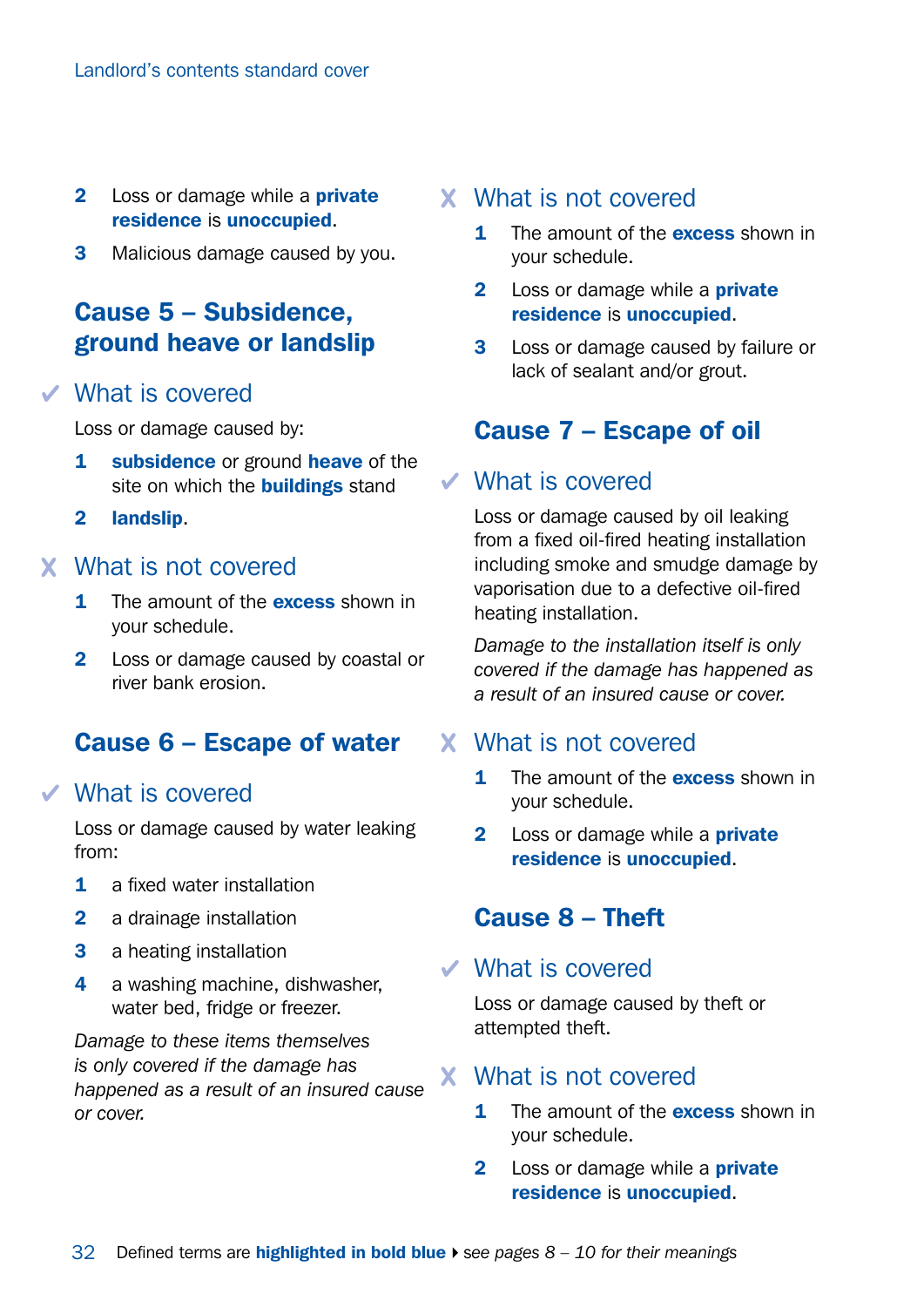- 2 Loss or damage while a **private** residence is unoccupied.
- **3** Malicious damage caused by you.

### Cause 5 – Subsidence, ground heave or landslip

#### What is covered

Loss or damage caused by:

- **1** subsidence or ground heave of the site on which the **buildings** stand
- 2 landslip.

#### What is not covered

- **1** The amount of the **excess** shown in your schedule.
- 2 Loss or damage caused by coastal or river bank erosion.

#### Cause 6 – Escape of water

#### What is covered

Loss or damage caused by water leaking from:

- 1 a fixed water installation
- 2 a drainage installation
- 3 a heating installation
- 4 a washing machine, dishwasher, water bed, fridge or freezer.

*Damage to these items themselves is only covered if the damage has happened as a result of an insured cause or cover.*

#### What is not covered

- **1** The amount of the **excess** shown in your schedule.
- 2 Loss or damage while a **private** residence is unoccupied.
- 3 Loss or damage caused by failure or lack of sealant and/or grout.

### Cause 7 – Escape of oil

#### What is covered

Loss or damage caused by oil leaking from a fixed oil-fired heating installation including smoke and smudge damage by vaporisation due to a defective oil-fired heating installation.

*Damage to the installation itself is only covered if the damage has happened as a result of an insured cause or cover.*

#### What is not covered

- 1 The amount of the **excess** shown in your schedule.
- **2** Loss or damage while a **private** residence is unoccupied.

#### Cause 8 – Theft

#### What is covered

Loss or damage caused by theft or attempted theft.

#### What is not covered

- 1 The amount of the **excess** shown in your schedule.
- **2** Loss or damage while a **private** residence is unoccupied.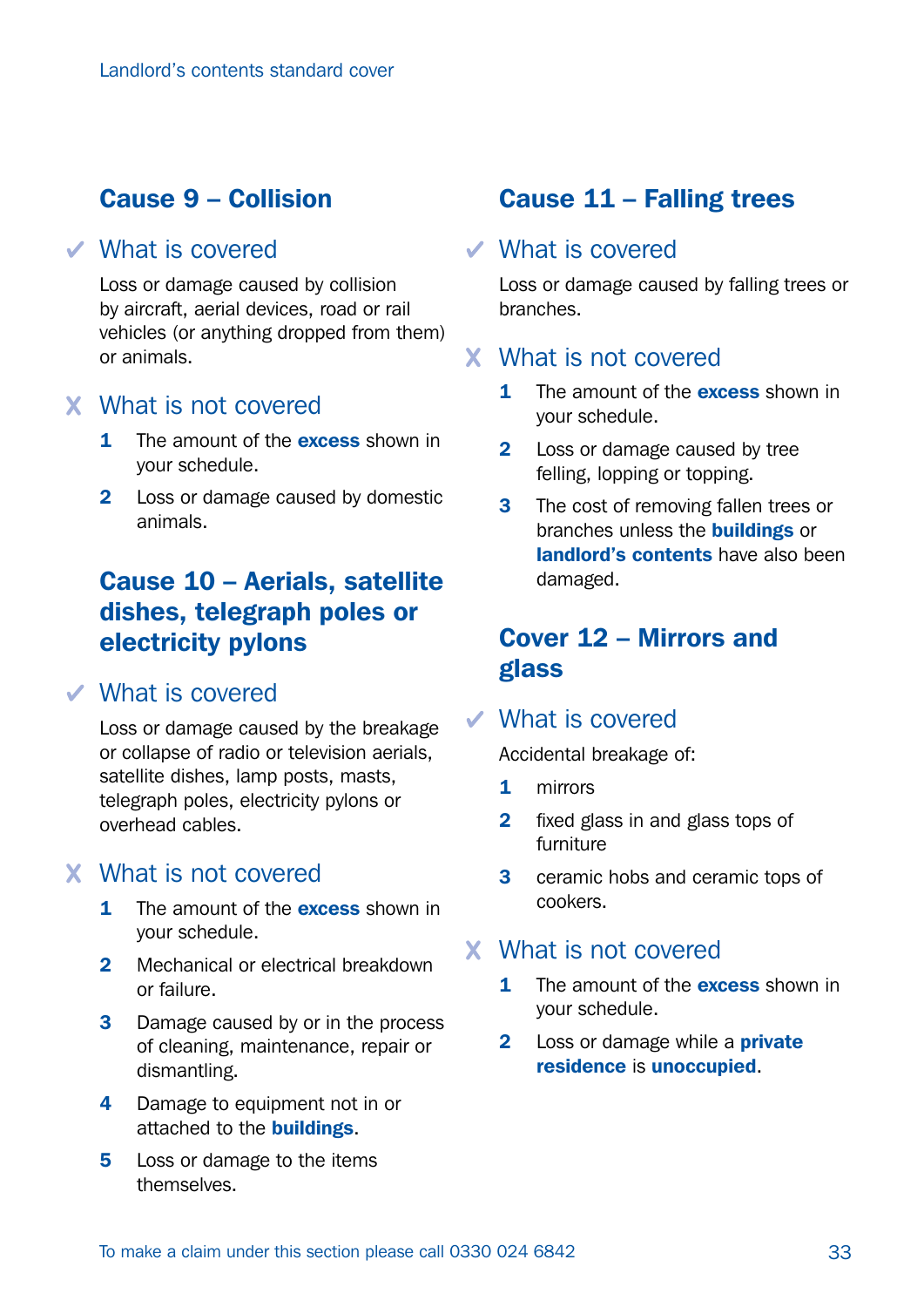#### Cause 9 – Collision

#### What is covered

Loss or damage caused by collision by aircraft, aerial devices, road or rail vehicles (or anything dropped from them) or animals.

#### What is not covered

- 1 The amount of the **excess** shown in your schedule.
- 2 Loss or damage caused by domestic animals.

### Cause 10 – Aerials, satellite dishes, telegraph poles or electricity pylons

#### What is covered

Loss or damage caused by the breakage or collapse of radio or television aerials, satellite dishes, lamp posts, masts, telegraph poles, electricity pylons or overhead cables.

#### What is not covered

- 1 The amount of the **excess** shown in your schedule.
- 2 Mechanical or electrical breakdown or failure.
- **3** Damage caused by or in the process of cleaning, maintenance, repair or dismantling.
- 4 Damage to equipment not in or attached to the **buildings**.
- **5** Loss or damage to the items themselves.

#### Cause 11 – Falling trees

#### What is covered

Loss or damage caused by falling trees or branches.

#### What is not covered

- 1 The amount of the **excess** shown in your schedule.
- 2 Loss or damage caused by tree felling, lopping or topping.
- **3** The cost of removing fallen trees or branches unless the **buildings** or landlord's contents have also been damaged.

### Cover 12 – Mirrors and glass

#### What is covered

Accidental breakage of:

- 1 mirrors
- 2 fixed glass in and glass tops of furniture
- **3** ceramic hobs and ceramic tops of cookers.

#### What is not covered

- **1** The amount of the **excess** shown in your schedule.
- 2 Loss or damage while a **private** residence is unoccupied.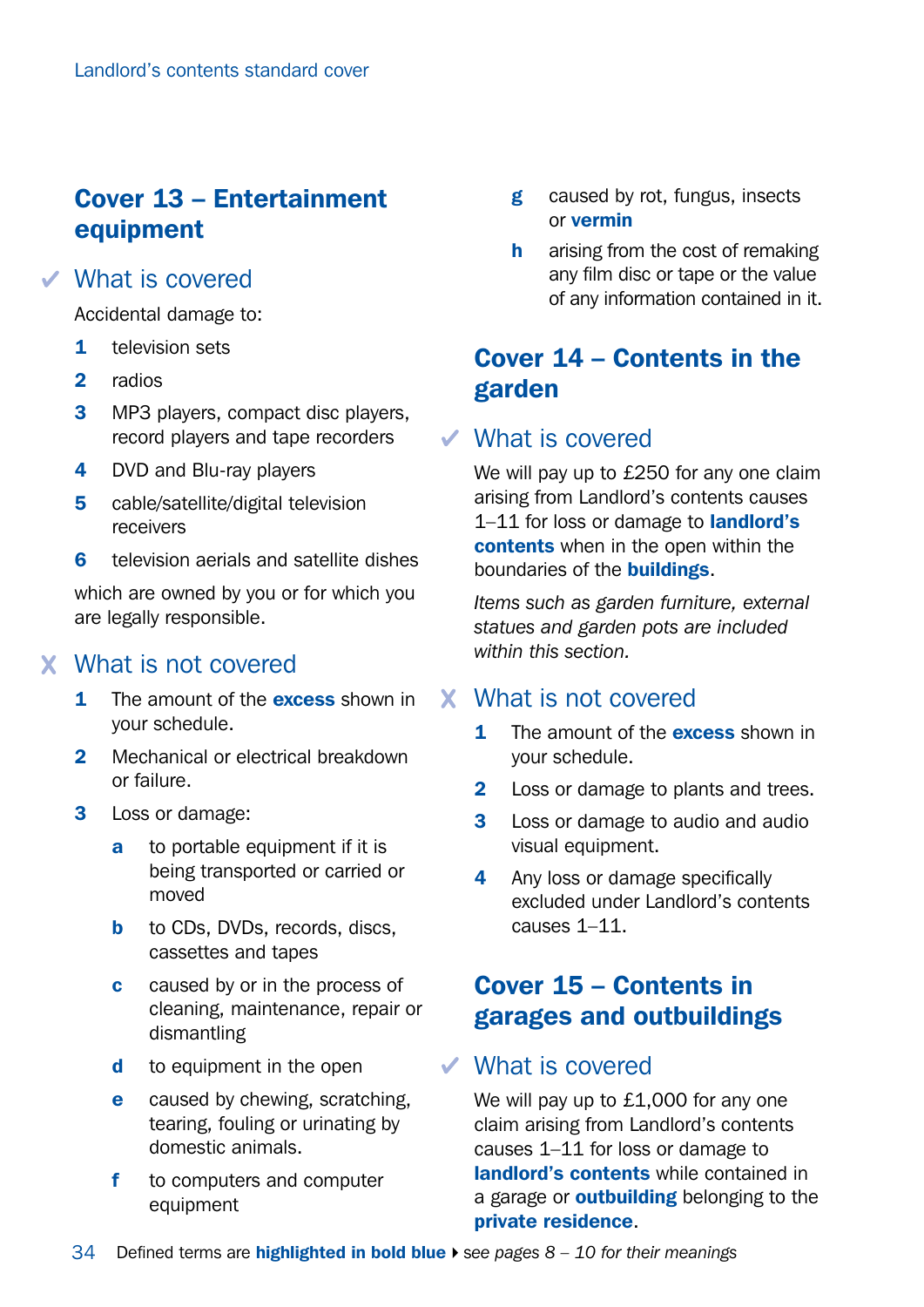### Cover 13 – Entertainment equipment

#### What is covered

Accidental damage to:

- 1 television sets
- 2 radios
- **3** MP3 players, compact disc players, record players and tape recorders
- 4 DVD and Blu-ray players
- 5 cable/satellite/digital television receivers
- 6 television aerials and satellite dishes

which are owned by you or for which you are legally responsible.

#### What is not covered

- **1** The amount of the **excess** shown in your schedule.
- 2 Mechanical or electrical breakdown or failure.
- 3 Loss or damage:
	- **a** to portable equipment if it is being transported or carried or moved
	- **b** to CDs, DVDs, records, discs, cassettes and tapes
	- **c** caused by or in the process of cleaning, maintenance, repair or dismantling
	- d to equipment in the open
	- e caused by chewing, scratching. tearing, fouling or urinating by domestic animals.
	- f to computers and computer equipment
- g caused by rot, fungus, insects or vermin
- **h** arising from the cost of remaking any film disc or tape or the value of any information contained in it.

### Cover 14 – Contents in the garden

#### What is covered

We will pay up to £250 for any one claim arising from Landlord's contents causes 1-11 for loss or damage to **landlord's** contents when in the open within the boundaries of the **buildings**.

*Items such as garden furniture, external statues and garden pots are included within this section.*

#### What is not covered

- 1 The amount of the **excess** shown in your schedule.
- **2** Loss or damage to plants and trees.
- **3** Loss or damage to audio and audio visual equipment.
- 4 Any loss or damage specifically excluded under Landlord's contents causes 1–11.

### Cover 15 – Contents in garages and outbuildings

#### What is covered

We will pay up to £1,000 for any one claim arising from Landlord's contents causes 1–11 for loss or damage to landlord's contents while contained in a garage or **outbuilding** belonging to the private residence.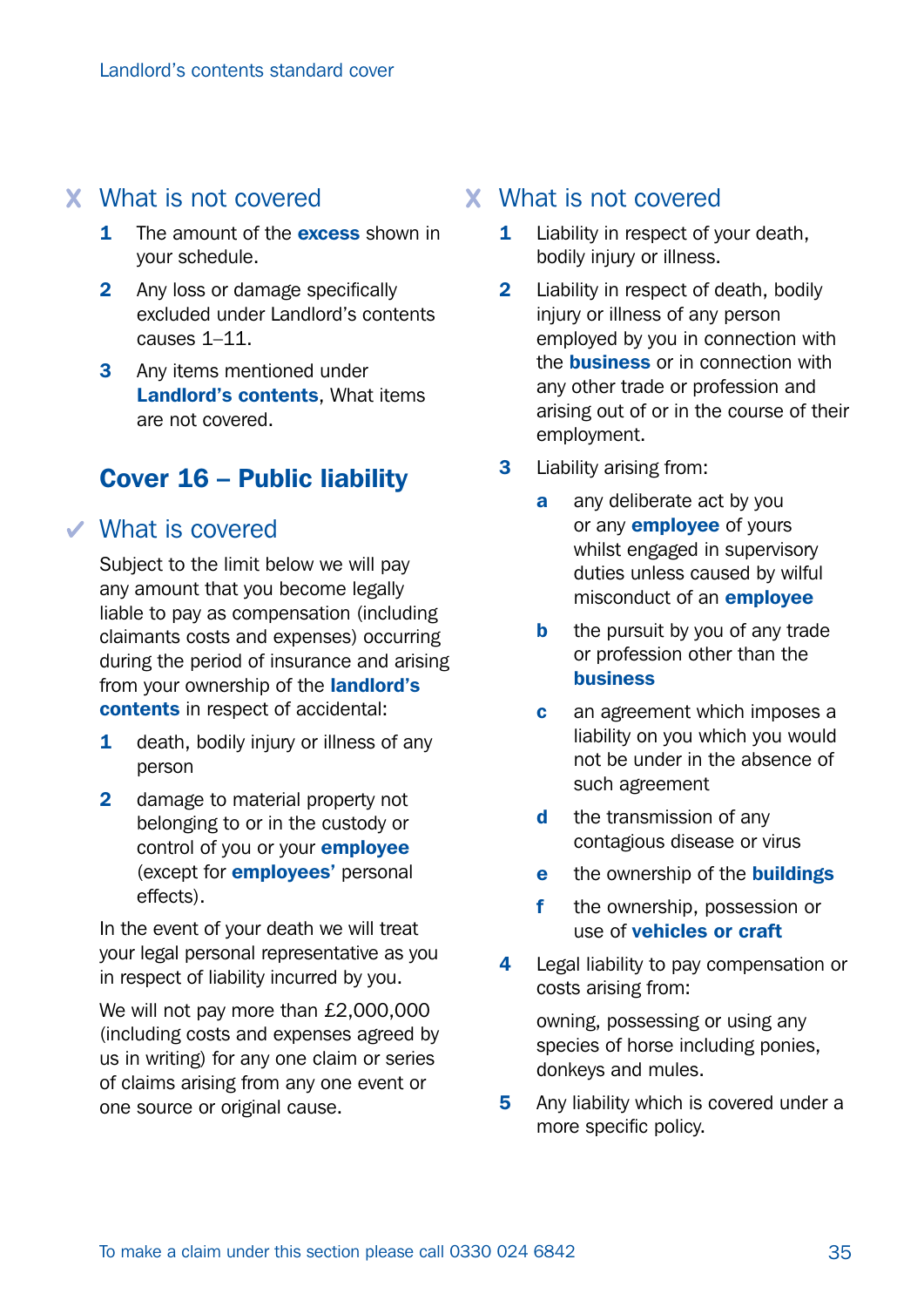#### What is not covered

- **1** The amount of the **excess** shown in your schedule.
- 2 Any loss or damage specifically excluded under Landlord's contents causes 1–11.
- 3 Any items mentioned under Landlord's contents, What items are not covered.

#### Cover 16 – Public liability

#### What is covered

Subject to the limit below we will pay any amount that you become legally liable to pay as compensation (including claimants costs and expenses) occurring during the period of insurance and arising from your ownership of the **landlord's** contents in respect of accidental:

- 1 death, bodily injury or illness of any person
- 2 damage to material property not belonging to or in the custody or control of you or your **employee** (except for employees' personal effects).

In the event of your death we will treat your legal personal representative as you in respect of liability incurred by you.

We will not pay more than £2,000,000 (including costs and expenses agreed by us in writing) for any one claim or series of claims arising from any one event or one source or original cause.

#### What is not covered

- **1** Liability in respect of your death. bodily injury or illness.
- 2 Liability in respect of death, bodily injury or illness of any person employed by you in connection with the **business** or in connection with any other trade or profession and arising out of or in the course of their employment.
- **3** Liability arising from:
	- **a** any deliberate act by you or any **employee** of yours whilst engaged in supervisory duties unless caused by wilful misconduct of an employee
	- **b** the pursuit by you of any trade or profession other than the business
	- **c** an agreement which imposes a liability on you which you would not be under in the absence of such agreement
	- d the transmission of any contagious disease or virus
	- e the ownership of the **buildings**
	- f the ownership, possession or use of vehicles or craft
- 4 Legal liability to pay compensation or costs arising from:

owning, possessing or using any species of horse including ponies, donkeys and mules.

5 Any liability which is covered under a more specific policy.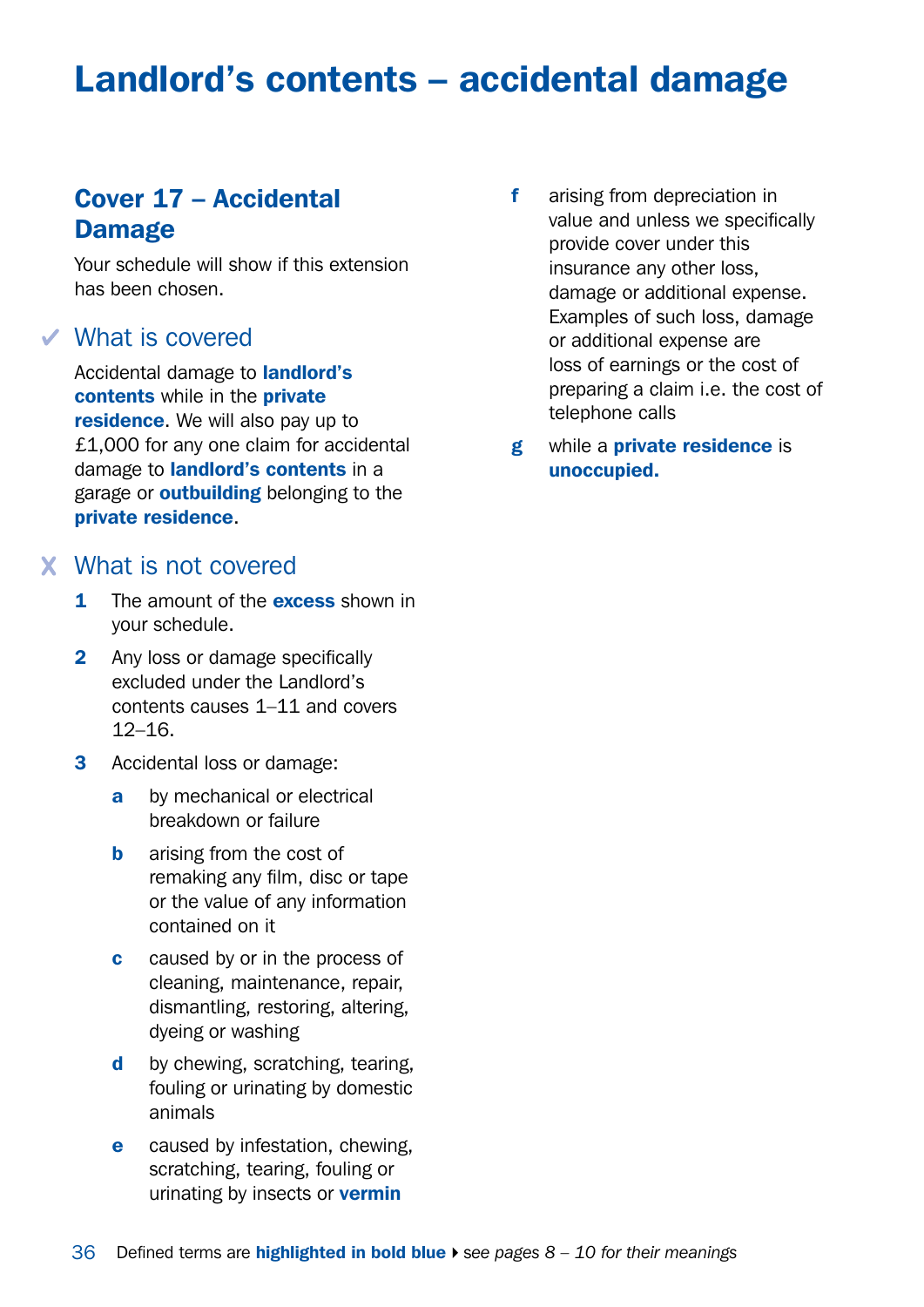## Landlord's contents – accidental damage

### Cover 17 – Accidental Damage

Your schedule will show if this extension has been chosen.

#### What is covered

Accidental damage to landlord's contents while in the private residence. We will also pay up to £1,000 for any one claim for accidental damage to landlord's contents in a garage or **outbuilding** belonging to the private residence.

#### What is not covered

- 1 The amount of the **excess** shown in your schedule.
- 2 Any loss or damage specifically excluded under the Landlord's contents causes 1–11 and covers  $12-16$
- 3 Accidental loss or damage:
	- a by mechanical or electrical breakdown or failure
	- **b** arising from the cost of remaking any film, disc or tape or the value of any information contained on it
	- c caused by or in the process of cleaning, maintenance, repair, dismantling, restoring, altering, dyeing or washing
	- d by chewing, scratching, tearing, fouling or urinating by domestic animals
	- **e** caused by infestation, chewing, scratching, tearing, fouling or urinating by insects or **vermin**
- f arising from depreciation in value and unless we specifically provide cover under this insurance any other loss, damage or additional expense. Examples of such loss, damage or additional expense are loss of earnings or the cost of preparing a claim i.e. the cost of telephone calls
- g while a private residence is unoccupied.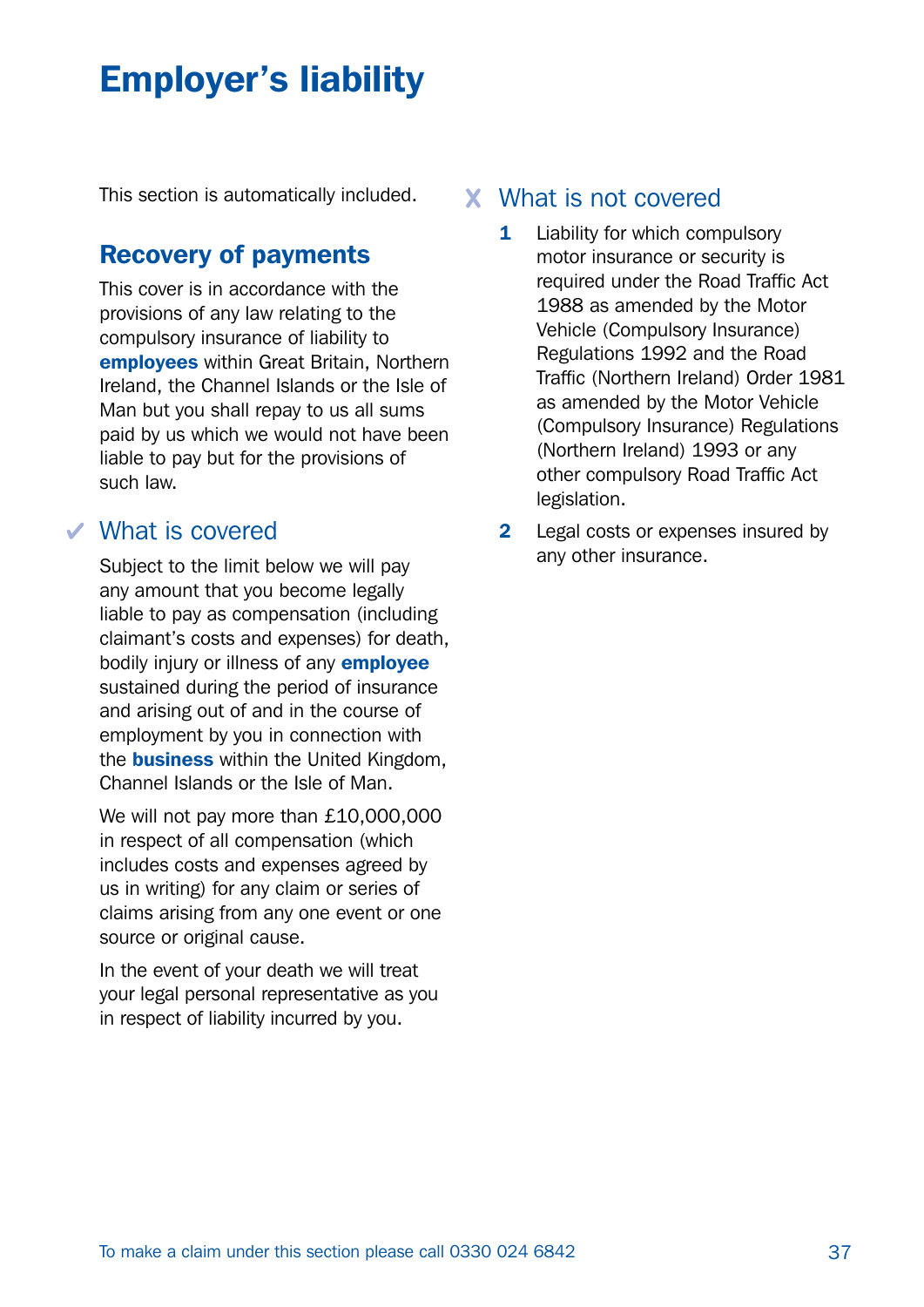# Employer's liability

This section is automatically included.

#### Recovery of payments

This cover is in accordance with the provisions of any law relating to the compulsory insurance of liability to employees within Great Britain, Northern Ireland, the Channel Islands or the Isle of Man but you shall repay to us all sums paid by us which we would not have been liable to pay but for the provisions of such law.

#### What is covered

Subject to the limit below we will pay any amount that you become legally liable to pay as compensation (including claimant's costs and expenses) for death, bodily injury or illness of any **employee** sustained during the period of insurance and arising out of and in the course of employment by you in connection with the **business** within the United Kingdom. Channel Islands or the Isle of Man.

We will not pay more than £10,000,000 in respect of all compensation (which includes costs and expenses agreed by us in writing) for any claim or series of claims arising from any one event or one source or original cause.

In the event of your death we will treat your legal personal representative as you in respect of liability incurred by you.

#### What is not covered

- 1 Liability for which compulsory motor insurance or security is required under the Road Traffic Act 1988 as amended by the Motor Vehicle (Compulsory Insurance) Regulations 1992 and the Road Traffic (Northern Ireland) Order 1981 as amended by the Motor Vehicle (Compulsory Insurance) Regulations (Northern Ireland) 1993 or any other compulsory Road Traffic Act legislation.
- **2** Legal costs or expenses insured by any other insurance.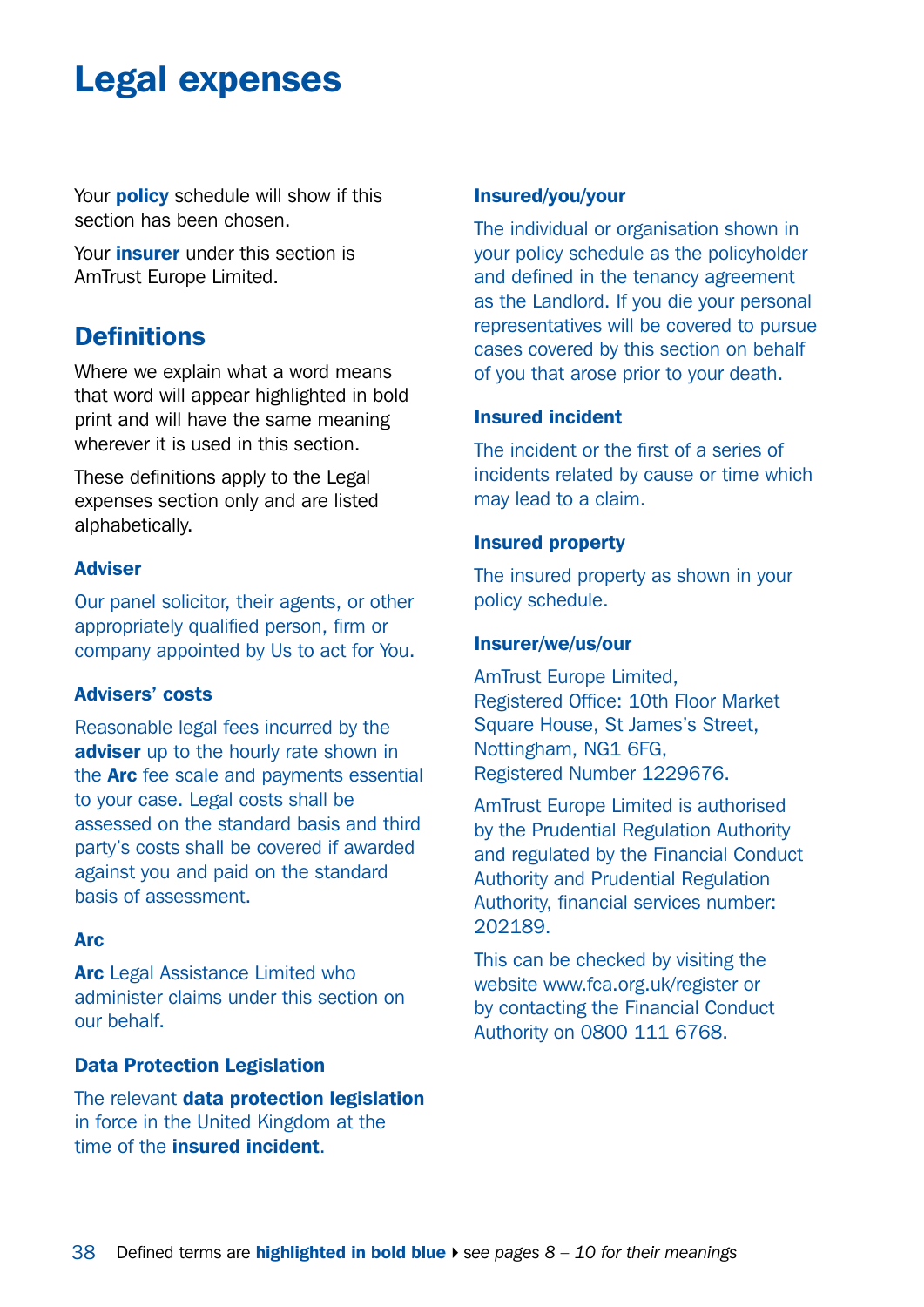## <span id="page-37-0"></span>Legal expenses

Your **policy** schedule will show if this section has been chosen.

Your *insurer* under this section is AmTrust Europe Limited.

#### **Definitions**

Where we explain what a word means that word will appear highlighted in bold print and will have the same meaning wherever it is used in this section.

These definitions apply to the Legal expenses section only and are listed alphabetically.

#### Adviser

Our panel solicitor, their agents, or other appropriately qualified person, firm or company appointed by Us to act for You.

#### Advisers' costs

Reasonable legal fees incurred by the adviser up to the hourly rate shown in the Arc fee scale and payments essential to your case. Legal costs shall be assessed on the standard basis and third party's costs shall be covered if awarded against you and paid on the standard basis of assessment.

#### **Arc**

Arc Legal Assistance Limited who administer claims under this section on our behalf.

#### Data Protection Legislation

The relevant data protection legislation in force in the United Kingdom at the time of the insured incident.

#### Insured/you/your

The individual or organisation shown in your policy schedule as the policyholder and defined in the tenancy agreement as the Landlord. If you die your personal representatives will be covered to pursue cases covered by this section on behalf of you that arose prior to your death.

#### Insured incident

The incident or the first of a series of incidents related by cause or time which may lead to a claim.

#### Insured property

The insured property as shown in your policy schedule.

#### Insurer/we/us/our

AmTrust Europe Limited, Registered Office: 10th Floor Market Square House, St James's Street, Nottingham, NG1 6FG, Registered Number 1229676.

AmTrust Europe Limited is authorised by the Prudential Regulation Authority and regulated by the Financial Conduct Authority and Prudential Regulation Authority, financial services number: 202189.

This can be checked by visiting the website [www.fca.org.uk/register](http://www.fca.org.uk/register) or by contacting the Financial Conduct Authority on 0800 111 6768.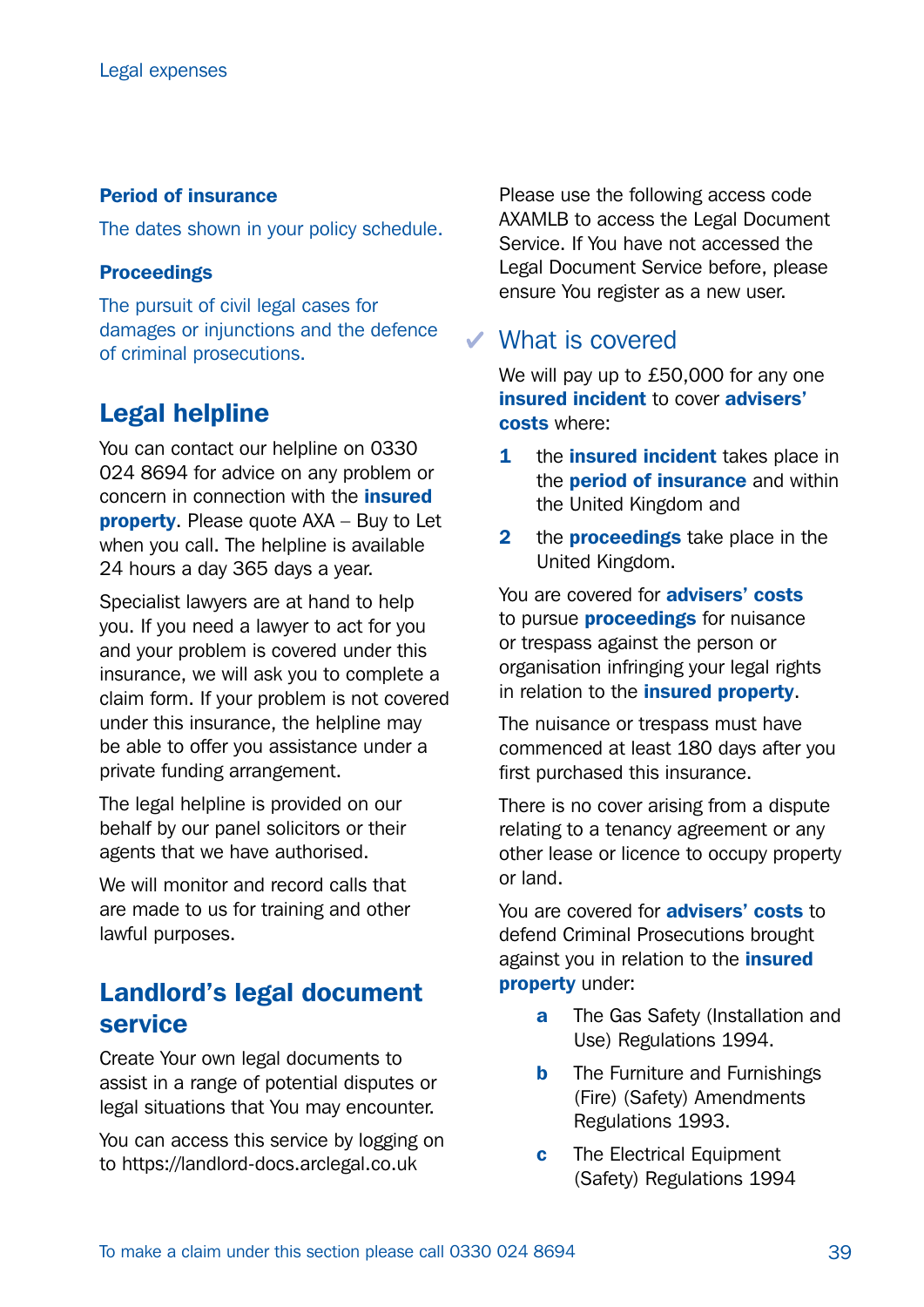#### Period of insurance

The dates shown in your policy schedule.

#### Proceedings

The pursuit of civil legal cases for damages or injunctions and the defence of criminal prosecutions.

### Legal helpline

You can contact our helpline on 0330 024 8694 for advice on any problem or concern in connection with the insured property. Please quote AXA – Buy to Let when you call. The helpline is available 24 hours a day 365 days a year.

Specialist lawyers are at hand to help you. If you need a lawyer to act for you and your problem is covered under this insurance, we will ask you to complete a claim form. If your problem is not covered under this insurance, the helpline may be able to offer you assistance under a private funding arrangement.

The legal helpline is provided on our behalf by our panel solicitors or their agents that we have authorised.

We will monitor and record calls that are made to us for training and other lawful purposes.

### Landlord's legal document service

Create Your own legal documents to assist in a range of potential disputes or legal situations that You may encounter.

You can access this service by logging on to <https://landlord-docs.arclegal.co.uk>

Please use the following access code AXAMLB to access the Legal Document Service. If You have not accessed the Legal Document Service before, please ensure You register as a new user.

#### What is covered

We will pay up to £50,000 for any one insured incident to cover advisers' costs where:

- 1 the **insured incident** takes place in the **period of insurance** and within the United Kingdom and
- **2** the **proceedings** take place in the United Kingdom.

You are covered for **advisers' costs** to pursue **proceedings** for nuisance or trespass against the person or organisation infringing your legal rights in relation to the *insured* property.

The nuisance or trespass must have commenced at least 180 days after you first purchased this insurance.

There is no cover arising from a dispute relating to a tenancy agreement or any other lease or licence to occupy property or land.

You are covered for **advisers' costs** to defend Criminal Prosecutions brought against you in relation to the *insured* property under:

- **a** The Gas Safety (Installation and Use) Regulations 1994.
- **b** The Furniture and Furnishings (Fire) (Safety) Amendments Regulations 1993.
- **c** The Flectrical Fquipment (Safety) Regulations 1994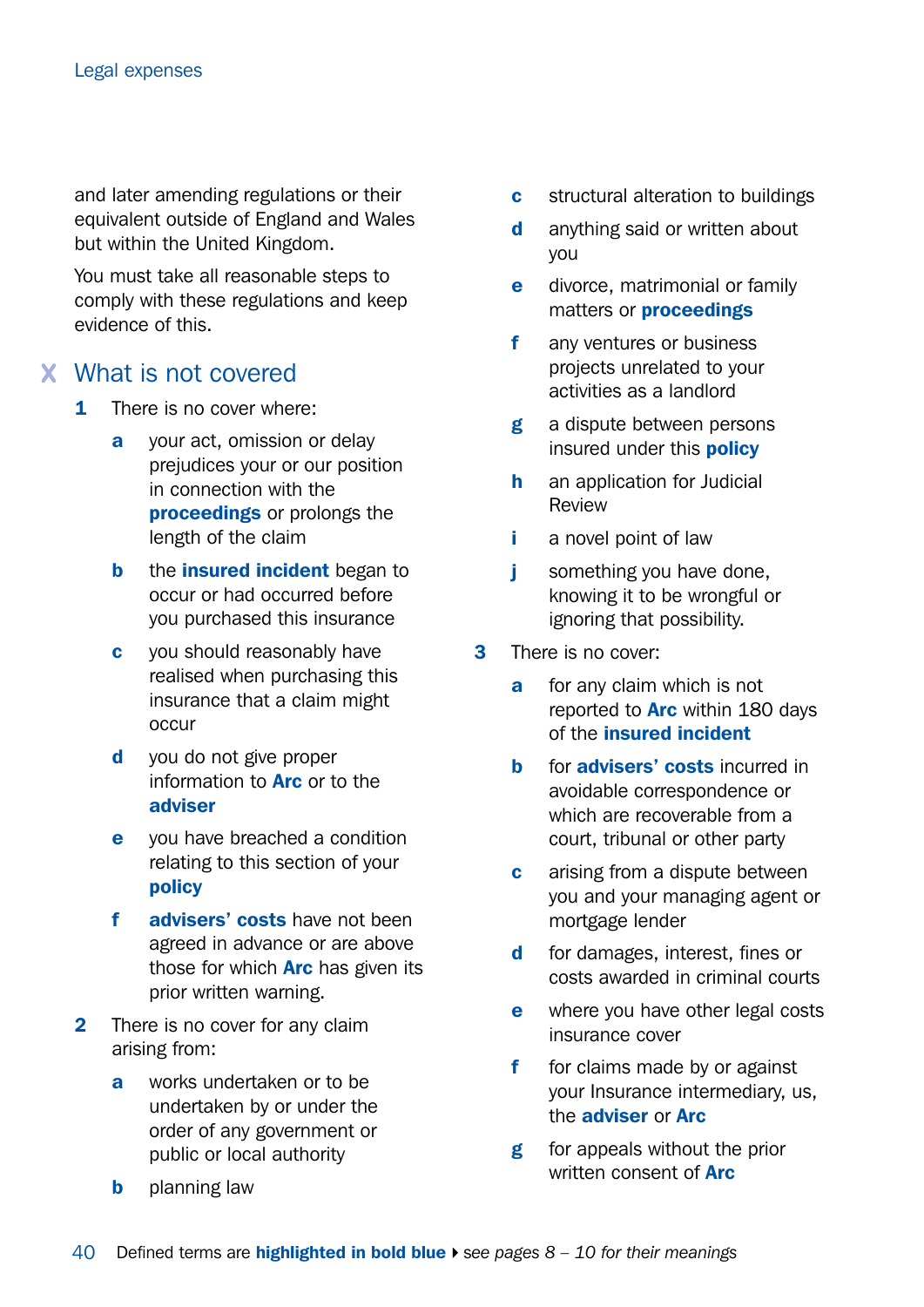and later amending regulations or their equivalent outside of England and Wales but within the United Kingdom.

You must take all reasonable steps to comply with these regulations and keep evidence of this.

#### What is not covered

- 1 There is no cover where:
	- a your act, omission or delay prejudices your or our position in connection with the proceedings or prolongs the length of the claim
	- **b** the **insured** incident began to occur or had occurred before you purchased this insurance
	- c you should reasonably have realised when purchasing this insurance that a claim might occur
	- d you do not give proper information to **Arc** or to the adviser
	- e you have breached a condition relating to this section of your policy
	- f advisers' costs have not been agreed in advance or are above those for which **Arc** has given its prior written warning.
- 2 There is no cover for any claim arising from:
	- a works undertaken or to be undertaken by or under the order of any government or public or local authority
	- **b** planning law
- **c** structural alteration to buildings
- d anything said or written about you
- e divorce, matrimonial or family matters or proceedings
- f any ventures or business projects unrelated to your activities as a landlord
- g a dispute between persons insured under this **policy**
- **h** an application for Judicial Review
- i a novel point of law
- **j** something you have done, knowing it to be wrongful or ignoring that possibility.
- 3 There is no cover:
	- **a** for any claim which is not reported to **Arc** within 180 days of the insured incident
	- **b** for **advisers' costs** incurred in avoidable correspondence or which are recoverable from a court, tribunal or other party
	- **c** arising from a dispute between you and your managing agent or mortgage lender
	- d for damages, interest, fines or costs awarded in criminal courts
	- **e** where you have other legal costs insurance cover
	- f for claims made by or against your Insurance intermediary, us, the adviser or Arc
	- **g** for appeals without the prior written consent of **Arc**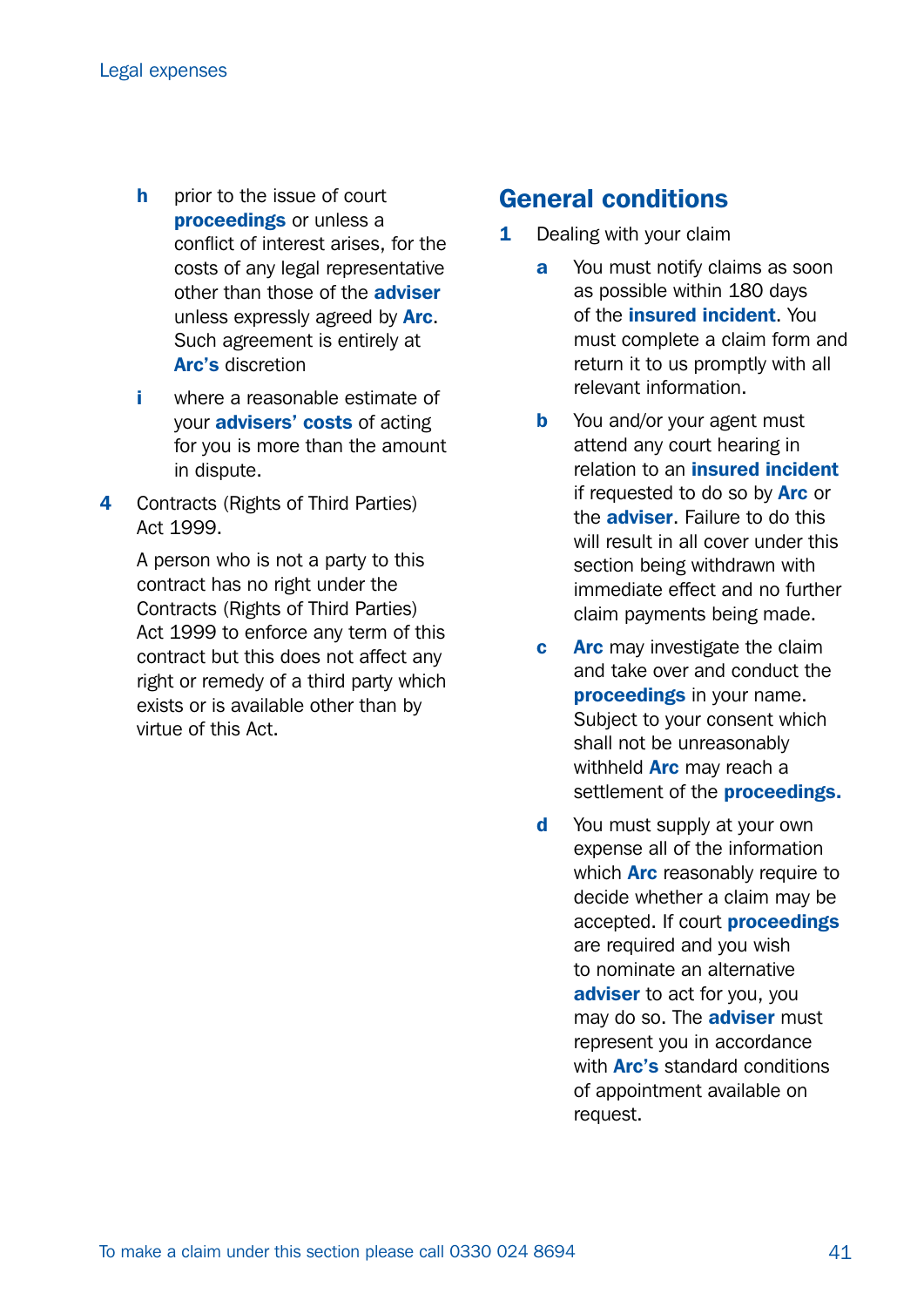- **h** prior to the issue of court proceedings or unless a conflict of interest arises, for the costs of any legal representative other than those of the **adviser** unless expressly agreed by Arc. Such agreement is entirely at Arc's discretion
- i where a reasonable estimate of your advisers' costs of acting for you is more than the amount in dispute.
- 4 Contracts (Rights of Third Parties) Act 1999.

 A person who is not a party to this contract has no right under the Contracts (Rights of Third Parties) Act 1999 to enforce any term of this contract but this does not affect any right or remedy of a third party which exists or is available other than by virtue of this Act.

#### General conditions

- 1 Dealing with your claim
	- **a** You must notify claims as soon as possible within 180 days of the insured incident. You must complete a claim form and return it to us promptly with all relevant information.
	- **b** You and/or your agent must attend any court hearing in relation to an *insured* incident if requested to do so by **Arc** or the adviser. Failure to do this will result in all cover under this section being withdrawn with immediate effect and no further claim payments being made.
	- **c** Arc may investigate the claim and take over and conduct the proceedings in your name. Subject to your consent which shall not be unreasonably withheld **Arc** may reach a settlement of the **proceedings.**
	- d You must supply at your own expense all of the information which **Arc** reasonably require to decide whether a claim may be accepted. If court **proceedings** are required and you wish to nominate an alternative adviser to act for you, you may do so. The **adviser** must represent you in accordance with **Arc's** standard conditions of appointment available on request.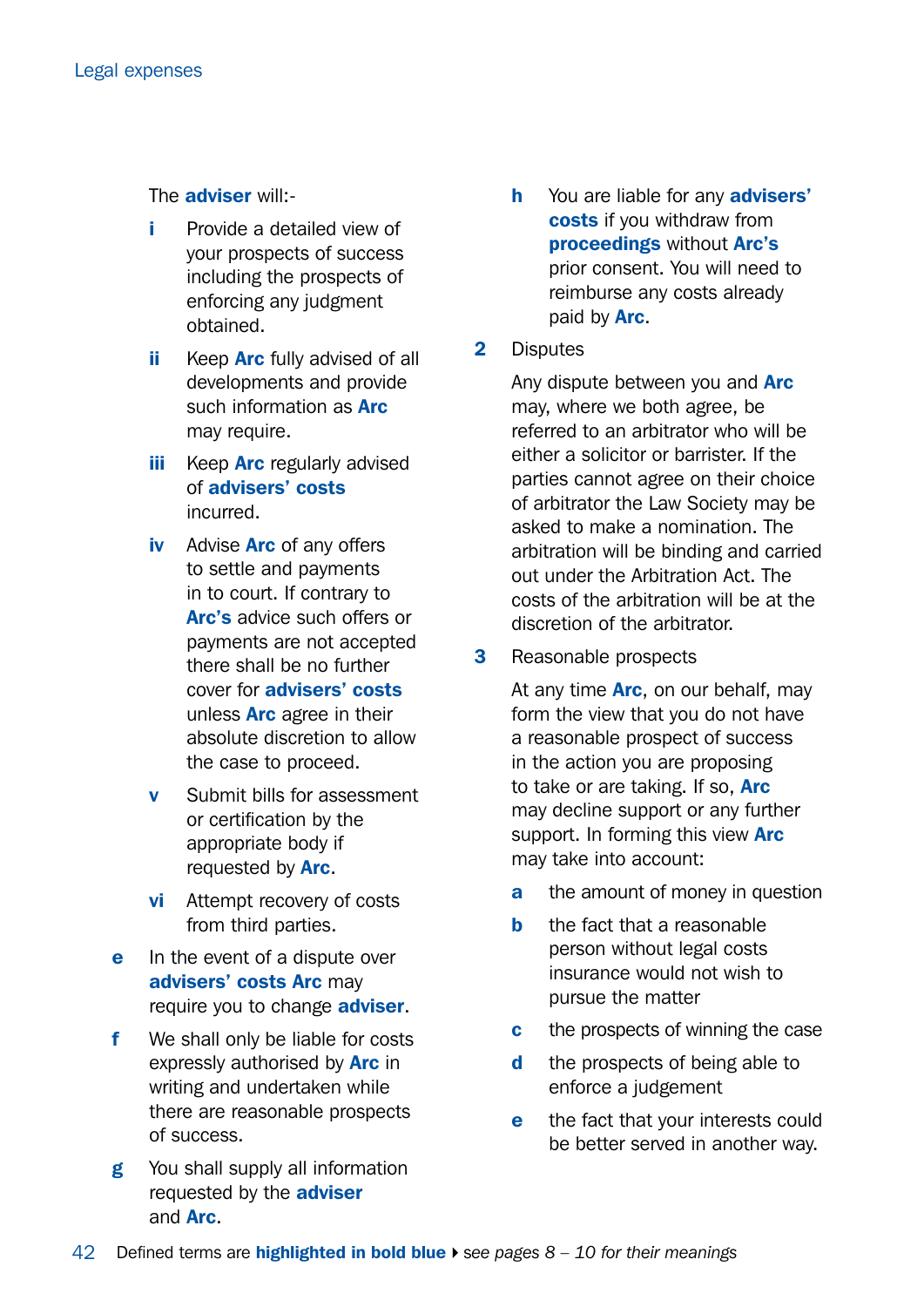The adviser will:-

- Provide a detailed view of your prospects of success including the prospects of enforcing any judgment obtained.
- ii Keep **Arc** fully advised of all developments and provide such information as **Arc** may require.
- **iii** Keep **Arc** regularly advised of advisers' costs incurred.
- iv Advise Arc of any offers to settle and payments in to court. If contrary to Arc's advice such offers or payments are not accepted there shall be no further cover for advisers' costs unless **Arc** agree in their absolute discretion to allow the case to proceed.
- v Submit bills for assessment or certification by the appropriate body if requested by **Arc.**
- vi Attempt recovery of costs from third parties.
- e In the event of a dispute over advisers' costs Arc may require you to change **adviser**.
- f We shall only be liable for costs expressly authorised by **Arc** in writing and undertaken while there are reasonable prospects of success.
- g You shall supply all information requested by the **adviser** and Arc.
- h You are liable for any **advisers'** costs if you withdraw from proceedings without Arc's prior consent. You will need to reimburse any costs already paid by Arc.
- 2 Disputes

Any dispute between you and **Arc** may, where we both agree, be referred to an arbitrator who will be either a solicitor or barrister. If the parties cannot agree on their choice of arbitrator the Law Society may be asked to make a nomination. The arbitration will be binding and carried out under the Arbitration Act. The costs of the arbitration will be at the discretion of the arbitrator.

**3** Reasonable prospects

At any time **Arc**, on our behalf, may form the view that you do not have a reasonable prospect of success in the action you are proposing to take or are taking. If so, Arc may decline support or any further support. In forming this view **Arc** may take into account:

- **a** the amount of money in question
- **b** the fact that a reasonable person without legal costs insurance would not wish to pursue the matter
- **c** the prospects of winning the case
- d the prospects of being able to enforce a judgement
- **e** the fact that your interests could be better served in another way.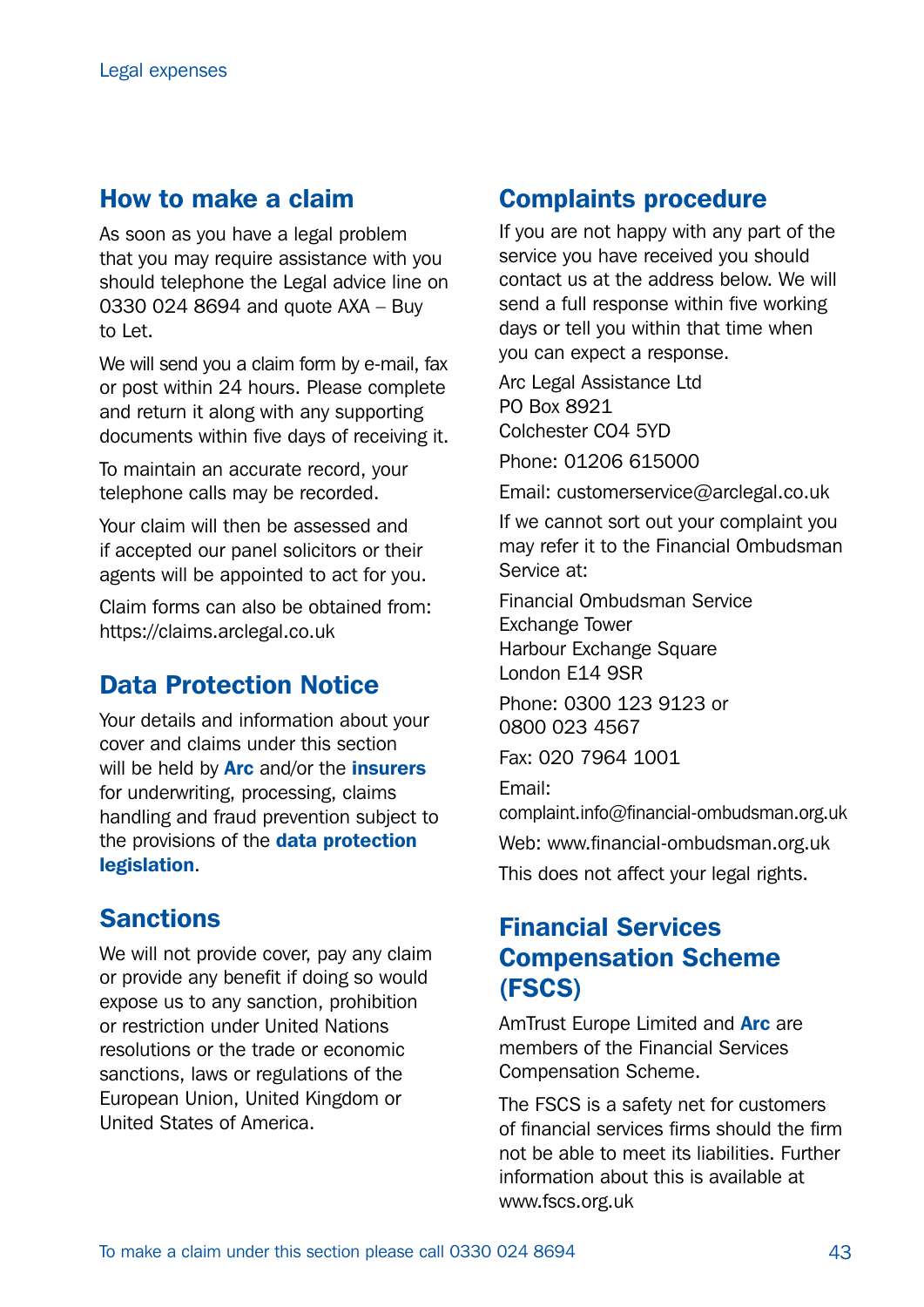#### How to make a claim

As soon as you have a legal problem that you may require assistance with you should telephone the Legal advice line on 0330 024 8694 and quote AXA – Buy to Let.

We will send you a claim form by e-mail, fax or post within 24 hours. Please complete and return it along with any supporting documents within five days of receiving it.

To maintain an accurate record, your telephone calls may be recorded.

Your claim will then be assessed and if accepted our panel solicitors or their agents will be appointed to act for you.

Claim forms can also be obtained from: <https://claims.arclegal.co.uk>

### Data Protection Notice

Your details and information about your cover and claims under this section will be held by **Arc** and/or the *insurers* for underwriting, processing, claims handling and fraud prevention subject to the provisions of the **data protection** legislation.

#### Sanctions

We will not provide cover, pay any claim or provide any benefit if doing so would expose us to any sanction, prohibition or restriction under United Nations resolutions or the trade or economic sanctions, laws or regulations of the European Union, United Kingdom or United States of America.

### Complaints procedure

If you are not happy with any part of the service you have received you should contact us at the address below. We will send a full response within five working days or tell you within that time when you can expect a response.

Arc Legal Assistance Ltd PO Box 8921 Colchester CO4 5YD

Phone: 01206 615000

Email: [customerservice@arclegal.co.uk](mailto:customerservice%40arclegal.co.uk?subject=)

If we cannot sort out your complaint you may refer it to the Financial Ombudsman Service at:

Financial Ombudsman Service Exchange Tower Harbour Exchange Square London E14 9SR

Phone: 0300 123 9123 or 0800 023 4567

Fax: 020 7964 1001

Email:

[complaint.info@financial-ombudsman.org.uk](mailto:complaint.info%40financial-ombudsman.org.uk?subject=) Web: [www.financial-ombudsman.org.uk](http://www.financial-ombudsman.org.uk) This does not affect your legal rights.

### Financial Services Compensation Scheme (FSCS)

AmTrust Europe Limited and **Arc** are members of the Financial Services Compensation Scheme.

The FSCS is a safety net for customers of financial services firms should the firm not be able to meet its liabilities. Further information about this is available at [www.fscs.org.uk](http://www.fscs.org.uk)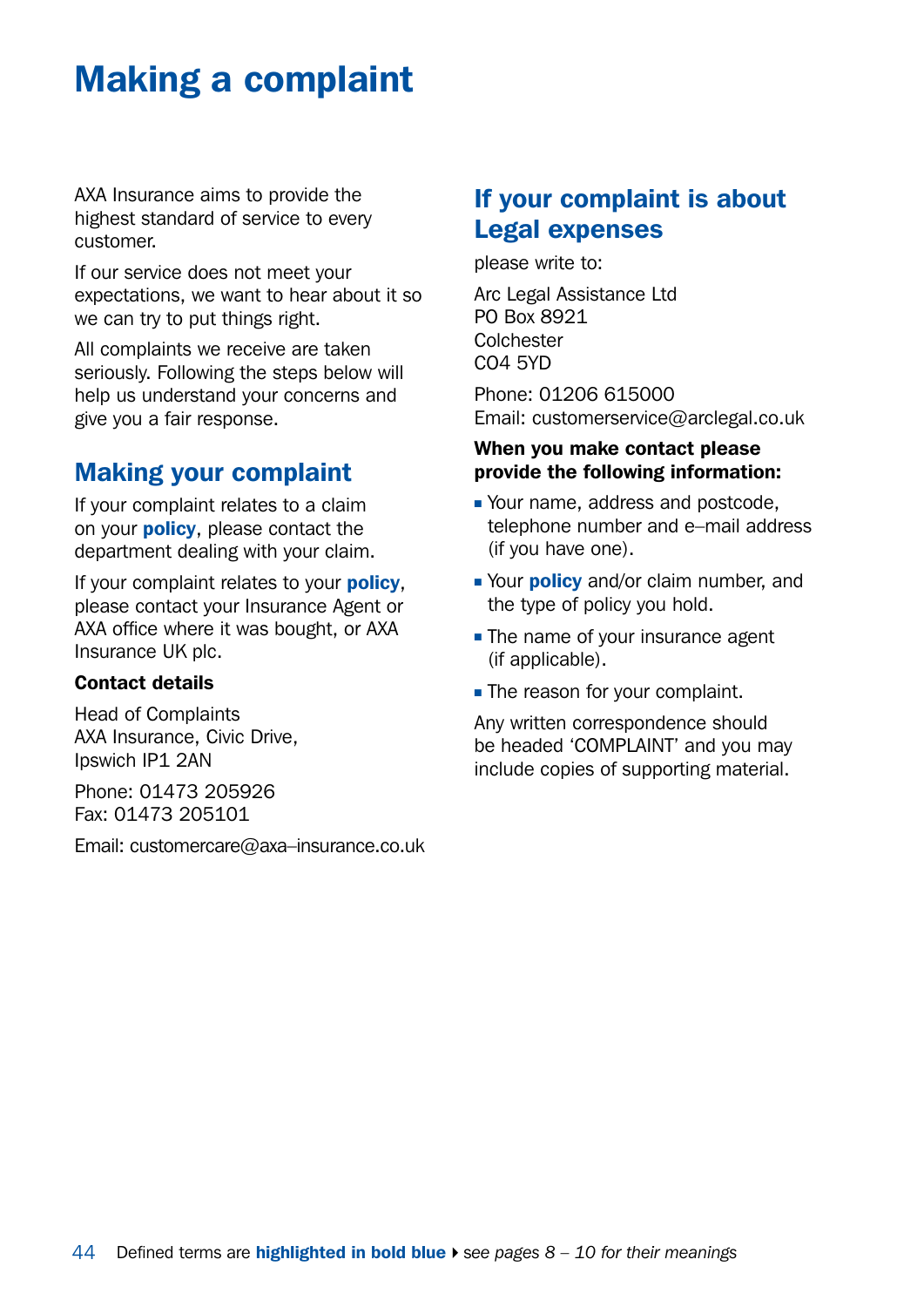## <span id="page-43-0"></span>Making a complaint

AXA Insurance aims to provide the highest standard of service to every customer.

If our service does not meet your expectations, we want to hear about it so we can try to put things right.

All complaints we receive are taken seriously. Following the steps below will help us understand your concerns and give you a fair response.

## Making your complaint

If your complaint relates to a claim on your **policy**, please contact the department dealing with your claim.

If your complaint relates to your **policy**, please contact your Insurance Agent or AXA office where it was bought, or AXA Insurance UK plc.

#### Contact details

Head of Complaints AXA Insurance, Civic Drive, Ipswich IP1 2AN

Phone: 01473 205926 Fax: 01473 205101

Email: [customercare@axa–insurance.co.uk](mailto:customercare%40axa-insurance.co.uk%20?subject=)

### If your complaint is about Legal expenses

please write to:

Arc Legal Assistance Ltd PO Box 8921 Colchester CO4 5YD

Phone: 01206 615000 Email: [customerservice@arclegal.co.uk](mailto:customerservice%40arclegal.co.uk?subject=)

#### When you make contact please provide the following information:

- Your name, address and postcode, telephone number and e–mail address (if you have one).
- Your **policy** and/or claim number, and the type of policy you hold.
- $\blacksquare$  The name of your insurance agent (if applicable).
- The reason for your complaint.

Any written correspondence should be headed 'COMPLAINT' and you may include copies of supporting material.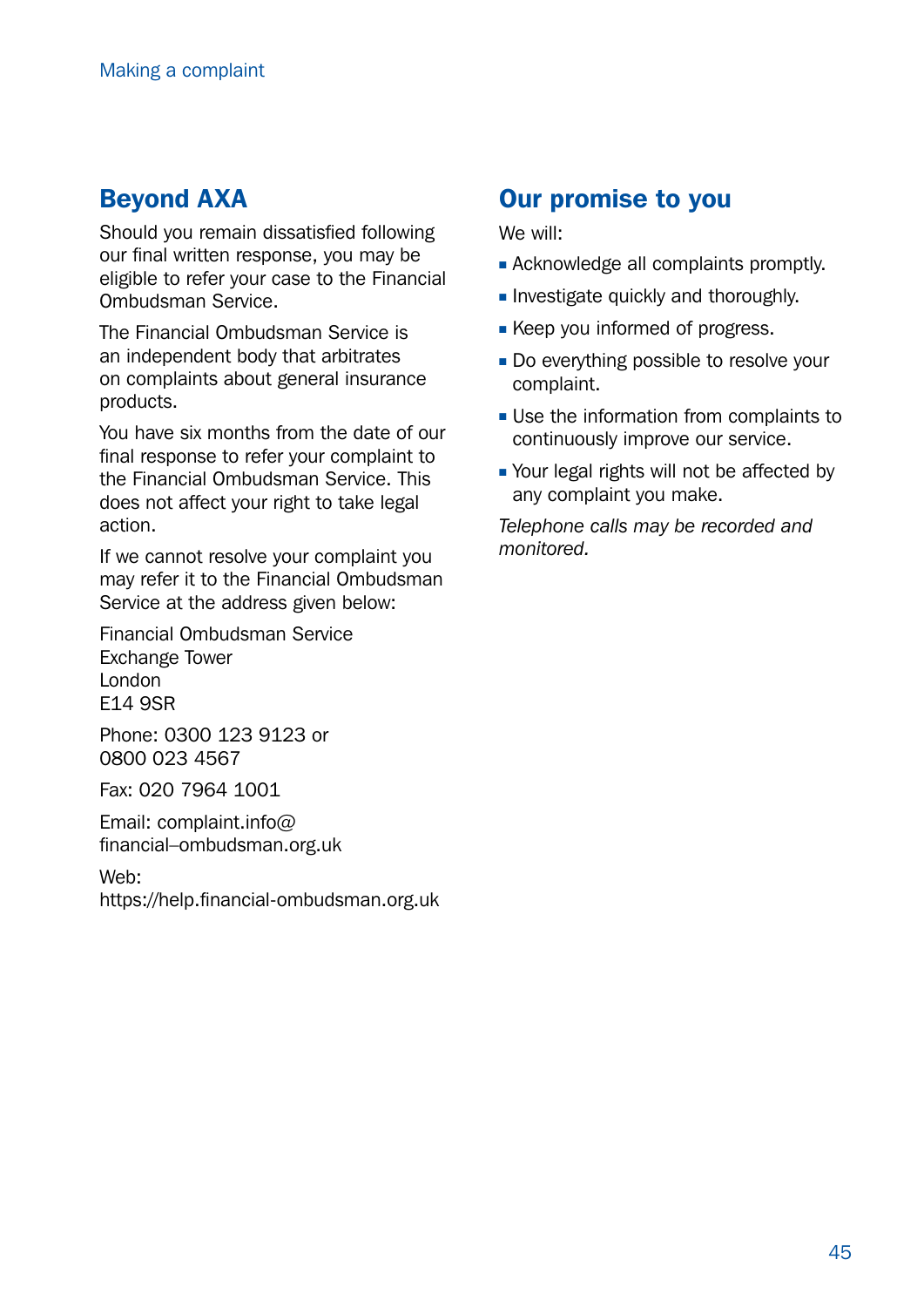### Beyond AXA

Should you remain dissatisfied following our final written response, you may be eligible to refer your case to the Financial Ombudsman Service.

The Financial Ombudsman Service is an independent body that arbitrates on complaints about general insurance products.

You have six months from the date of our final response to refer your complaint to the Financial Ombudsman Service. This does not affect your right to take legal action.

If we cannot resolve your complaint you may refer it to the Financial Ombudsman Service at the address given below:

Financial Ombudsman Service Exchange Tower London E14 9SR

Phone: 0300 123 9123 or 0800 023 4567

Fax: 020 7964 1001

Email: [complaint.info@](mailto:complaint.info%40financial-ombudsman.org.uk?subject=) [financial–ombudsman.org.uk](mailto:complaint.info%40financial-ombudsman.org.uk?subject=)

Web:

<https://help.financial-ombudsman.org.uk>

### Our promise to you

We will:

- **Acknowledge all complaints promptly.**
- **n** Investigate quickly and thoroughly.
- **EXECT** Keep you informed of progress.
- Do everything possible to resolve your complaint.
- **Use the information from complaints to** continuously improve our service.
- Your legal rights will not be affected by any complaint you make.

*Telephone calls may be recorded and monitored.*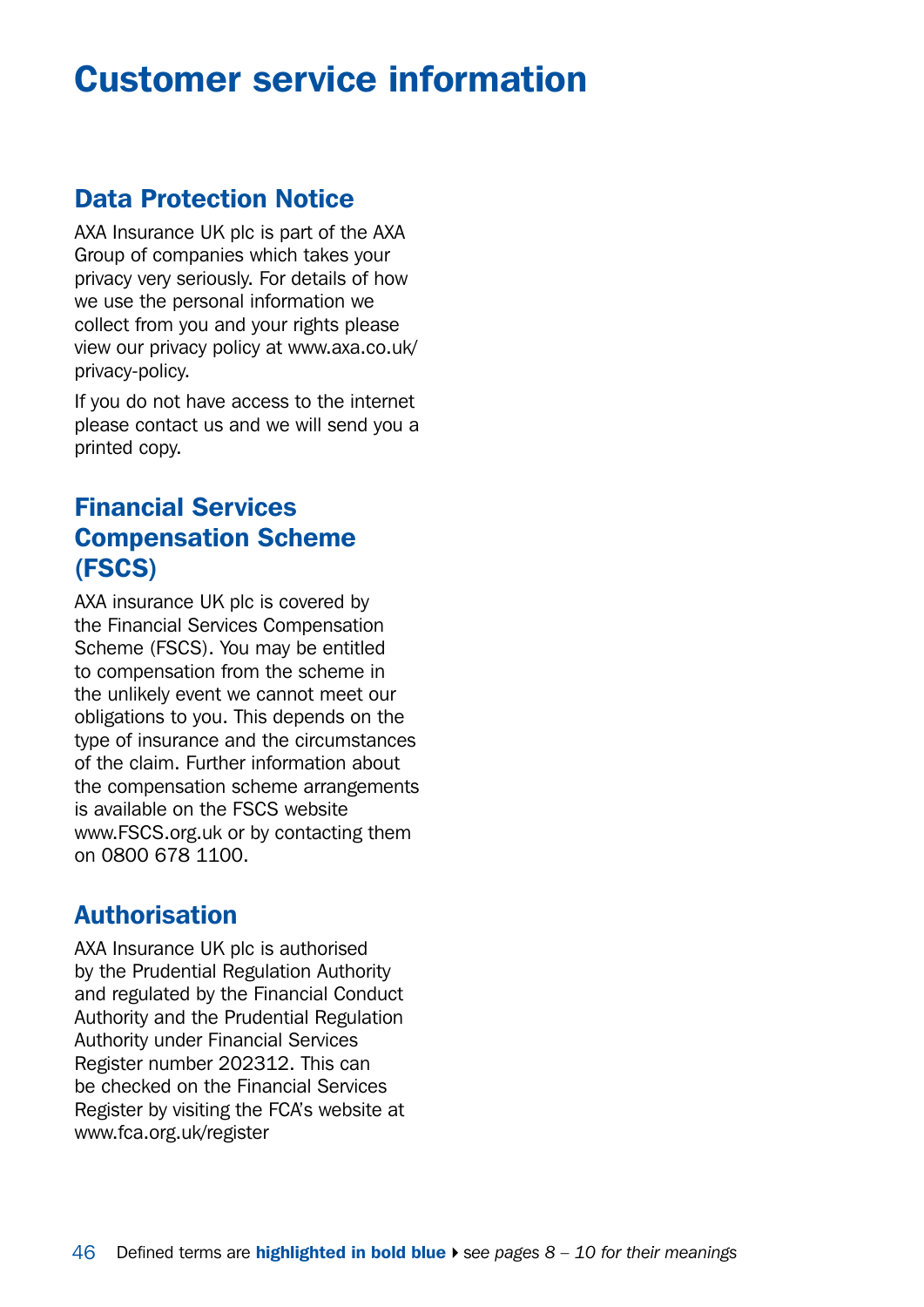## <span id="page-45-0"></span>Customer service information

### Data Protection Notice

AXA Insurance UK plc is part of the AXA Group of companies which takes your privacy very seriously. For details of how we use the personal information we collect from you and your rights please view our privacy policy at [www.axa.co.uk/](http://www.axa.co.uk/privacy-policy) [privacy-policy.](http://www.axa.co.uk/privacy-policy)

If you do not have access to the internet please contact us and we will send you a printed copy.

### Financial Services Compensation Scheme (FSCS)

AXA insurance UK plc is covered by the Financial Services Compensation Scheme (FSCS). You may be entitled to compensation from the scheme in the unlikely event we cannot meet our obligations to you. This depends on the type of insurance and the circumstances of the claim. Further information about the compensation scheme arrangements is available on the FSCS website [www.FSCS.org.uk](http://www.FSCS.org.uk) or by contacting them on 0800 678 1100.

#### **Authorisation**

AXA Insurance UK plc is authorised by the Prudential Regulation Authority and regulated by the Financial Conduct Authority and the Prudential Regulation Authority under Financial Services Register number 202312. This can be checked on the Financial Services Register by visiting the FCA's website at [www.fca.org.uk/register](http://www.fca.org.uk/register)